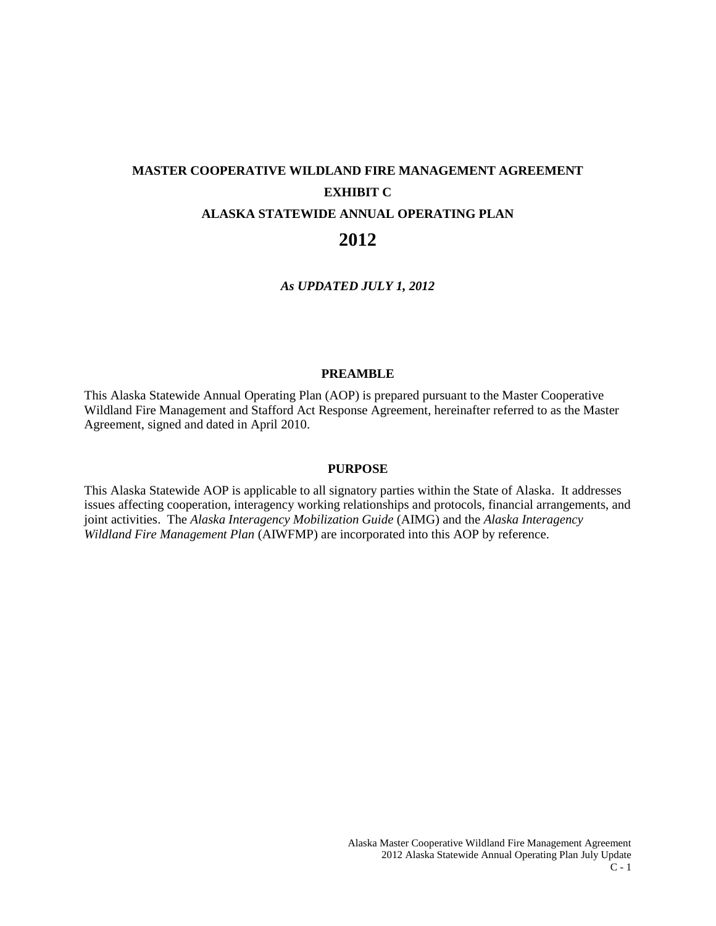# **MASTER COOPERATIVE WILDLAND FIRE MANAGEMENT AGREEMENT EXHIBIT C ALASKA STATEWIDE ANNUAL OPERATING PLAN**

# **2012**

*As UPDATED JULY 1, 2012*

#### **PREAMBLE**

This Alaska Statewide Annual Operating Plan (AOP) is prepared pursuant to the Master Cooperative Wildland Fire Management and Stafford Act Response Agreement, hereinafter referred to as the Master Agreement, signed and dated in April 2010.

#### **PURPOSE**

This Alaska Statewide AOP is applicable to all signatory parties within the State of Alaska. It addresses issues affecting cooperation, interagency working relationships and protocols, financial arrangements, and joint activities. The *Alaska Interagency Mobilization Guide* (AIMG) and the *Alaska Interagency Wildland Fire Management Plan* (AIWFMP) are incorporated into this AOP by reference.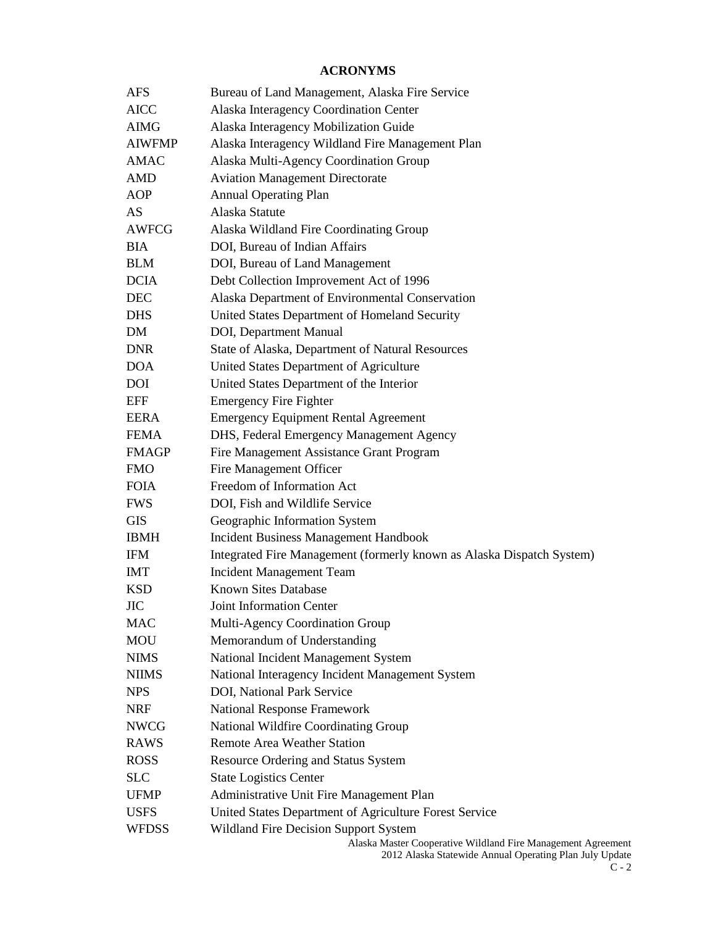# **ACRONYMS**

| <b>AFS</b>    | Bureau of Land Management, Alaska Fire Service                                                                          |
|---------------|-------------------------------------------------------------------------------------------------------------------------|
| <b>AICC</b>   | Alaska Interagency Coordination Center                                                                                  |
| <b>AIMG</b>   | Alaska Interagency Mobilization Guide                                                                                   |
| <b>AIWFMP</b> | Alaska Interagency Wildland Fire Management Plan                                                                        |
| <b>AMAC</b>   | Alaska Multi-Agency Coordination Group                                                                                  |
| <b>AMD</b>    | <b>Aviation Management Directorate</b>                                                                                  |
| <b>AOP</b>    | <b>Annual Operating Plan</b>                                                                                            |
| AS            | Alaska Statute                                                                                                          |
| <b>AWFCG</b>  | Alaska Wildland Fire Coordinating Group                                                                                 |
| <b>BIA</b>    | DOI, Bureau of Indian Affairs                                                                                           |
| <b>BLM</b>    | DOI, Bureau of Land Management                                                                                          |
| <b>DCIA</b>   | Debt Collection Improvement Act of 1996                                                                                 |
| <b>DEC</b>    | Alaska Department of Environmental Conservation                                                                         |
| <b>DHS</b>    | United States Department of Homeland Security                                                                           |
| DM            | DOI, Department Manual                                                                                                  |
| <b>DNR</b>    | State of Alaska, Department of Natural Resources                                                                        |
| <b>DOA</b>    | United States Department of Agriculture                                                                                 |
| <b>DOI</b>    | United States Department of the Interior                                                                                |
| <b>EFF</b>    | <b>Emergency Fire Fighter</b>                                                                                           |
| <b>EERA</b>   | <b>Emergency Equipment Rental Agreement</b>                                                                             |
| <b>FEMA</b>   | DHS, Federal Emergency Management Agency                                                                                |
| <b>FMAGP</b>  | Fire Management Assistance Grant Program                                                                                |
| <b>FMO</b>    | Fire Management Officer                                                                                                 |
| <b>FOIA</b>   | Freedom of Information Act                                                                                              |
| <b>FWS</b>    | DOI, Fish and Wildlife Service                                                                                          |
| <b>GIS</b>    | Geographic Information System                                                                                           |
| <b>IBMH</b>   | <b>Incident Business Management Handbook</b>                                                                            |
| <b>IFM</b>    | Integrated Fire Management (formerly known as Alaska Dispatch System)                                                   |
| <b>IMT</b>    | <b>Incident Management Team</b>                                                                                         |
| <b>KSD</b>    | <b>Known Sites Database</b>                                                                                             |
| <b>JIC</b>    | Joint Information Center                                                                                                |
| <b>MAC</b>    | Multi-Agency Coordination Group                                                                                         |
| <b>MOU</b>    | Memorandum of Understanding                                                                                             |
| <b>NIMS</b>   | National Incident Management System                                                                                     |
| <b>NIIMS</b>  | National Interagency Incident Management System                                                                         |
| <b>NPS</b>    | DOI, National Park Service                                                                                              |
| <b>NRF</b>    | <b>National Response Framework</b>                                                                                      |
| <b>NWCG</b>   | National Wildfire Coordinating Group                                                                                    |
| <b>RAWS</b>   | <b>Remote Area Weather Station</b>                                                                                      |
| <b>ROSS</b>   | <b>Resource Ordering and Status System</b>                                                                              |
| <b>SLC</b>    | <b>State Logistics Center</b>                                                                                           |
| <b>UFMP</b>   | Administrative Unit Fire Management Plan                                                                                |
| <b>USFS</b>   | United States Department of Agriculture Forest Service                                                                  |
| <b>WFDSS</b>  | <b>Wildland Fire Decision Support System</b>                                                                            |
|               | Alaska Master Cooperative Wildland Fire Management Agreement<br>2012 Alaska Statewide Annual Operating Plan July Update |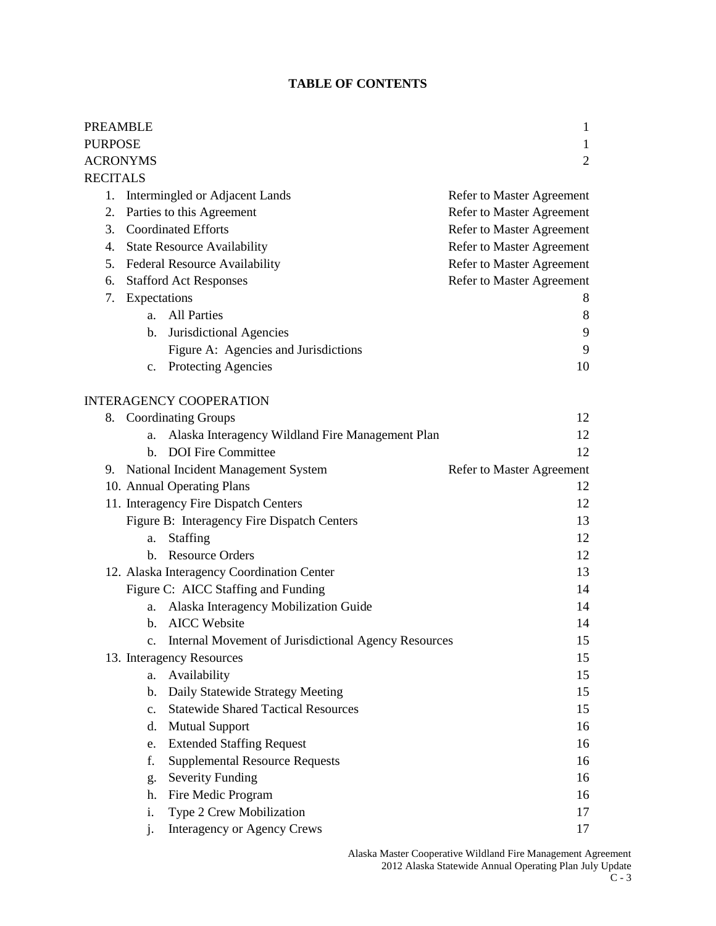# **TABLE OF CONTENTS**

| <b>PREAMBLE</b>      |                |                                                      | 1                                |
|----------------------|----------------|------------------------------------------------------|----------------------------------|
| <b>PURPOSE</b>       |                |                                                      | 1                                |
| <b>ACRONYMS</b><br>2 |                |                                                      |                                  |
| <b>RECITALS</b>      |                |                                                      |                                  |
| 1.                   |                | Intermingled or Adjacent Lands                       | <b>Refer to Master Agreement</b> |
| 2.                   |                | Parties to this Agreement                            | <b>Refer to Master Agreement</b> |
| 3.                   |                | <b>Coordinated Efforts</b>                           | Refer to Master Agreement        |
| 4.                   |                | <b>State Resource Availability</b>                   | Refer to Master Agreement        |
|                      |                | 5. Federal Resource Availability                     | Refer to Master Agreement        |
| 6.                   |                | <b>Stafford Act Responses</b>                        | Refer to Master Agreement        |
| 7.                   | Expectations   |                                                      | 8                                |
|                      | a.             | <b>All Parties</b>                                   | 8                                |
|                      | b.             | Jurisdictional Agencies                              | 9                                |
|                      |                | Figure A: Agencies and Jurisdictions                 | 9                                |
|                      |                | c. Protecting Agencies                               | 10                               |
|                      |                |                                                      |                                  |
|                      |                | <b>INTERAGENCY COOPERATION</b>                       |                                  |
|                      |                | 8. Coordinating Groups                               | 12                               |
|                      | a.             | Alaska Interagency Wildland Fire Management Plan     | 12                               |
|                      | b.             | <b>DOI</b> Fire Committee                            | 12                               |
| 9.                   |                | National Incident Management System                  | Refer to Master Agreement        |
|                      |                | 10. Annual Operating Plans                           | 12                               |
|                      |                | 11. Interagency Fire Dispatch Centers                | 12                               |
|                      |                | Figure B: Interagency Fire Dispatch Centers          | 13                               |
|                      | a.             | Staffing                                             | 12                               |
|                      | $h_{-}$        | <b>Resource Orders</b>                               | 12                               |
|                      |                | 12. Alaska Interagency Coordination Center           | 13                               |
|                      |                | Figure C: AICC Staffing and Funding                  | 14                               |
|                      | a.             | Alaska Interagency Mobilization Guide                | 14                               |
|                      | b.             | <b>AICC</b> Website                                  | 14                               |
|                      |                | Internal Movement of Jurisdictional Agency Resources | 15                               |
|                      |                | 13. Interagency Resources                            | 15                               |
|                      | a.             | Availability                                         | 15                               |
|                      | b.             | Daily Statewide Strategy Meeting                     | 15                               |
|                      | $\mathbf{c}$ . | <b>Statewide Shared Tactical Resources</b>           | 15                               |
|                      | d.             | <b>Mutual Support</b>                                | 16                               |
|                      | e.             | <b>Extended Staffing Request</b>                     | 16                               |
|                      | f.             | <b>Supplemental Resource Requests</b>                | 16                               |
|                      | g.             | <b>Severity Funding</b>                              | 16                               |
|                      | h.             | Fire Medic Program                                   | 16                               |
|                      | i.             | Type 2 Crew Mobilization                             | 17                               |
|                      | j.             | <b>Interagency or Agency Crews</b>                   | 17                               |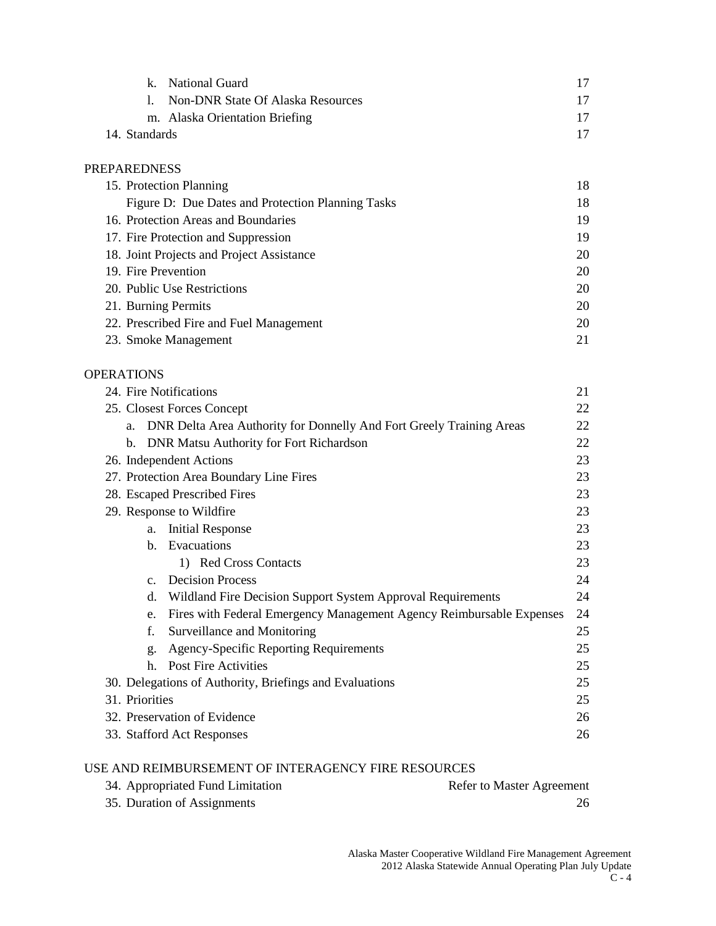|               | k. National Guard                 |    |
|---------------|-----------------------------------|----|
|               | Non-DNR State Of Alaska Resources | 17 |
|               | m. Alaska Orientation Briefing    | 17 |
| 14. Standards |                                   | 17 |

# PREPAREDNESS

| 15. Protection Planning                           | 18 |
|---------------------------------------------------|----|
| Figure D: Due Dates and Protection Planning Tasks | 18 |
| 16. Protection Areas and Boundaries               | 19 |
| 17. Fire Protection and Suppression               | 19 |
| 18. Joint Projects and Project Assistance         | 20 |
| 19. Fire Prevention                               | 20 |
| 20. Public Use Restrictions                       | 20 |
| 21. Burning Permits                               | 20 |
| 22. Prescribed Fire and Fuel Management           | 20 |
| 23. Smoke Management                              | 21 |

# OPERATIONS

| 24. Fire Notifications                                                     | 21 |  |
|----------------------------------------------------------------------------|----|--|
| 25. Closest Forces Concept                                                 | 22 |  |
| DNR Delta Area Authority for Donnelly And Fort Greely Training Areas<br>a. | 22 |  |
| <b>DNR Matsu Authority for Fort Richardson</b><br>b.                       | 22 |  |
| 26. Independent Actions                                                    | 23 |  |
| 27. Protection Area Boundary Line Fires                                    | 23 |  |
| 28. Escaped Prescribed Fires                                               | 23 |  |
| 29. Response to Wildfire                                                   | 23 |  |
| <b>Initial Response</b><br>a.                                              | 23 |  |
| b. Evacuations                                                             | 23 |  |
| 1) Red Cross Contacts                                                      | 23 |  |
| <b>Decision Process</b><br>C <sub>1</sub>                                  | 24 |  |
| Wildland Fire Decision Support System Approval Requirements<br>d.          | 24 |  |
| Fires with Federal Emergency Management Agency Reimbursable Expenses<br>e. | 24 |  |
| f.<br>Surveillance and Monitoring                                          | 25 |  |
| <b>Agency-Specific Reporting Requirements</b><br>g.                        | 25 |  |
| <b>Post Fire Activities</b><br>h.                                          | 25 |  |
| 30. Delegations of Authority, Briefings and Evaluations                    | 25 |  |
| 31. Priorities                                                             | 25 |  |
| 32. Preservation of Evidence<br>26                                         |    |  |
| 33. Stafford Act Responses<br>26                                           |    |  |

# USE AND REIMBURSEMENT OF INTERAGENCY FIRE RESOURCES

| 34. Appropriated Fund Limitation | <b>Refer to Master Agreement</b> |
|----------------------------------|----------------------------------|
| 35. Duration of Assignments      |                                  |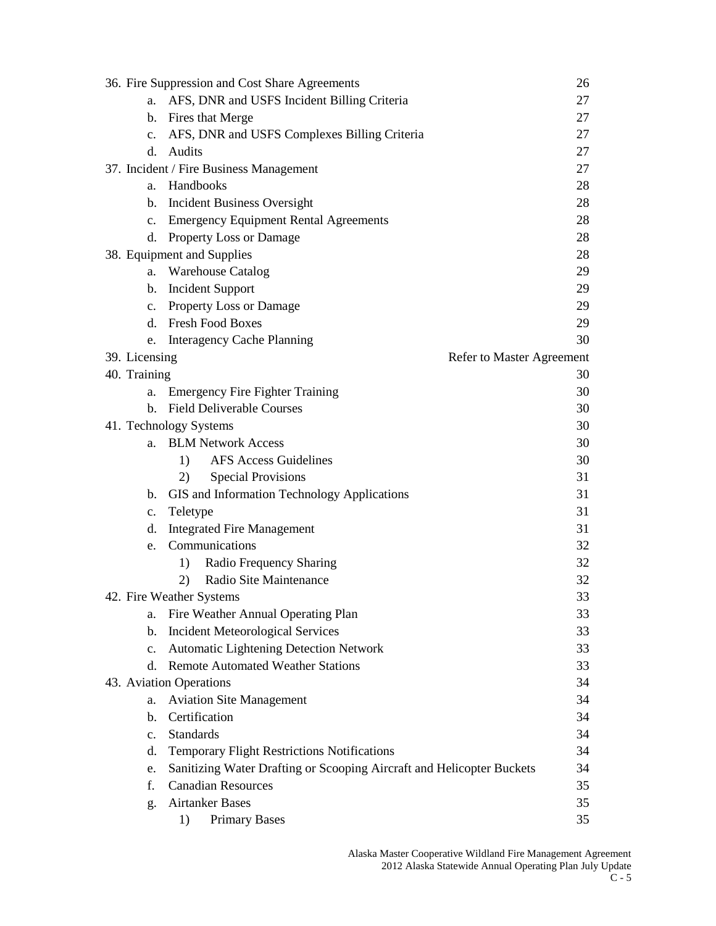|                | 36. Fire Suppression and Cost Share Agreements                        | 26 |
|----------------|-----------------------------------------------------------------------|----|
| a.             | AFS, DNR and USFS Incident Billing Criteria                           | 27 |
|                | b. Fires that Merge                                                   | 27 |
| $c_{\cdot}$    | AFS, DNR and USFS Complexes Billing Criteria                          | 27 |
| d.             | Audits                                                                | 27 |
|                | 37. Incident / Fire Business Management                               | 27 |
| a.             | Handbooks                                                             | 28 |
| b.             | <b>Incident Business Oversight</b>                                    | 28 |
| c.             | <b>Emergency Equipment Rental Agreements</b>                          | 28 |
| d.             | Property Loss or Damage                                               | 28 |
|                | 38. Equipment and Supplies                                            | 28 |
| a.             | <b>Warehouse Catalog</b>                                              | 29 |
| $\mathbf{b}$ . | <b>Incident Support</b>                                               | 29 |
|                | c. Property Loss or Damage                                            | 29 |
| d.             | <b>Fresh Food Boxes</b>                                               | 29 |
| e.             | <b>Interagency Cache Planning</b>                                     | 30 |
| 39. Licensing  | Refer to Master Agreement                                             |    |
| 40. Training   |                                                                       | 30 |
| a.             | <b>Emergency Fire Fighter Training</b>                                | 30 |
| b.             | <b>Field Deliverable Courses</b>                                      | 30 |
|                | 41. Technology Systems                                                | 30 |
| a.             | <b>BLM Network Access</b>                                             | 30 |
|                | <b>AFS Access Guidelines</b><br>1)                                    | 30 |
|                | <b>Special Provisions</b><br>2)                                       | 31 |
| b.             | GIS and Information Technology Applications                           | 31 |
| c.             | Teletype                                                              | 31 |
| d.             | <b>Integrated Fire Management</b>                                     | 31 |
| e.             | Communications                                                        | 32 |
|                | Radio Frequency Sharing<br>1)                                         | 32 |
|                | Radio Site Maintenance<br>2)                                          | 32 |
|                | 42. Fire Weather Systems                                              | 33 |
| a.             | Fire Weather Annual Operating Plan                                    | 33 |
| b.             | <b>Incident Meteorological Services</b>                               | 33 |
| c.             | Automatic Lightening Detection Network                                | 33 |
| d.             | <b>Remote Automated Weather Stations</b>                              | 33 |
|                | 43. Aviation Operations                                               | 34 |
| a.             | <b>Aviation Site Management</b>                                       | 34 |
| b.             | Certification                                                         | 34 |
| $\mathbf{c}$ . | <b>Standards</b>                                                      | 34 |
| d.             | <b>Temporary Flight Restrictions Notifications</b>                    | 34 |
| e.             | Sanitizing Water Drafting or Scooping Aircraft and Helicopter Buckets | 34 |
| f.             | <b>Canadian Resources</b>                                             | 35 |
| g.             | <b>Airtanker Bases</b>                                                | 35 |
|                | <b>Primary Bases</b><br>1)                                            | 35 |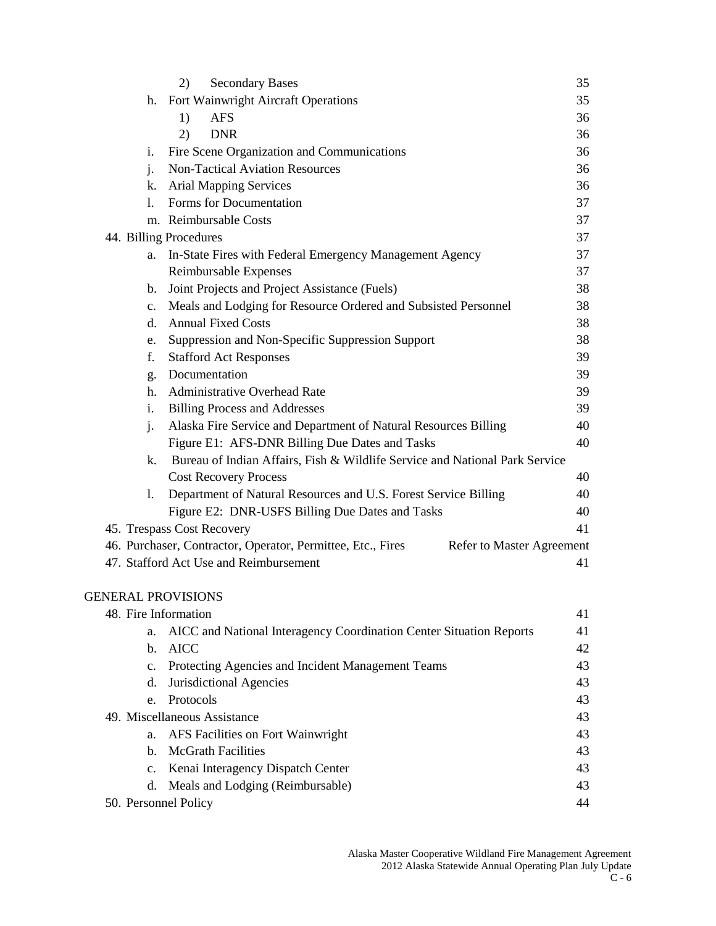|                | <b>Secondary Bases</b><br>2)                                                             | 35 |
|----------------|------------------------------------------------------------------------------------------|----|
|                | h. Fort Wainwright Aircraft Operations                                                   | 35 |
|                | 1)<br><b>AFS</b>                                                                         | 36 |
|                | 2)<br><b>DNR</b>                                                                         | 36 |
| i.             | Fire Scene Organization and Communications                                               | 36 |
| j.             | <b>Non-Tactical Aviation Resources</b>                                                   | 36 |
| k.             | <b>Arial Mapping Services</b>                                                            | 36 |
| 1.             | Forms for Documentation                                                                  | 37 |
|                | m. Reimbursable Costs                                                                    | 37 |
|                | 44. Billing Procedures                                                                   | 37 |
| a.             | In-State Fires with Federal Emergency Management Agency                                  | 37 |
|                | Reimbursable Expenses                                                                    | 37 |
| $b_{1}$        | Joint Projects and Project Assistance (Fuels)                                            | 38 |
| $\mathbf{c}$ . | Meals and Lodging for Resource Ordered and Subsisted Personnel                           | 38 |
| d.             | <b>Annual Fixed Costs</b>                                                                | 38 |
| e.             | Suppression and Non-Specific Suppression Support                                         | 38 |
| f.             | <b>Stafford Act Responses</b>                                                            | 39 |
| g.             | Documentation                                                                            | 39 |
| h.             | <b>Administrative Overhead Rate</b>                                                      | 39 |
| i.             | <b>Billing Process and Addresses</b>                                                     | 39 |
| j.             | Alaska Fire Service and Department of Natural Resources Billing                          | 40 |
|                | Figure E1: AFS-DNR Billing Due Dates and Tasks                                           | 40 |
| k.             | Bureau of Indian Affairs, Fish & Wildlife Service and National Park Service              |    |
|                | <b>Cost Recovery Process</b>                                                             | 40 |
| 1.             | Department of Natural Resources and U.S. Forest Service Billing                          | 40 |
|                | Figure E2: DNR-USFS Billing Due Dates and Tasks                                          | 40 |
|                | 45. Trespass Cost Recovery                                                               | 41 |
|                | 46. Purchaser, Contractor, Operator, Permittee, Etc., Fires<br>Refer to Master Agreement |    |
|                | 47. Stafford Act Use and Reimbursement                                                   | 41 |
|                |                                                                                          |    |
|                | <b>GENERAL PROVISIONS</b>                                                                |    |
|                | 48. Fire Information                                                                     | 41 |
| a.             | AICC and National Interagency Coordination Center Situation Reports                      | 41 |
| $\mathbf{b}$ . | <b>AICC</b>                                                                              | 42 |
| $c_{\cdot}$    | Protecting Agencies and Incident Management Teams                                        | 43 |
| d.             | Jurisdictional Agencies                                                                  | 43 |
| e.             | Protocols                                                                                | 43 |
|                | 49. Miscellaneous Assistance                                                             | 43 |
| a.             | AFS Facilities on Fort Wainwright                                                        | 43 |
| $\mathbf{b}$ . | <b>McGrath Facilities</b>                                                                | 43 |
| $c_{\cdot}$    | Kenai Interagency Dispatch Center                                                        | 43 |
| d.             | Meals and Lodging (Reimbursable)                                                         | 43 |
|                | 50. Personnel Policy                                                                     | 44 |
|                |                                                                                          |    |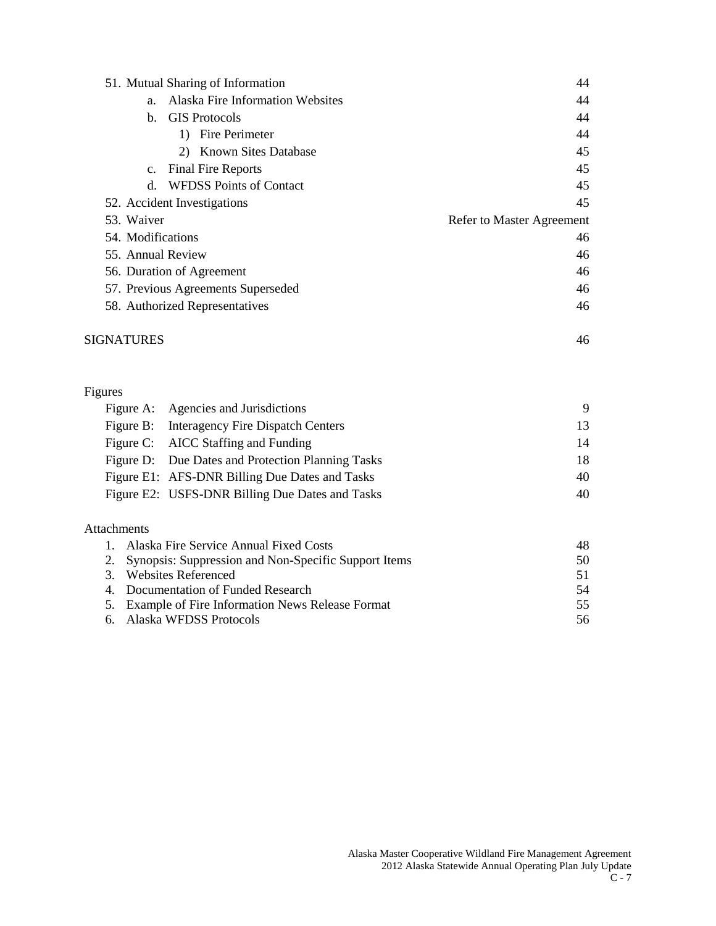|                   | 51. Mutual Sharing of Information       | 44                        |
|-------------------|-----------------------------------------|---------------------------|
| a.                | <b>Alaska Fire Information Websites</b> | 44                        |
| b.                | <b>GIS</b> Protocols                    | 44                        |
|                   | 1) Fire Perimeter                       | 44                        |
|                   | 2) Known Sites Database                 | 45                        |
| $\mathbf{c}$ .    | <b>Final Fire Reports</b>               | 45                        |
| $d_{\cdot}$       | <b>WFDSS Points of Contact</b>          | 45                        |
|                   | 52. Accident Investigations             | 45                        |
|                   |                                         |                           |
| 53. Waiver        |                                         | Refer to Master Agreement |
| 54. Modifications |                                         | 46                        |
| 55. Annual Review |                                         | 46                        |
|                   | 56. Duration of Agreement               | 46                        |
|                   | 57. Previous Agreements Superseded      | 46                        |
|                   | 58. Authorized Representatives          | 46                        |

# Figures

| Figure A: Agencies and Jurisdictions              | 9  |
|---------------------------------------------------|----|
| Figure B: Interagency Fire Dispatch Centers       | 13 |
| Figure C: AICC Staffing and Funding               | 14 |
| Figure D: Due Dates and Protection Planning Tasks | 18 |
| Figure E1: AFS-DNR Billing Due Dates and Tasks    | 40 |
| Figure E2: USFS-DNR Billing Due Dates and Tasks   | 40 |
|                                                   |    |

# Attachments

| 1. Alaska Fire Service Annual Fixed Costs               | 48  |
|---------------------------------------------------------|-----|
| 2. Synopsis: Suppression and Non-Specific Support Items | 50  |
| 3. Websites Referenced                                  | 51  |
| 4. Documentation of Funded Research                     | -54 |
| 5. Example of Fire Information News Release Format      | 55. |
| 6. Alaska WFDSS Protocols                               | 56  |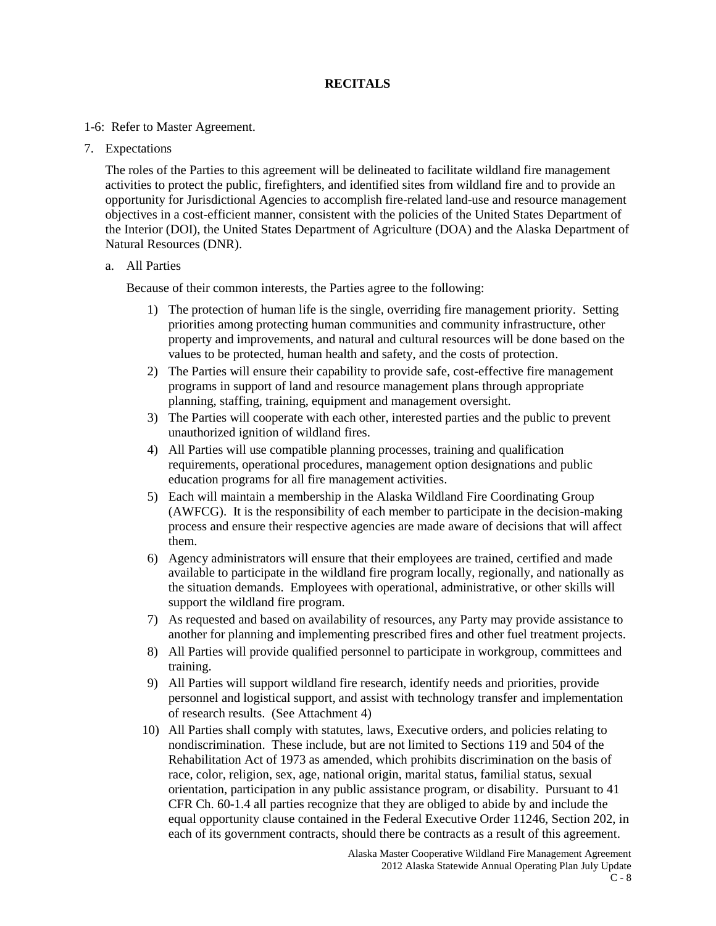# **RECITALS**

#### 1-6: Refer to Master Agreement.

#### 7. Expectations

The roles of the Parties to this agreement will be delineated to facilitate wildland fire management activities to protect the public, firefighters, and identified sites from wildland fire and to provide an opportunity for Jurisdictional Agencies to accomplish fire-related land-use and resource management objectives in a cost-efficient manner, consistent with the policies of the United States Department of the Interior (DOI), the United States Department of Agriculture (DOA) and the Alaska Department of Natural Resources (DNR).

#### a. All Parties

Because of their common interests, the Parties agree to the following:

- 1) The protection of human life is the single, overriding fire management priority. Setting priorities among protecting human communities and community infrastructure, other property and improvements, and natural and cultural resources will be done based on the values to be protected, human health and safety, and the costs of protection.
- 2) The Parties will ensure their capability to provide safe, cost-effective fire management programs in support of land and resource management plans through appropriate planning, staffing, training, equipment and management oversight.
- 3) The Parties will cooperate with each other, interested parties and the public to prevent unauthorized ignition of wildland fires.
- 4) All Parties will use compatible planning processes, training and qualification requirements, operational procedures, management option designations and public education programs for all fire management activities.
- 5) Each will maintain a membership in the Alaska Wildland Fire Coordinating Group (AWFCG). It is the responsibility of each member to participate in the decision-making process and ensure their respective agencies are made aware of decisions that will affect them.
- 6) Agency administrators will ensure that their employees are trained, certified and made available to participate in the wildland fire program locally, regionally, and nationally as the situation demands. Employees with operational, administrative, or other skills will support the wildland fire program.
- 7) As requested and based on availability of resources, any Party may provide assistance to another for planning and implementing prescribed fires and other fuel treatment projects.
- 8) All Parties will provide qualified personnel to participate in workgroup, committees and training.
- 9) All Parties will support wildland fire research, identify needs and priorities, provide personnel and logistical support, and assist with technology transfer and implementation of research results. (See Attachment 4)
- 10) All Parties shall comply with statutes, laws, Executive orders, and policies relating to nondiscrimination. These include, but are not limited to Sections 119 and 504 of the Rehabilitation Act of 1973 as amended, which prohibits discrimination on the basis of race, color, religion, sex, age, national origin, marital status, familial status, sexual orientation, participation in any public assistance program, or disability. Pursuant to 41 CFR Ch. 60-1.4 all parties recognize that they are obliged to abide by and include the equal opportunity clause contained in the Federal Executive Order 11246, Section 202, in each of its government contracts, should there be contracts as a result of this agreement.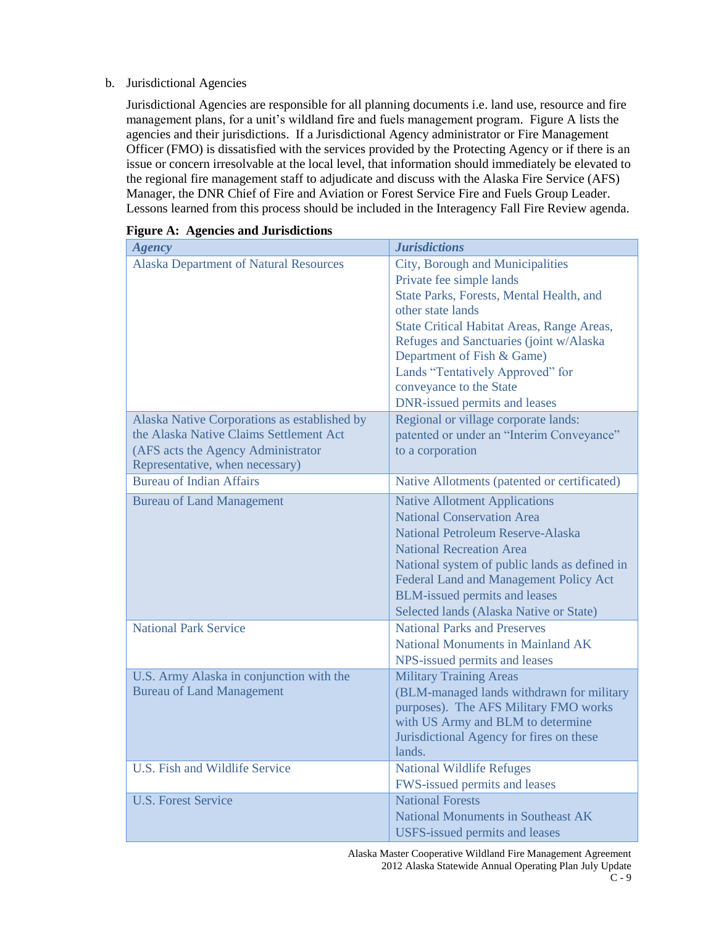#### b. Jurisdictional Agencies

Jurisdictional Agencies are responsible for all planning documents i.e. land use, resource and fire management plans, for a unit's wildland fire and fuels management program. Figure A lists the agencies and their jurisdictions. If a Jurisdictional Agency administrator or Fire Management Officer (FMO) is dissatisfied with the services provided by the Protecting Agency or if there is an issue or concern irresolvable at the local level, that information should immediately be elevated to the regional fire management staff to adjudicate and discuss with the Alaska Fire Service (AFS) Manager, the DNR Chief of Fire and Aviation or Forest Service Fire and Fuels Group Leader. Lessons learned from this process should be included in the Interagency Fall Fire Review agenda.

| <b>Agency</b>                                                                                                                                                    | <b>Jurisdictions</b>                                                                                                                                                                                                                                                                                                                                        |
|------------------------------------------------------------------------------------------------------------------------------------------------------------------|-------------------------------------------------------------------------------------------------------------------------------------------------------------------------------------------------------------------------------------------------------------------------------------------------------------------------------------------------------------|
| <b>Alaska Department of Natural Resources</b>                                                                                                                    | City, Borough and Municipalities<br>Private fee simple lands<br>State Parks, Forests, Mental Health, and<br>other state lands<br>State Critical Habitat Areas, Range Areas,<br>Refuges and Sanctuaries (joint w/Alaska<br>Department of Fish & Game)<br>Lands "Tentatively Approved" for<br>conveyance to the State<br><b>DNR-issued permits and leases</b> |
| Alaska Native Corporations as established by<br>the Alaska Native Claims Settlement Act<br>(AFS acts the Agency Administrator<br>Representative, when necessary) | Regional or village corporate lands:<br>patented or under an "Interim Conveyance"<br>to a corporation                                                                                                                                                                                                                                                       |
| <b>Bureau of Indian Affairs</b>                                                                                                                                  | Native Allotments (patented or certificated)                                                                                                                                                                                                                                                                                                                |
| <b>Bureau of Land Management</b>                                                                                                                                 | <b>Native Allotment Applications</b><br><b>National Conservation Area</b><br>National Petroleum Reserve-Alaska<br><b>National Recreation Area</b><br>National system of public lands as defined in<br>Federal Land and Management Policy Act<br><b>BLM-issued permits and leases</b><br>Selected lands (Alaska Native or State)                             |
| <b>National Park Service</b>                                                                                                                                     | <b>National Parks and Preserves</b><br>National Monuments in Mainland AK<br>NPS-issued permits and leases                                                                                                                                                                                                                                                   |
| U.S. Army Alaska in conjunction with the<br><b>Bureau of Land Management</b>                                                                                     | <b>Military Training Areas</b><br>(BLM-managed lands withdrawn for military<br>purposes). The AFS Military FMO works<br>with US Army and BLM to determine<br>Jurisdictional Agency for fires on these<br>lands.                                                                                                                                             |
| <b>U.S. Fish and Wildlife Service</b>                                                                                                                            | <b>National Wildlife Refuges</b><br>FWS-issued permits and leases                                                                                                                                                                                                                                                                                           |
| <b>U.S. Forest Service</b>                                                                                                                                       | <b>National Forests</b><br><b>National Monuments in Southeast AK</b><br><b>USFS-issued permits and leases</b>                                                                                                                                                                                                                                               |

| <b>Figure A: Agencies and Jurisdictions</b> |  |  |
|---------------------------------------------|--|--|
|                                             |  |  |

Alaska Master Cooperative Wildland Fire Management Agreement 2012 Alaska Statewide Annual Operating Plan July Update  $C - 9$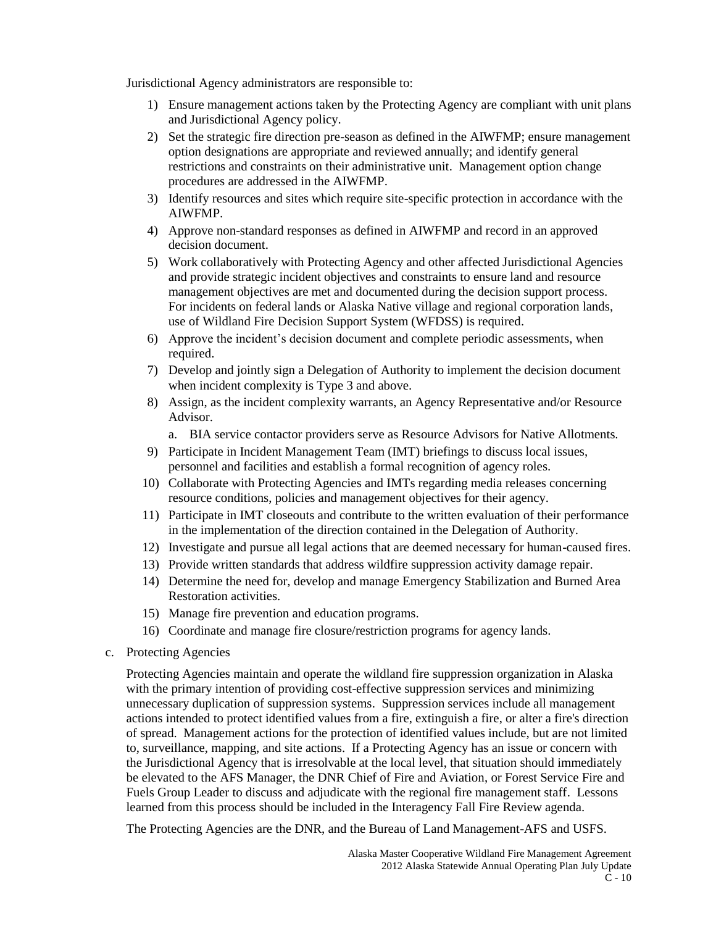Jurisdictional Agency administrators are responsible to:

- 1) Ensure management actions taken by the Protecting Agency are compliant with unit plans and Jurisdictional Agency policy.
- 2) Set the strategic fire direction pre-season as defined in the AIWFMP; ensure management option designations are appropriate and reviewed annually; and identify general restrictions and constraints on their administrative unit. Management option change procedures are addressed in the AIWFMP.
- 3) Identify resources and sites which require site-specific protection in accordance with the AIWFMP.
- 4) Approve non-standard responses as defined in AIWFMP and record in an approved decision document.
- 5) Work collaboratively with Protecting Agency and other affected Jurisdictional Agencies and provide strategic incident objectives and constraints to ensure land and resource management objectives are met and documented during the decision support process. For incidents on federal lands or Alaska Native village and regional corporation lands, use of Wildland Fire Decision Support System (WFDSS) is required.
- 6) Approve the incident's decision document and complete periodic assessments, when required.
- 7) Develop and jointly sign a Delegation of Authority to implement the decision document when incident complexity is Type 3 and above.
- 8) Assign, as the incident complexity warrants, an Agency Representative and/or Resource Advisor.
	- a. BIA service contactor providers serve as Resource Advisors for Native Allotments.
- 9) Participate in Incident Management Team (IMT) briefings to discuss local issues, personnel and facilities and establish a formal recognition of agency roles.
- 10) Collaborate with Protecting Agencies and IMTs regarding media releases concerning resource conditions, policies and management objectives for their agency.
- 11) Participate in IMT closeouts and contribute to the written evaluation of their performance in the implementation of the direction contained in the Delegation of Authority.
- 12) Investigate and pursue all legal actions that are deemed necessary for human-caused fires.
- 13) Provide written standards that address wildfire suppression activity damage repair.
- 14) Determine the need for, develop and manage Emergency Stabilization and Burned Area Restoration activities.
- 15) Manage fire prevention and education programs.
- 16) Coordinate and manage fire closure/restriction programs for agency lands.
- c. Protecting Agencies

Protecting Agencies maintain and operate the wildland fire suppression organization in Alaska with the primary intention of providing cost-effective suppression services and minimizing unnecessary duplication of suppression systems. Suppression services include all management actions intended to protect identified values from a fire, extinguish a fire, or alter a fire's direction of spread. Management actions for the protection of identified values include, but are not limited to, surveillance, mapping, and site actions. If a Protecting Agency has an issue or concern with the Jurisdictional Agency that is irresolvable at the local level, that situation should immediately be elevated to the AFS Manager, the DNR Chief of Fire and Aviation, or Forest Service Fire and Fuels Group Leader to discuss and adjudicate with the regional fire management staff. Lessons learned from this process should be included in the Interagency Fall Fire Review agenda.

The Protecting Agencies are the DNR, and the Bureau of Land Management-AFS and USFS.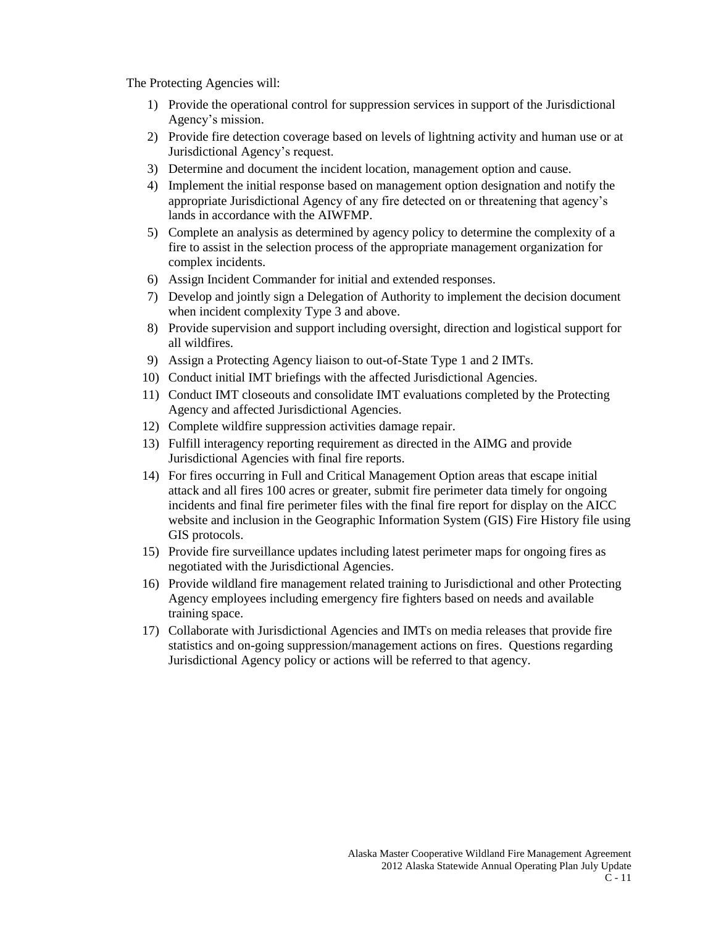The Protecting Agencies will:

- 1) Provide the operational control for suppression services in support of the Jurisdictional Agency's mission.
- 2) Provide fire detection coverage based on levels of lightning activity and human use or at Jurisdictional Agency's request.
- 3) Determine and document the incident location, management option and cause.
- 4) Implement the initial response based on management option designation and notify the appropriate Jurisdictional Agency of any fire detected on or threatening that agency's lands in accordance with the AIWFMP.
- 5) Complete an analysis as determined by agency policy to determine the complexity of a fire to assist in the selection process of the appropriate management organization for complex incidents.
- 6) Assign Incident Commander for initial and extended responses.
- 7) Develop and jointly sign a Delegation of Authority to implement the decision document when incident complexity Type 3 and above.
- 8) Provide supervision and support including oversight, direction and logistical support for all wildfires.
- 9) Assign a Protecting Agency liaison to out-of-State Type 1 and 2 IMTs.
- 10) Conduct initial IMT briefings with the affected Jurisdictional Agencies.
- 11) Conduct IMT closeouts and consolidate IMT evaluations completed by the Protecting Agency and affected Jurisdictional Agencies.
- 12) Complete wildfire suppression activities damage repair.
- 13) Fulfill interagency reporting requirement as directed in the AIMG and provide Jurisdictional Agencies with final fire reports.
- 14) For fires occurring in Full and Critical Management Option areas that escape initial attack and all fires 100 acres or greater, submit fire perimeter data timely for ongoing incidents and final fire perimeter files with the final fire report for display on the AICC website and inclusion in the Geographic Information System (GIS) Fire History file using GIS protocols.
- 15) Provide fire surveillance updates including latest perimeter maps for ongoing fires as negotiated with the Jurisdictional Agencies.
- 16) Provide wildland fire management related training to Jurisdictional and other Protecting Agency employees including emergency fire fighters based on needs and available training space.
- 17) Collaborate with Jurisdictional Agencies and IMTs on media releases that provide fire statistics and on-going suppression/management actions on fires. Questions regarding Jurisdictional Agency policy or actions will be referred to that agency.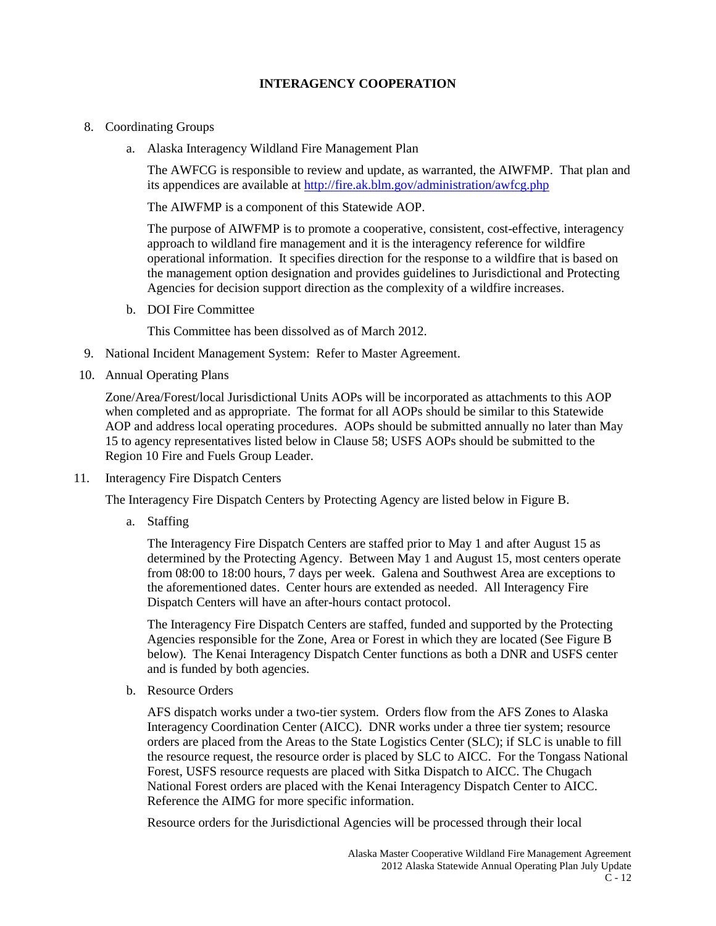# **INTERAGENCY COOPERATION**

- 8. Coordinating Groups
	- a. Alaska Interagency Wildland Fire Management Plan

The AWFCG is responsible to review and update, as warranted, the AIWFMP. That plan and its appendices are available at<http://fire.ak.blm.gov/administration/awfcg.php>

The AIWFMP is a component of this Statewide AOP.

The purpose of AIWFMP is to promote a cooperative, consistent, cost-effective, interagency approach to wildland fire management and it is the interagency reference for wildfire operational information. It specifies direction for the response to a wildfire that is based on the management option designation and provides guidelines to Jurisdictional and Protecting Agencies for decision support direction as the complexity of a wildfire increases.

b. DOI Fire Committee

This Committee has been dissolved as of March 2012.

- 9. National Incident Management System: Refer to Master Agreement.
- 10. Annual Operating Plans

Zone/Area/Forest/local Jurisdictional Units AOPs will be incorporated as attachments to this AOP when completed and as appropriate. The format for all AOPs should be similar to this Statewide AOP and address local operating procedures. AOPs should be submitted annually no later than May 15 to agency representatives listed below in Clause 58; USFS AOPs should be submitted to the Region 10 Fire and Fuels Group Leader.

11. Interagency Fire Dispatch Centers

The Interagency Fire Dispatch Centers by Protecting Agency are listed below in Figure B.

a. Staffing

The Interagency Fire Dispatch Centers are staffed prior to May 1 and after August 15 as determined by the Protecting Agency. Between May 1 and August 15, most centers operate from 08:00 to 18:00 hours, 7 days per week. Galena and Southwest Area are exceptions to the aforementioned dates. Center hours are extended as needed. All Interagency Fire Dispatch Centers will have an after-hours contact protocol.

The Interagency Fire Dispatch Centers are staffed, funded and supported by the Protecting Agencies responsible for the Zone, Area or Forest in which they are located (See Figure B below). The Kenai Interagency Dispatch Center functions as both a DNR and USFS center and is funded by both agencies.

b. Resource Orders

AFS dispatch works under a two-tier system. Orders flow from the AFS Zones to Alaska Interagency Coordination Center (AICC). DNR works under a three tier system; resource orders are placed from the Areas to the State Logistics Center (SLC); if SLC is unable to fill the resource request, the resource order is placed by SLC to AICC. For the Tongass National Forest, USFS resource requests are placed with Sitka Dispatch to AICC. The Chugach National Forest orders are placed with the Kenai Interagency Dispatch Center to AICC. Reference the AIMG for more specific information.

Resource orders for the Jurisdictional Agencies will be processed through their local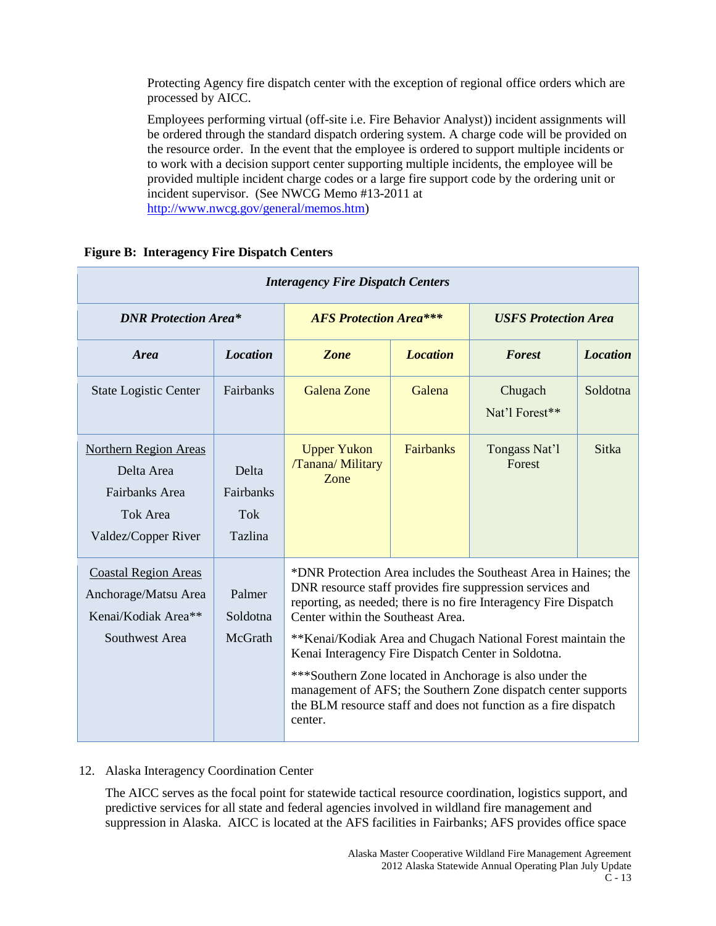Protecting Agency fire dispatch center with the exception of regional office orders which are processed by AICC.

Employees performing virtual (off-site i.e. Fire Behavior Analyst)) incident assignments will be ordered through the standard dispatch ordering system. A charge code will be provided on the resource order. In the event that the employee is ordered to support multiple incidents or to work with a decision support center supporting multiple incidents, the employee will be provided multiple incident charge codes or a large fire support code by the ordering unit or incident supervisor. (See NWCG Memo #13-2011 at [http://www.nwcg.gov/general/memos.htm\)](http://www.nwcg.gov/general/memos.htm)

| <b>Interagency Fire Dispatch Centers</b>                                                        |                                      |                                                                                                                                                                                                                                                                                                                                                                                                                                                                                                                                                                        |                 |                             |                 |
|-------------------------------------------------------------------------------------------------|--------------------------------------|------------------------------------------------------------------------------------------------------------------------------------------------------------------------------------------------------------------------------------------------------------------------------------------------------------------------------------------------------------------------------------------------------------------------------------------------------------------------------------------------------------------------------------------------------------------------|-----------------|-----------------------------|-----------------|
| <b>DNR Protection Area*</b>                                                                     |                                      | <b>AFS Protection Area***</b>                                                                                                                                                                                                                                                                                                                                                                                                                                                                                                                                          |                 | <b>USFS Protection Area</b> |                 |
| <b>Area</b>                                                                                     | <b>Location</b>                      | Zone                                                                                                                                                                                                                                                                                                                                                                                                                                                                                                                                                                   | <b>Location</b> | <b>Forest</b>               | <b>Location</b> |
| <b>State Logistic Center</b>                                                                    | Fairbanks                            | <b>Galena Zone</b>                                                                                                                                                                                                                                                                                                                                                                                                                                                                                                                                                     | Galena          | Chugach<br>Nat'l Forest**   | Soldotna        |
| <b>Northern Region Areas</b><br>Delta Area<br>Fairbanks Area<br>Tok Area<br>Valdez/Copper River | Delta<br>Fairbanks<br>Tok<br>Tazlina | <b>Upper Yukon</b><br>/Tanana/ Military<br>Zone                                                                                                                                                                                                                                                                                                                                                                                                                                                                                                                        | Fairbanks       | Tongass Nat'l<br>Forest     | <b>Sitka</b>    |
| <b>Coastal Region Areas</b><br>Anchorage/Matsu Area<br>Kenai/Kodiak Area**<br>Southwest Area    | Palmer<br>Soldotna<br>McGrath        | *DNR Protection Area includes the Southeast Area in Haines; the<br>DNR resource staff provides fire suppression services and<br>reporting, as needed; there is no fire Interagency Fire Dispatch<br>Center within the Southeast Area.<br>**Kenai/Kodiak Area and Chugach National Forest maintain the<br>Kenai Interagency Fire Dispatch Center in Soldotna.<br>***Southern Zone located in Anchorage is also under the<br>management of AFS; the Southern Zone dispatch center supports<br>the BLM resource staff and does not function as a fire dispatch<br>center. |                 |                             |                 |

# **Figure B: Interagency Fire Dispatch Centers**

#### 12. Alaska Interagency Coordination Center

The AICC serves as the focal point for statewide tactical resource coordination, logistics support, and predictive services for all state and federal agencies involved in wildland fire management and suppression in Alaska. AICC is located at the AFS facilities in Fairbanks; AFS provides office space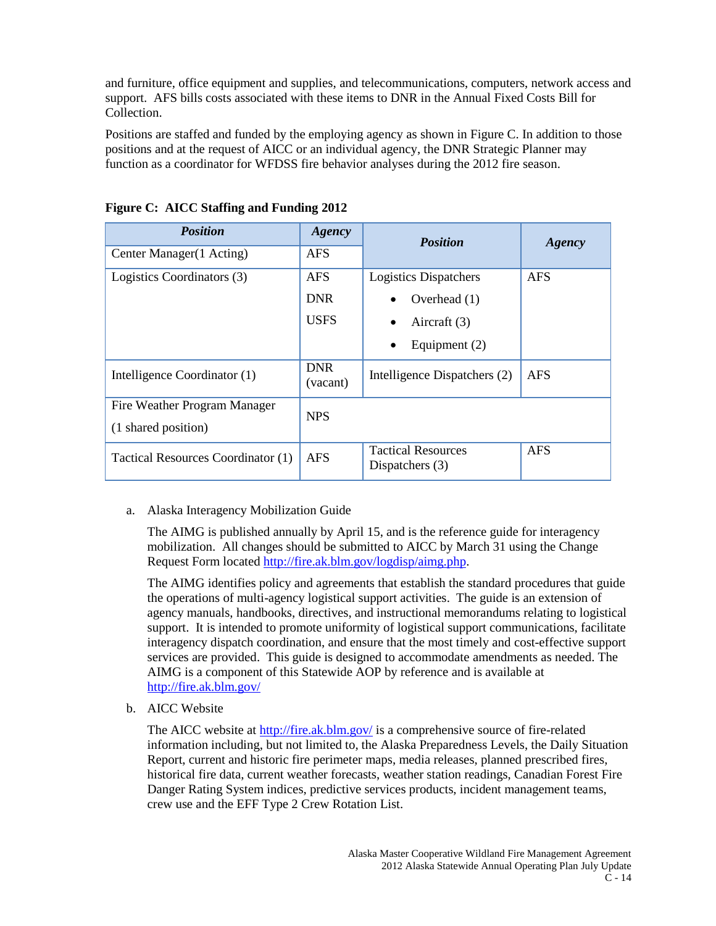and furniture, office equipment and supplies, and telecommunications, computers, network access and support. AFS bills costs associated with these items to DNR in the Annual Fixed Costs Bill for Collection.

Positions are staffed and funded by the employing agency as shown in Figure C. In addition to those positions and at the request of AICC or an individual agency, the DNR Strategic Planner may function as a coordinator for WFDSS fire behavior analyses during the 2012 fire season.

| <b>Position</b>                    | Agency                 | <b>Position</b>                                | Agency     |
|------------------------------------|------------------------|------------------------------------------------|------------|
| Center Manager(1 Acting)           | <b>AFS</b>             |                                                |            |
| Logistics Coordinators (3)         | <b>AFS</b>             | <b>Logistics Dispatchers</b>                   | <b>AFS</b> |
|                                    | <b>DNR</b>             | Overhead $(1)$                                 |            |
|                                    | <b>USES</b>            | Aircraft (3)                                   |            |
|                                    |                        | Equipment $(2)$<br>$\bullet$                   |            |
| Intelligence Coordinator (1)       | <b>DNR</b><br>(vacant) | Intelligence Dispatchers (2)                   | <b>AFS</b> |
| Fire Weather Program Manager       | <b>NPS</b>             |                                                |            |
| (1 shared position)                |                        |                                                |            |
| Tactical Resources Coordinator (1) | <b>AFS</b>             | <b>Tactical Resources</b><br>Dispatchers $(3)$ | <b>AFS</b> |

**Figure C: AICC Staffing and Funding 2012**

# a. Alaska Interagency Mobilization Guide

The AIMG is published annually by April 15, and is the reference guide for interagency mobilization. All changes should be submitted to AICC by March 31 using the Change Request Form located [http://fire.ak.blm.gov/logdisp/aimg.php.](http://fire.ak.blm.gov/logdisp/aimg.php)

The AIMG identifies policy and agreements that establish the standard procedures that guide the operations of multi-agency logistical support activities. The guide is an extension of agency manuals, handbooks, directives, and instructional memorandums relating to logistical support. It is intended to promote uniformity of logistical support communications, facilitate interagency dispatch coordination, and ensure that the most timely and cost-effective support services are provided. This guide is designed to accommodate amendments as needed. The AIMG is a component of this Statewide AOP by reference and is available at <http://fire.ak.blm.gov/>

b. AICC Website

The AICC website at<http://fire.ak.blm.gov/> is a comprehensive source of fire-related information including, but not limited to, the Alaska Preparedness Levels, the Daily Situation Report, current and historic fire perimeter maps, media releases, planned prescribed fires, historical fire data, current weather forecasts, weather station readings, Canadian Forest Fire Danger Rating System indices, predictive services products, incident management teams, crew use and the EFF Type 2 Crew Rotation List.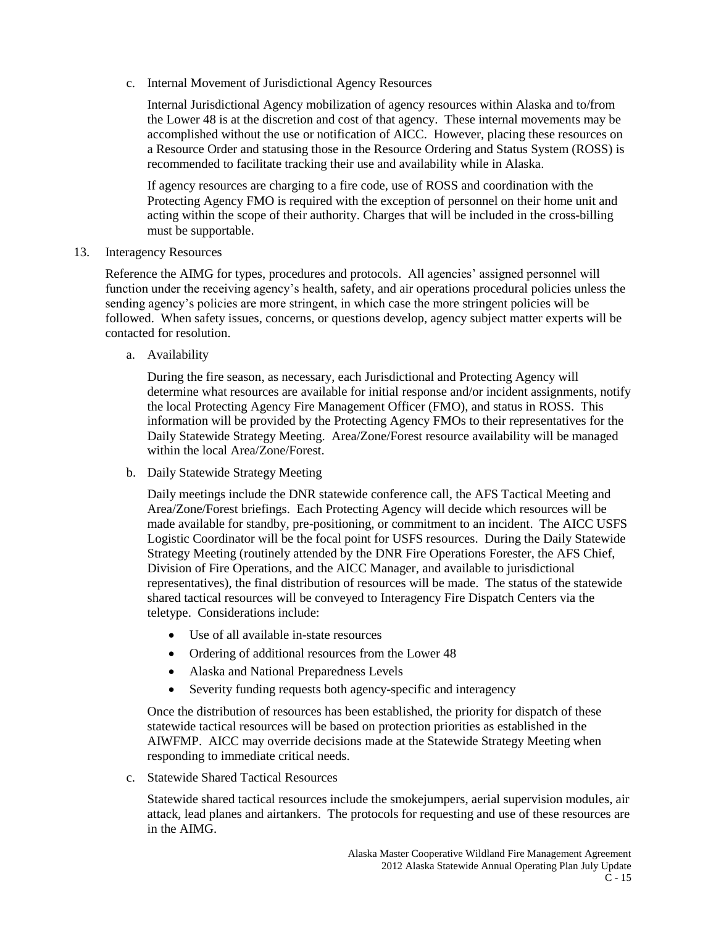c. Internal Movement of Jurisdictional Agency Resources

Internal Jurisdictional Agency mobilization of agency resources within Alaska and to/from the Lower 48 is at the discretion and cost of that agency. These internal movements may be accomplished without the use or notification of AICC. However, placing these resources on a Resource Order and statusing those in the Resource Ordering and Status System (ROSS) is recommended to facilitate tracking their use and availability while in Alaska.

If agency resources are charging to a fire code, use of ROSS and coordination with the Protecting Agency FMO is required with the exception of personnel on their home unit and acting within the scope of their authority. Charges that will be included in the cross-billing must be supportable.

13. Interagency Resources

Reference the AIMG for types, procedures and protocols. All agencies' assigned personnel will function under the receiving agency's health, safety, and air operations procedural policies unless the sending agency's policies are more stringent, in which case the more stringent policies will be followed. When safety issues, concerns, or questions develop, agency subject matter experts will be contacted for resolution.

a. Availability

During the fire season, as necessary, each Jurisdictional and Protecting Agency will determine what resources are available for initial response and/or incident assignments, notify the local Protecting Agency Fire Management Officer (FMO), and status in ROSS. This information will be provided by the Protecting Agency FMOs to their representatives for the Daily Statewide Strategy Meeting. Area/Zone/Forest resource availability will be managed within the local Area/Zone/Forest.

b. Daily Statewide Strategy Meeting

Daily meetings include the DNR statewide conference call, the AFS Tactical Meeting and Area/Zone/Forest briefings. Each Protecting Agency will decide which resources will be made available for standby, pre-positioning, or commitment to an incident. The AICC USFS Logistic Coordinator will be the focal point for USFS resources. During the Daily Statewide Strategy Meeting (routinely attended by the DNR Fire Operations Forester, the AFS Chief, Division of Fire Operations, and the AICC Manager, and available to jurisdictional representatives), the final distribution of resources will be made. The status of the statewide shared tactical resources will be conveyed to Interagency Fire Dispatch Centers via the teletype. Considerations include:

- Use of all available in-state resources
- Ordering of additional resources from the Lower 48
- Alaska and National Preparedness Levels
- Severity funding requests both agency-specific and interagency

Once the distribution of resources has been established, the priority for dispatch of these statewide tactical resources will be based on protection priorities as established in the AIWFMP. AICC may override decisions made at the Statewide Strategy Meeting when responding to immediate critical needs.

c. Statewide Shared Tactical Resources

Statewide shared tactical resources include the smokejumpers, aerial supervision modules, air attack, lead planes and airtankers. The protocols for requesting and use of these resources are in the AIMG.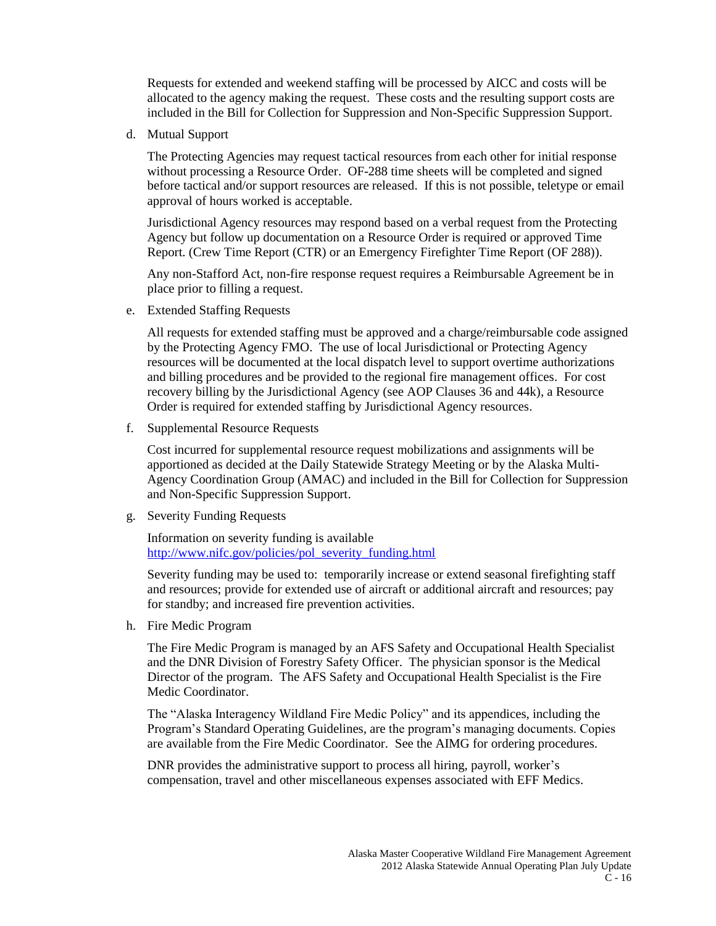Requests for extended and weekend staffing will be processed by AICC and costs will be allocated to the agency making the request. These costs and the resulting support costs are included in the Bill for Collection for Suppression and Non-Specific Suppression Support.

d. Mutual Support

The Protecting Agencies may request tactical resources from each other for initial response without processing a Resource Order. OF-288 time sheets will be completed and signed before tactical and/or support resources are released. If this is not possible, teletype or email approval of hours worked is acceptable.

Jurisdictional Agency resources may respond based on a verbal request from the Protecting Agency but follow up documentation on a Resource Order is required or approved Time Report. (Crew Time Report (CTR) or an Emergency Firefighter Time Report (OF 288)).

Any non-Stafford Act, non-fire response request requires a Reimbursable Agreement be in place prior to filling a request.

e. Extended Staffing Requests

All requests for extended staffing must be approved and a charge/reimbursable code assigned by the Protecting Agency FMO. The use of local Jurisdictional or Protecting Agency resources will be documented at the local dispatch level to support overtime authorizations and billing procedures and be provided to the regional fire management offices. For cost recovery billing by the Jurisdictional Agency (see AOP Clauses 36 and 44k), a Resource Order is required for extended staffing by Jurisdictional Agency resources.

f. Supplemental Resource Requests

Cost incurred for supplemental resource request mobilizations and assignments will be apportioned as decided at the Daily Statewide Strategy Meeting or by the Alaska Multi-Agency Coordination Group (AMAC) and included in the Bill for Collection for Suppression and Non-Specific Suppression Support.

g. Severity Funding Requests

Information on severity funding is available [http://www.nifc.gov/policies/pol\\_severity\\_funding.html](http://www.nifc.gov/policies/pol_severity_funding.html)

Severity funding may be used to: temporarily increase or extend seasonal firefighting staff and resources; provide for extended use of aircraft or additional aircraft and resources; pay for standby; and increased fire prevention activities.

h. Fire Medic Program

The Fire Medic Program is managed by an AFS Safety and Occupational Health Specialist and the DNR Division of Forestry Safety Officer. The physician sponsor is the Medical Director of the program. The AFS Safety and Occupational Health Specialist is the Fire Medic Coordinator.

The "Alaska Interagency Wildland Fire Medic Policy" and its appendices, including the Program's Standard Operating Guidelines, are the program's managing documents. Copies are available from the Fire Medic Coordinator. See the AIMG for ordering procedures.

DNR provides the administrative support to process all hiring, payroll, worker's compensation, travel and other miscellaneous expenses associated with EFF Medics.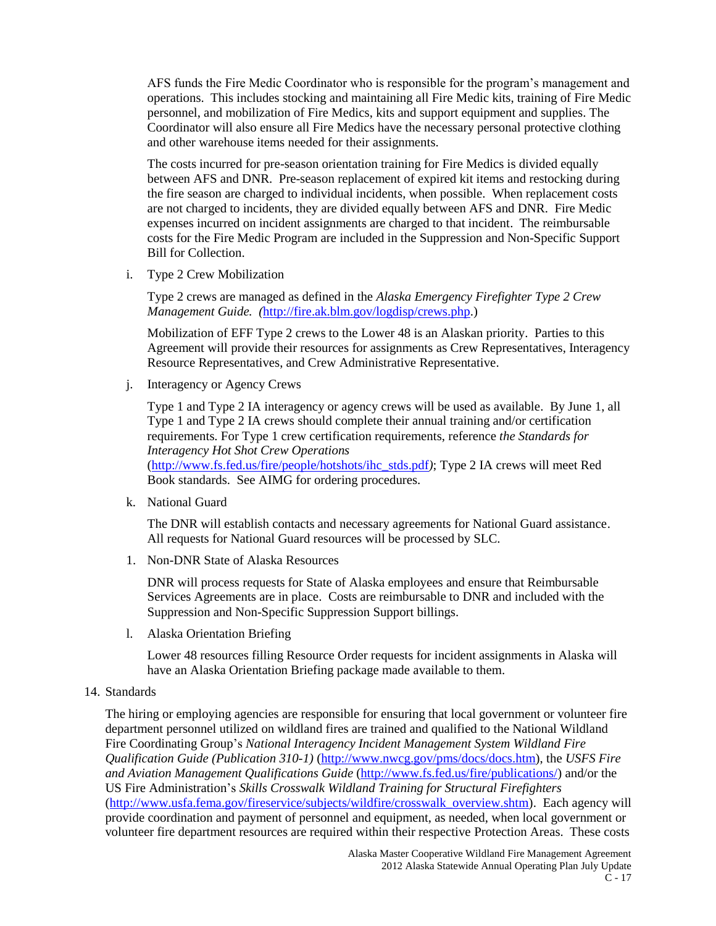AFS funds the Fire Medic Coordinator who is responsible for the program's management and operations. This includes stocking and maintaining all Fire Medic kits, training of Fire Medic personnel, and mobilization of Fire Medics, kits and support equipment and supplies. The Coordinator will also ensure all Fire Medics have the necessary personal protective clothing and other warehouse items needed for their assignments.

The costs incurred for pre-season orientation training for Fire Medics is divided equally between AFS and DNR. Pre-season replacement of expired kit items and restocking during the fire season are charged to individual incidents, when possible. When replacement costs are not charged to incidents, they are divided equally between AFS and DNR. Fire Medic expenses incurred on incident assignments are charged to that incident. The reimbursable costs for the Fire Medic Program are included in the Suppression and Non-Specific Support Bill for Collection.

i. Type 2 Crew Mobilization

Type 2 crews are managed as defined in the *Alaska Emergency Firefighter Type 2 Crew Management Guide. (*[http://fire.ak.blm.gov/logdisp/crews.php.](http://fire.ak.blm.gov/logdisp/crews.php))

Mobilization of EFF Type 2 crews to the Lower 48 is an Alaskan priority. Parties to this Agreement will provide their resources for assignments as Crew Representatives, Interagency Resource Representatives, and Crew Administrative Representative.

j. Interagency or Agency Crews

Type 1 and Type 2 IA interagency or agency crews will be used as available. By June 1, all Type 1 and Type 2 IA crews should complete their annual training and/or certification requirements. For Type 1 crew certification requirements, reference *the Standards for Interagency Hot Shot Crew Operations*  [\(http://www.fs.fed.us/fire/people/hotshots/ihc\\_stds.pdf](http://www.fs.fed.us/fire/people/hotshots/ihc_stds.pdf)*)*; Type 2 IA crews will meet Red

Book standards. See AIMG for ordering procedures.

k. National Guard

The DNR will establish contacts and necessary agreements for National Guard assistance. All requests for National Guard resources will be processed by SLC.

1. Non-DNR State of Alaska Resources

DNR will process requests for State of Alaska employees and ensure that Reimbursable Services Agreements are in place. Costs are reimbursable to DNR and included with the Suppression and Non-Specific Suppression Support billings.

l. Alaska Orientation Briefing

Lower 48 resources filling Resource Order requests for incident assignments in Alaska will have an Alaska Orientation Briefing package made available to them.

14. Standards

The hiring or employing agencies are responsible for ensuring that local government or volunteer fire department personnel utilized on wildland fires are trained and qualified to the National Wildland Fire Coordinating Group's *National Interagency Incident Management System Wildland Fire Qualification Guide (Publication 310-1)* [\(http://www.nwcg.gov/pms/docs/docs.htm\)](http://www.nwcg.gov/pms/docs/docs.htm), the *USFS Fire and Aviation Management Qualifications Guide* [\(http://www.fs.fed.us/fire/publications/\)](http://www.fs.fed.us/fire/publications/) and/or the US Fire Administration's *Skills Crosswalk Wildland Training for Structural Firefighters* [\(http://www.usfa.fema.gov/fireservice/subjects/wildfire/crosswalk\\_overview.shtm\)](http://www.usfa.fema.gov/fireservice/subjects/wildfire/crosswalk_overview.shtm). Each agency will provide coordination and payment of personnel and equipment, as needed, when local government or volunteer fire department resources are required within their respective Protection Areas. These costs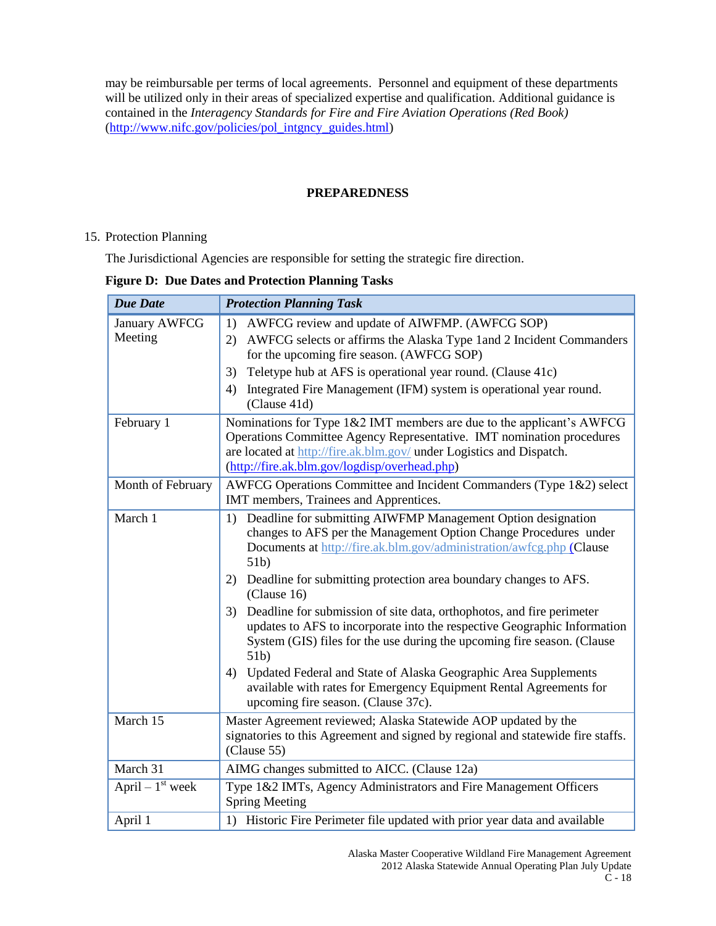may be reimbursable per terms of local agreements. Personnel and equipment of these departments will be utilized only in their areas of specialized expertise and qualification. Additional guidance is contained in the *Interagency Standards for Fire and Fire Aviation Operations (Red Book)*  [\(http://www.nifc.gov/policies/pol\\_intgncy\\_guides.html\)](http://www.nifc.gov/policies/pol_intgncy_guides.html)

# **PREPAREDNESS**

# 15. Protection Planning

The Jurisdictional Agencies are responsible for setting the strategic fire direction.

# **Figure D: Due Dates and Protection Planning Tasks**

| <b>Due Date</b>                 | <b>Protection Planning Task</b>                                                                                                                                                                                                                                         |
|---------------------------------|-------------------------------------------------------------------------------------------------------------------------------------------------------------------------------------------------------------------------------------------------------------------------|
| <b>January AWFCG</b><br>Meeting | AWFCG review and update of AIWFMP. (AWFCG SOP)<br>1)<br>AWFCG selects or affirms the Alaska Type 1 and 2 Incident Commanders<br>(2)<br>for the upcoming fire season. (AWFCG SOP)                                                                                        |
|                                 | Teletype hub at AFS is operational year round. (Clause 41c)<br>3)                                                                                                                                                                                                       |
|                                 | Integrated Fire Management (IFM) system is operational year round.<br>4)<br>(Clause 41d)                                                                                                                                                                                |
| February 1                      | Nominations for Type 1&2 IMT members are due to the applicant's AWFCG<br>Operations Committee Agency Representative. IMT nomination procedures<br>are located at http://fire.ak.blm.gov/ under Logistics and Dispatch.<br>(http://fire.ak.blm.gov/logdisp/overhead.php) |
| Month of February               | AWFCG Operations Committee and Incident Commanders (Type 1&2) select<br>IMT members, Trainees and Apprentices.                                                                                                                                                          |
| March 1                         | Deadline for submitting AIWFMP Management Option designation<br>1)<br>changes to AFS per the Management Option Change Procedures under<br>Documents at http://fire.ak.blm.gov/administration/awfcg.php (Clause<br>51b)                                                  |
|                                 | 2) Deadline for submitting protection area boundary changes to AFS.<br>(Clause 16)                                                                                                                                                                                      |
|                                 | Deadline for submission of site data, orthophotos, and fire perimeter<br>3)<br>updates to AFS to incorporate into the respective Geographic Information<br>System (GIS) files for the use during the upcoming fire season. (Clause<br>51 <sub>b</sub>                   |
|                                 | Updated Federal and State of Alaska Geographic Area Supplements<br>4)<br>available with rates for Emergency Equipment Rental Agreements for<br>upcoming fire season. (Clause 37c).                                                                                      |
| March 15                        | Master Agreement reviewed; Alaska Statewide AOP updated by the<br>signatories to this Agreement and signed by regional and statewide fire staffs.<br>(Clause 55)                                                                                                        |
| March 31                        | AIMG changes submitted to AICC. (Clause 12a)                                                                                                                                                                                                                            |
| April $-1$ <sup>st</sup> week   | Type 1&2 IMTs, Agency Administrators and Fire Management Officers<br><b>Spring Meeting</b>                                                                                                                                                                              |
| April 1                         | 1) Historic Fire Perimeter file updated with prior year data and available                                                                                                                                                                                              |

Alaska Master Cooperative Wildland Fire Management Agreement 2012 Alaska Statewide Annual Operating Plan July Update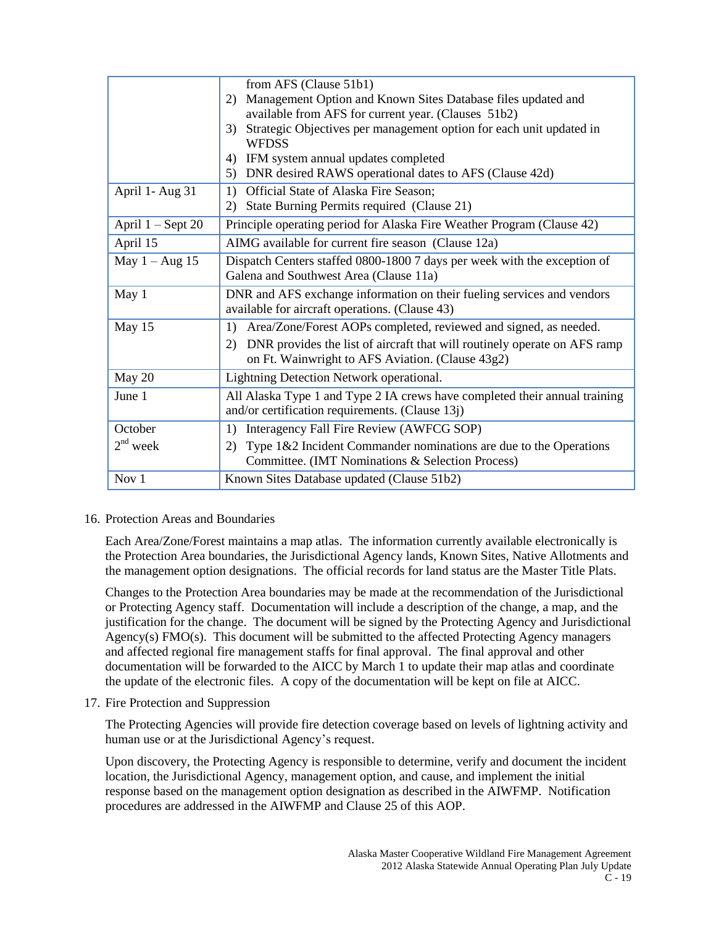|                     | from AFS (Clause 51b1)                                                                                                              |
|---------------------|-------------------------------------------------------------------------------------------------------------------------------------|
|                     | 2) Management Option and Known Sites Database files updated and                                                                     |
|                     | available from AFS for current year. (Clauses 51b2)                                                                                 |
|                     | Strategic Objectives per management option for each unit updated in<br>3)<br><b>WFDSS</b>                                           |
|                     | IFM system annual updates completed<br>4)                                                                                           |
|                     | 5) DNR desired RAWS operational dates to AFS (Clause 42d)                                                                           |
| April 1- Aug 31     | Official State of Alaska Fire Season;<br>1)                                                                                         |
|                     | State Burning Permits required (Clause 21)<br>2)                                                                                    |
| April $1 -$ Sept 20 | Principle operating period for Alaska Fire Weather Program (Clause 42)                                                              |
| April 15            | AIMG available for current fire season (Clause 12a)                                                                                 |
| May $1 - Aug$ 15    | Dispatch Centers staffed 0800-1800 7 days per week with the exception of                                                            |
|                     | Galena and Southwest Area (Clause 11a)                                                                                              |
| May 1               | DNR and AFS exchange information on their fueling services and vendors                                                              |
|                     | available for aircraft operations. (Clause 43)                                                                                      |
| May 15              | 1) Area/Zone/Forest AOPs completed, reviewed and signed, as needed.                                                                 |
|                     | DNR provides the list of aircraft that will routinely operate on AFS ramp<br>2)<br>on Ft. Wainwright to AFS Aviation. (Clause 43g2) |
| May 20              | Lightning Detection Network operational.                                                                                            |
| June 1              | All Alaska Type 1 and Type 2 IA crews have completed their annual training<br>and/or certification requirements. (Clause 13j)       |
| October             | 1) Interagency Fall Fire Review (AWFCG SOP)                                                                                         |
| $2nd$ week          | Type $1&2$ Incident Commander nominations are due to the Operations<br>2)<br>Committee. (IMT Nominations & Selection Process)       |
| Nov 1               | Known Sites Database updated (Clause 51b2)                                                                                          |

16. Protection Areas and Boundaries

Each Area/Zone/Forest maintains a map atlas. The information currently available electronically is the Protection Area boundaries, the Jurisdictional Agency lands, Known Sites, Native Allotments and the management option designations. The official records for land status are the Master Title Plats.

Changes to the Protection Area boundaries may be made at the recommendation of the Jurisdictional or Protecting Agency staff. Documentation will include a description of the change, a map, and the justification for the change. The document will be signed by the Protecting Agency and Jurisdictional Agency(s) FMO(s). This document will be submitted to the affected Protecting Agency managers and affected regional fire management staffs for final approval. The final approval and other documentation will be forwarded to the AICC by March 1 to update their map atlas and coordinate the update of the electronic files. A copy of the documentation will be kept on file at AICC.

17. Fire Protection and Suppression

The Protecting Agencies will provide fire detection coverage based on levels of lightning activity and human use or at the Jurisdictional Agency's request.

Upon discovery, the Protecting Agency is responsible to determine, verify and document the incident location, the Jurisdictional Agency, management option, and cause, and implement the initial response based on the management option designation as described in the AIWFMP. Notification procedures are addressed in the AIWFMP and Clause 25 of this AOP.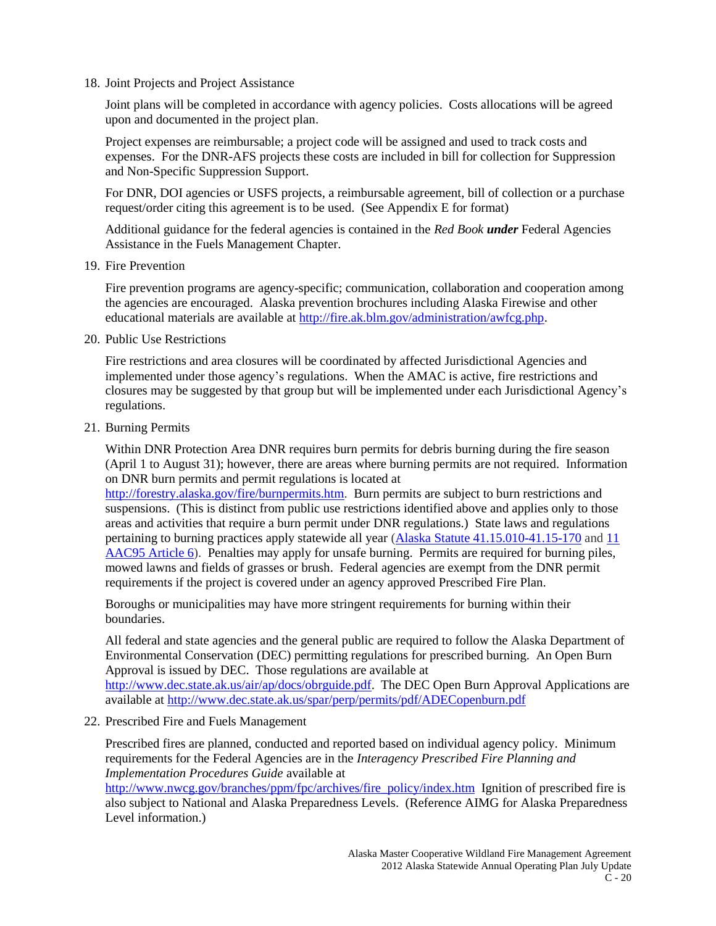18. Joint Projects and Project Assistance

Joint plans will be completed in accordance with agency policies. Costs allocations will be agreed upon and documented in the project plan.

Project expenses are reimbursable; a project code will be assigned and used to track costs and expenses. For the DNR-AFS projects these costs are included in bill for collection for Suppression and Non-Specific Suppression Support.

For DNR, DOI agencies or USFS projects, a reimbursable agreement, bill of collection or a purchase request/order citing this agreement is to be used. (See Appendix E for format)

Additional guidance for the federal agencies is contained in the *Red Book under* Federal Agencies Assistance in the Fuels Management Chapter.

19. Fire Prevention

Fire prevention programs are agency-specific; communication, collaboration and cooperation among the agencies are encouraged. Alaska prevention brochures including Alaska Firewise and other educational materials are available at [http://fire.ak.blm.gov/administration/awfcg.php.](http://fire.ak.blm.gov/administration/awfcg.php)

20. Public Use Restrictions

Fire restrictions and area closures will be coordinated by affected Jurisdictional Agencies and implemented under those agency's regulations. When the AMAC is active, fire restrictions and closures may be suggested by that group but will be implemented under each Jurisdictional Agency's regulations.

21. Burning Permits

Within DNR Protection Area DNR requires burn permits for debris burning during the fire season (April 1 to August 31); however, there are areas where burning permits are not required. Information on DNR burn permits and permit regulations is located at

[http://forestry.alaska.gov/fire/burnpermits.htm.](http://forestry.alaska.gov/fire/burnpermits.htm) Burn permits are subject to burn restrictions and suspensions. (This is distinct from public use restrictions identified above and applies only to those areas and activities that require a burn permit under DNR regulations.) State laws and regulations pertaining to burning practices apply statewide all year (Alaska Statute [41.15.010-41.15-170](http://forestry.alaska.gov/pdfs/AS4115.pdf) an[d 11](http://forestry.alaska.gov/pdfs/11AAC95art6.pdf)  [AAC95 Article 6\)](http://forestry.alaska.gov/pdfs/11AAC95art6.pdf). Penalties may apply for unsafe burning. Permits are required for burning piles, mowed lawns and fields of grasses or brush. Federal agencies are exempt from the DNR permit requirements if the project is covered under an agency approved Prescribed Fire Plan.

Boroughs or municipalities may have more stringent requirements for burning within their boundaries.

All federal and state agencies and the general public are required to follow the Alaska Department of Environmental Conservation (DEC) permitting regulations for prescribed burning. An Open Burn Approval is issued by DEC. Those regulations are available at [http://www.dec.state.ak.us/air/ap/docs/obrguide.pdf.](http://www.dec.state.ak.us/air/ap/docs/obrguide.pdf) The DEC Open Burn Approval Applications are available at<http://www.dec.state.ak.us/spar/perp/permits/pdf/ADECopenburn.pdf>

22. Prescribed Fire and Fuels Management

Prescribed fires are planned, conducted and reported based on individual agency policy. Minimum requirements for the Federal Agencies are in the *Interagency Prescribed Fire Planning and Implementation Procedures Guide* available at

[http://www.nwcg.gov/branches/ppm/fpc/archives/fire\\_policy/index.htm](http://www.nwcg.gov/branches/ppm/fpc/archives/fire_policy/index.htm) Ignition of prescribed fire is also subject to National and Alaska Preparedness Levels. (Reference AIMG for Alaska Preparedness Level information.)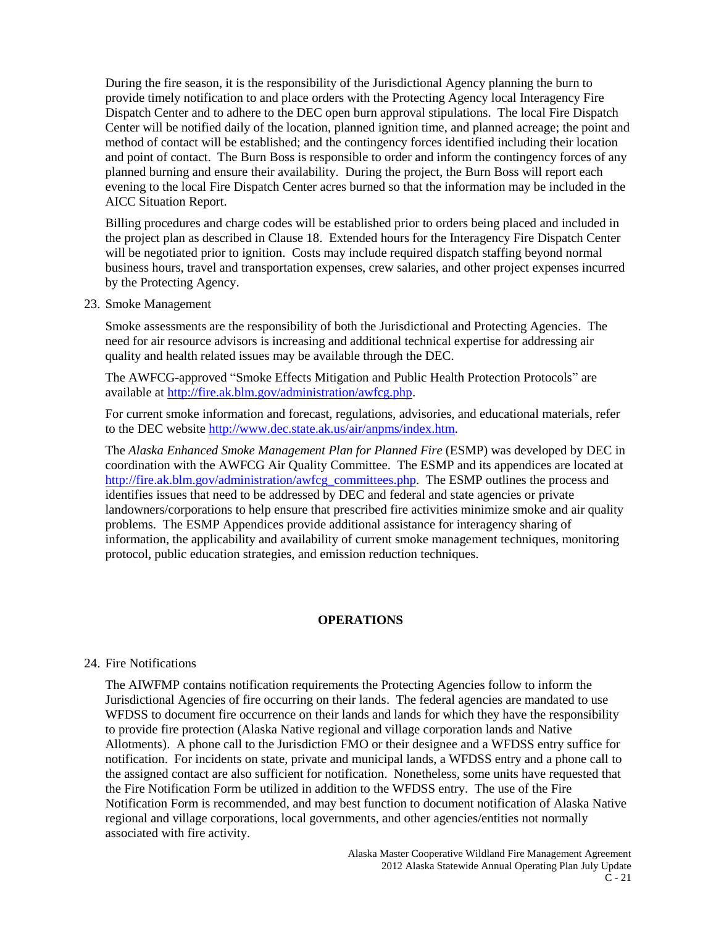During the fire season, it is the responsibility of the Jurisdictional Agency planning the burn to provide timely notification to and place orders with the Protecting Agency local Interagency Fire Dispatch Center and to adhere to the DEC open burn approval stipulations. The local Fire Dispatch Center will be notified daily of the location, planned ignition time, and planned acreage; the point and method of contact will be established; and the contingency forces identified including their location and point of contact. The Burn Boss is responsible to order and inform the contingency forces of any planned burning and ensure their availability. During the project, the Burn Boss will report each evening to the local Fire Dispatch Center acres burned so that the information may be included in the AICC Situation Report.

Billing procedures and charge codes will be established prior to orders being placed and included in the project plan as described in Clause 18. Extended hours for the Interagency Fire Dispatch Center will be negotiated prior to ignition. Costs may include required dispatch staffing beyond normal business hours, travel and transportation expenses, crew salaries, and other project expenses incurred by the Protecting Agency.

23. Smoke Management

Smoke assessments are the responsibility of both the Jurisdictional and Protecting Agencies. The need for air resource advisors is increasing and additional technical expertise for addressing air quality and health related issues may be available through the DEC.

The AWFCG-approved "Smoke Effects Mitigation and Public Health Protection Protocols" are available at [http://fire.ak.blm.gov/administration/awfcg.php.](http://fire.ak.blm.gov/administration/awfcg.php)

For current smoke information and forecast, regulations, advisories, and educational materials, refer to the DEC website [http://www.dec.state.ak.us/air/anpms/index.htm.](http://www.dec.state.ak.us/air/anpms/index.htm)

The *Alaska Enhanced Smoke Management Plan for Planned Fire* (ESMP) was developed by DEC in coordination with the AWFCG Air Quality Committee. The ESMP and its appendices are located at [http://fire.ak.blm.gov/administration/awfcg\\_committees.php.](http://fire.ak.blm.gov/administration/awfcg_committees.php) The ESMP outlines the process and identifies issues that need to be addressed by DEC and federal and state agencies or private landowners/corporations to help ensure that prescribed fire activities minimize smoke and air quality problems. The ESMP Appendices provide additional assistance for interagency sharing of information, the applicability and availability of current smoke management techniques, monitoring protocol, public education strategies, and emission reduction techniques.

#### **OPERATIONS**

#### 24. Fire Notifications

The AIWFMP contains notification requirements the Protecting Agencies follow to inform the Jurisdictional Agencies of fire occurring on their lands. The federal agencies are mandated to use WFDSS to document fire occurrence on their lands and lands for which they have the responsibility to provide fire protection (Alaska Native regional and village corporation lands and Native Allotments). A phone call to the Jurisdiction FMO or their designee and a WFDSS entry suffice for notification. For incidents on state, private and municipal lands, a WFDSS entry and a phone call to the assigned contact are also sufficient for notification. Nonetheless, some units have requested that the Fire Notification Form be utilized in addition to the WFDSS entry. The use of the Fire Notification Form is recommended, and may best function to document notification of Alaska Native regional and village corporations, local governments, and other agencies/entities not normally associated with fire activity.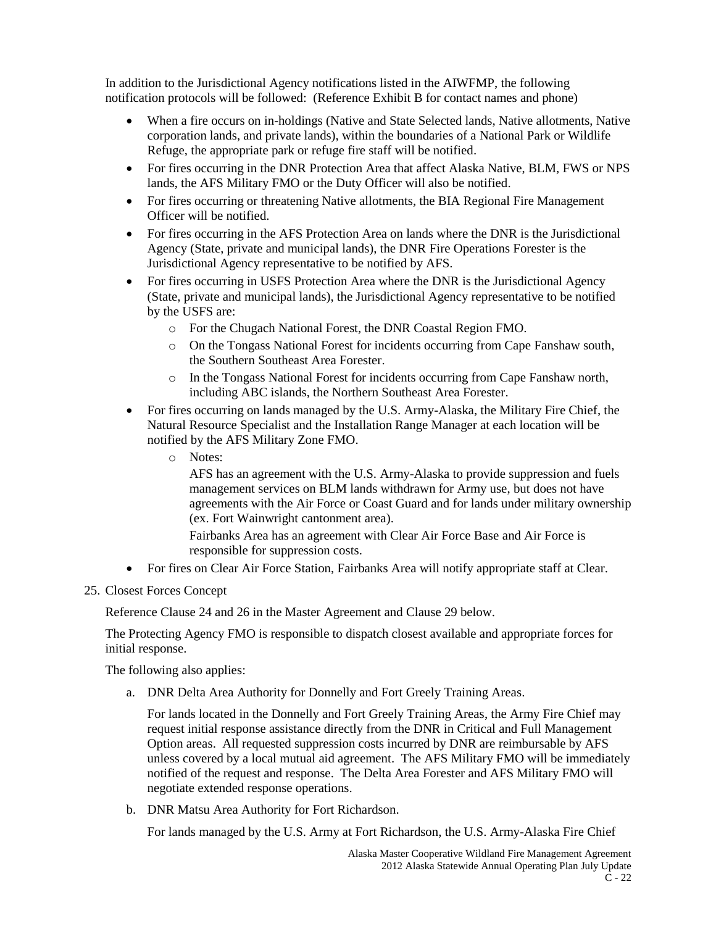In addition to the Jurisdictional Agency notifications listed in the AIWFMP, the following notification protocols will be followed: (Reference Exhibit B for contact names and phone)

- When a fire occurs on in-holdings (Native and State Selected lands, Native allotments, Native corporation lands, and private lands), within the boundaries of a National Park or Wildlife Refuge, the appropriate park or refuge fire staff will be notified.
- For fires occurring in the DNR Protection Area that affect Alaska Native, BLM, FWS or NPS lands, the AFS Military FMO or the Duty Officer will also be notified.
- For fires occurring or threatening Native allotments, the BIA Regional Fire Management Officer will be notified.
- For fires occurring in the AFS Protection Area on lands where the DNR is the Jurisdictional Agency (State, private and municipal lands), the DNR Fire Operations Forester is the Jurisdictional Agency representative to be notified by AFS.
- For fires occurring in USFS Protection Area where the DNR is the Jurisdictional Agency (State, private and municipal lands), the Jurisdictional Agency representative to be notified by the USFS are:
	- o For the Chugach National Forest, the DNR Coastal Region FMO.
	- o On the Tongass National Forest for incidents occurring from Cape Fanshaw south, the Southern Southeast Area Forester.
	- o In the Tongass National Forest for incidents occurring from Cape Fanshaw north, including ABC islands, the Northern Southeast Area Forester.
- For fires occurring on lands managed by the U.S. Army-Alaska, the Military Fire Chief, the Natural Resource Specialist and the Installation Range Manager at each location will be notified by the AFS Military Zone FMO.
	- o Notes:

AFS has an agreement with the U.S. Army-Alaska to provide suppression and fuels management services on BLM lands withdrawn for Army use, but does not have agreements with the Air Force or Coast Guard and for lands under military ownership (ex. Fort Wainwright cantonment area).

Fairbanks Area has an agreement with Clear Air Force Base and Air Force is responsible for suppression costs.

- For fires on Clear Air Force Station, Fairbanks Area will notify appropriate staff at Clear.
- 25. Closest Forces Concept

Reference Clause 24 and 26 in the Master Agreement and Clause 29 below.

The Protecting Agency FMO is responsible to dispatch closest available and appropriate forces for initial response.

The following also applies:

a. DNR Delta Area Authority for Donnelly and Fort Greely Training Areas.

For lands located in the Donnelly and Fort Greely Training Areas, the Army Fire Chief may request initial response assistance directly from the DNR in Critical and Full Management Option areas. All requested suppression costs incurred by DNR are reimbursable by AFS unless covered by a local mutual aid agreement. The AFS Military FMO will be immediately notified of the request and response. The Delta Area Forester and AFS Military FMO will negotiate extended response operations.

b. DNR Matsu Area Authority for Fort Richardson.

For lands managed by the U.S. Army at Fort Richardson, the U.S. Army-Alaska Fire Chief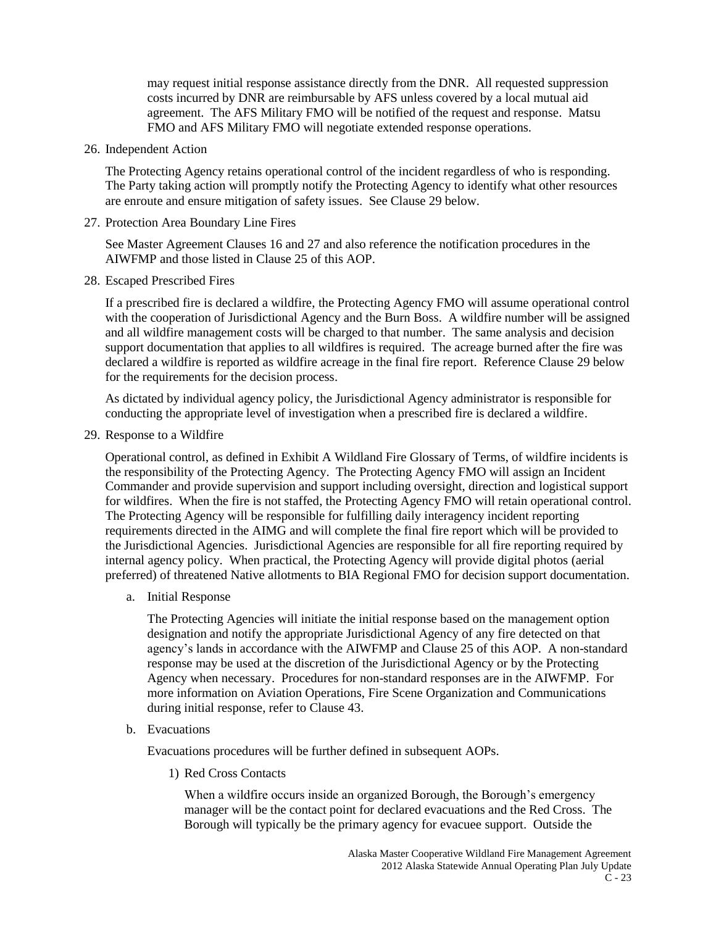may request initial response assistance directly from the DNR. All requested suppression costs incurred by DNR are reimbursable by AFS unless covered by a local mutual aid agreement. The AFS Military FMO will be notified of the request and response. Matsu FMO and AFS Military FMO will negotiate extended response operations.

26. Independent Action

The Protecting Agency retains operational control of the incident regardless of who is responding. The Party taking action will promptly notify the Protecting Agency to identify what other resources are enroute and ensure mitigation of safety issues. See Clause 29 below.

27. Protection Area Boundary Line Fires

See Master Agreement Clauses 16 and 27 and also reference the notification procedures in the AIWFMP and those listed in Clause 25 of this AOP.

28. Escaped Prescribed Fires

If a prescribed fire is declared a wildfire, the Protecting Agency FMO will assume operational control with the cooperation of Jurisdictional Agency and the Burn Boss. A wildfire number will be assigned and all wildfire management costs will be charged to that number. The same analysis and decision support documentation that applies to all wildfires is required. The acreage burned after the fire was declared a wildfire is reported as wildfire acreage in the final fire report. Reference Clause 29 below for the requirements for the decision process.

As dictated by individual agency policy, the Jurisdictional Agency administrator is responsible for conducting the appropriate level of investigation when a prescribed fire is declared a wildfire.

29. Response to a Wildfire

Operational control, as defined in Exhibit A Wildland Fire Glossary of Terms, of wildfire incidents is the responsibility of the Protecting Agency. The Protecting Agency FMO will assign an Incident Commander and provide supervision and support including oversight, direction and logistical support for wildfires. When the fire is not staffed, the Protecting Agency FMO will retain operational control. The Protecting Agency will be responsible for fulfilling daily interagency incident reporting requirements directed in the AIMG and will complete the final fire report which will be provided to the Jurisdictional Agencies. Jurisdictional Agencies are responsible for all fire reporting required by internal agency policy. When practical, the Protecting Agency will provide digital photos (aerial preferred) of threatened Native allotments to BIA Regional FMO for decision support documentation.

a. Initial Response

The Protecting Agencies will initiate the initial response based on the management option designation and notify the appropriate Jurisdictional Agency of any fire detected on that agency's lands in accordance with the AIWFMP and Clause 25 of this AOP. A non-standard response may be used at the discretion of the Jurisdictional Agency or by the Protecting Agency when necessary. Procedures for non-standard responses are in the AIWFMP. For more information on Aviation Operations, Fire Scene Organization and Communications during initial response, refer to Clause 43.

b. Evacuations

Evacuations procedures will be further defined in subsequent AOPs.

1) Red Cross Contacts

When a wildfire occurs inside an organized Borough, the Borough's emergency manager will be the contact point for declared evacuations and the Red Cross. The Borough will typically be the primary agency for evacuee support. Outside the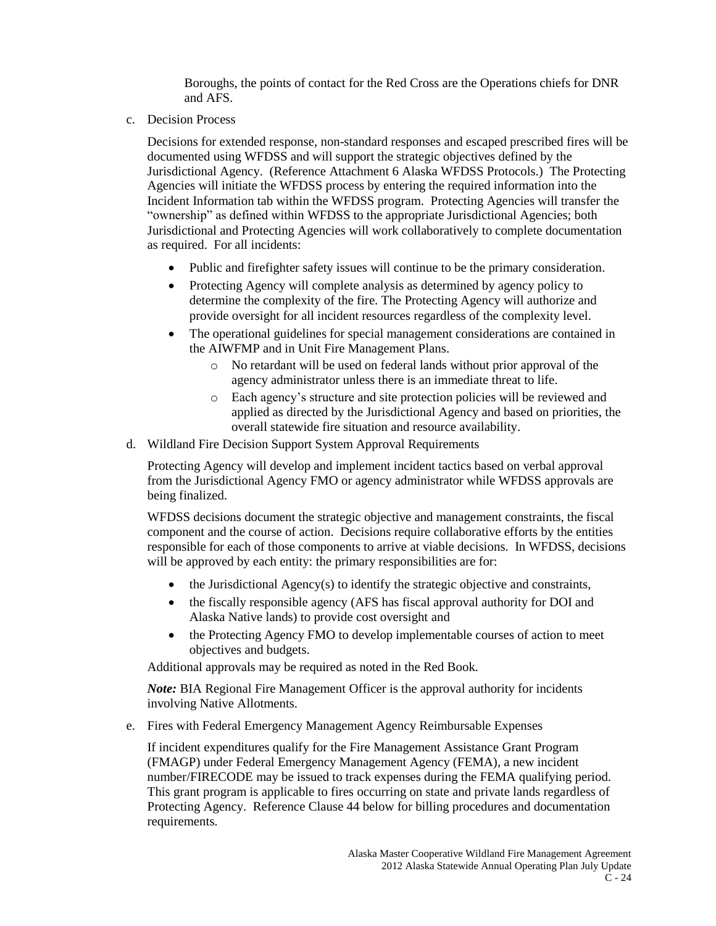Boroughs, the points of contact for the Red Cross are the Operations chiefs for DNR and AFS.

c. Decision Process

Decisions for extended response, non-standard responses and escaped prescribed fires will be documented using WFDSS and will support the strategic objectives defined by the Jurisdictional Agency. (Reference Attachment 6 Alaska WFDSS Protocols.) The Protecting Agencies will initiate the WFDSS process by entering the required information into the Incident Information tab within the WFDSS program. Protecting Agencies will transfer the "ownership" as defined within WFDSS to the appropriate Jurisdictional Agencies; both Jurisdictional and Protecting Agencies will work collaboratively to complete documentation as required. For all incidents:

- Public and firefighter safety issues will continue to be the primary consideration.
- Protecting Agency will complete analysis as determined by agency policy to determine the complexity of the fire. The Protecting Agency will authorize and provide oversight for all incident resources regardless of the complexity level.
- The operational guidelines for special management considerations are contained in the AIWFMP and in Unit Fire Management Plans.
	- o No retardant will be used on federal lands without prior approval of the agency administrator unless there is an immediate threat to life.
	- o Each agency's structure and site protection policies will be reviewed and applied as directed by the Jurisdictional Agency and based on priorities, the overall statewide fire situation and resource availability.
- d. Wildland Fire Decision Support System Approval Requirements

Protecting Agency will develop and implement incident tactics based on verbal approval from the Jurisdictional Agency FMO or agency administrator while WFDSS approvals are being finalized.

WFDSS decisions document the strategic objective and management constraints, the fiscal component and the course of action. Decisions require collaborative efforts by the entities responsible for each of those components to arrive at viable decisions. In WFDSS, decisions will be approved by each entity: the primary responsibilities are for:

- the Jurisdictional Agency(s) to identify the strategic objective and constraints,
- the fiscally responsible agency (AFS has fiscal approval authority for DOI and Alaska Native lands) to provide cost oversight and
- the Protecting Agency FMO to develop implementable courses of action to meet objectives and budgets.

Additional approvals may be required as noted in the Red Book.

*Note:* BIA Regional Fire Management Officer is the approval authority for incidents involving Native Allotments.

e. Fires with Federal Emergency Management Agency Reimbursable Expenses

If incident expenditures qualify for the Fire Management Assistance Grant Program (FMAGP) under Federal Emergency Management Agency (FEMA), a new incident number/FIRECODE may be issued to track expenses during the FEMA qualifying period. This grant program is applicable to fires occurring on state and private lands regardless of Protecting Agency. Reference Clause 44 below for billing procedures and documentation requirements.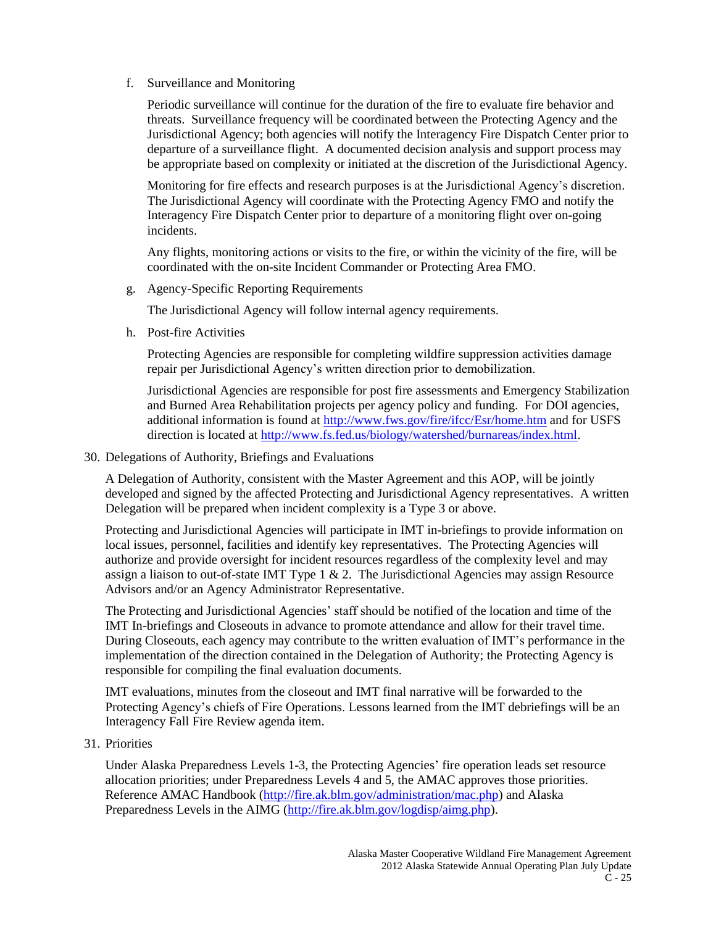# f. Surveillance and Monitoring

Periodic surveillance will continue for the duration of the fire to evaluate fire behavior and threats. Surveillance frequency will be coordinated between the Protecting Agency and the Jurisdictional Agency; both agencies will notify the Interagency Fire Dispatch Center prior to departure of a surveillance flight. A documented decision analysis and support process may be appropriate based on complexity or initiated at the discretion of the Jurisdictional Agency.

Monitoring for fire effects and research purposes is at the Jurisdictional Agency's discretion. The Jurisdictional Agency will coordinate with the Protecting Agency FMO and notify the Interagency Fire Dispatch Center prior to departure of a monitoring flight over on-going incidents.

Any flights, monitoring actions or visits to the fire, or within the vicinity of the fire, will be coordinated with the on-site Incident Commander or Protecting Area FMO.

g. Agency-Specific Reporting Requirements

The Jurisdictional Agency will follow internal agency requirements.

h. Post-fire Activities

Protecting Agencies are responsible for completing wildfire suppression activities damage repair per Jurisdictional Agency's written direction prior to demobilization.

Jurisdictional Agencies are responsible for post fire assessments and Emergency Stabilization and Burned Area Rehabilitation projects per agency policy and funding. For DOI agencies, additional information is found at<http://www.fws.gov/fire/ifcc/Esr/home.htm> and for USFS direction is located at [http://www.fs.fed.us/biology/watershed/burnareas/index.html.](http://www.fs.fed.us/biology/watershed/burnareas/index.html)

30. Delegations of Authority, Briefings and Evaluations

A Delegation of Authority, consistent with the Master Agreement and this AOP, will be jointly developed and signed by the affected Protecting and Jurisdictional Agency representatives. A written Delegation will be prepared when incident complexity is a Type 3 or above.

Protecting and Jurisdictional Agencies will participate in IMT in-briefings to provide information on local issues, personnel, facilities and identify key representatives. The Protecting Agencies will authorize and provide oversight for incident resources regardless of the complexity level and may assign a liaison to out-of-state IMT Type  $1 \& 2$ . The Jurisdictional Agencies may assign Resource Advisors and/or an Agency Administrator Representative.

The Protecting and Jurisdictional Agencies' staff should be notified of the location and time of the IMT In-briefings and Closeouts in advance to promote attendance and allow for their travel time. During Closeouts, each agency may contribute to the written evaluation of IMT's performance in the implementation of the direction contained in the Delegation of Authority; the Protecting Agency is responsible for compiling the final evaluation documents.

IMT evaluations, minutes from the closeout and IMT final narrative will be forwarded to the Protecting Agency's chiefs of Fire Operations. Lessons learned from the IMT debriefings will be an Interagency Fall Fire Review agenda item.

31. Priorities

Under Alaska Preparedness Levels 1-3, the Protecting Agencies' fire operation leads set resource allocation priorities; under Preparedness Levels 4 and 5, the AMAC approves those priorities. Reference AMAC Handbook [\(http://fire.ak.blm.gov/administration/mac.php\)](http://fire.ak.blm.gov/administration/mac.php) and Alaska Preparedness Levels in the AIMG [\(http://fire.ak.blm.gov/logdisp/aimg.php\)](http://fire.ak.blm.gov/logdisp/aimg.php).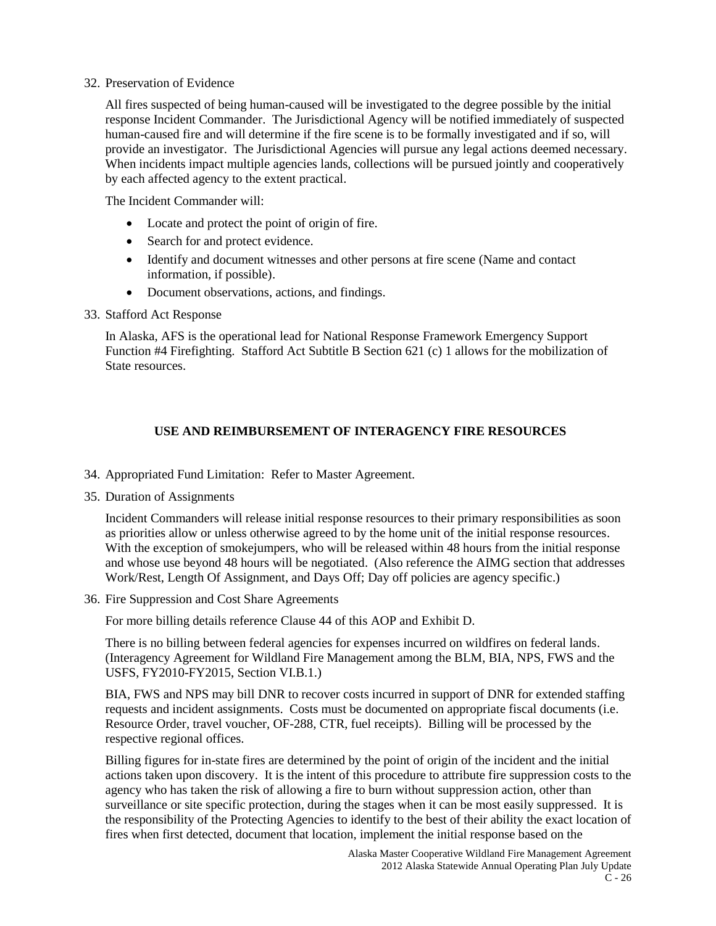#### 32. Preservation of Evidence

All fires suspected of being human-caused will be investigated to the degree possible by the initial response Incident Commander. The Jurisdictional Agency will be notified immediately of suspected human-caused fire and will determine if the fire scene is to be formally investigated and if so, will provide an investigator. The Jurisdictional Agencies will pursue any legal actions deemed necessary. When incidents impact multiple agencies lands, collections will be pursued jointly and cooperatively by each affected agency to the extent practical.

The Incident Commander will:

- Locate and protect the point of origin of fire.
- Search for and protect evidence.
- Identify and document witnesses and other persons at fire scene (Name and contact information, if possible).
- Document observations, actions, and findings.
- 33. Stafford Act Response

In Alaska, AFS is the operational lead for National Response Framework Emergency Support Function #4 Firefighting. Stafford Act Subtitle B Section 621 (c) 1 allows for the mobilization of State resources.

# **USE AND REIMBURSEMENT OF INTERAGENCY FIRE RESOURCES**

- 34. Appropriated Fund Limitation: Refer to Master Agreement.
- 35. Duration of Assignments

Incident Commanders will release initial response resources to their primary responsibilities as soon as priorities allow or unless otherwise agreed to by the home unit of the initial response resources. With the exception of smokejumpers, who will be released within 48 hours from the initial response and whose use beyond 48 hours will be negotiated. (Also reference the AIMG section that addresses Work/Rest, Length Of Assignment, and Days Off; Day off policies are agency specific.)

36. Fire Suppression and Cost Share Agreements

For more billing details reference Clause 44 of this AOP and Exhibit D.

There is no billing between federal agencies for expenses incurred on wildfires on federal lands. (Interagency Agreement for Wildland Fire Management among the BLM, BIA, NPS, FWS and the USFS, FY2010-FY2015, Section VI.B.1.)

BIA, FWS and NPS may bill DNR to recover costs incurred in support of DNR for extended staffing requests and incident assignments. Costs must be documented on appropriate fiscal documents (i.e. Resource Order, travel voucher, OF-288, CTR, fuel receipts). Billing will be processed by the respective regional offices.

Billing figures for in-state fires are determined by the point of origin of the incident and the initial actions taken upon discovery. It is the intent of this procedure to attribute fire suppression costs to the agency who has taken the risk of allowing a fire to burn without suppression action, other than surveillance or site specific protection, during the stages when it can be most easily suppressed. It is the responsibility of the Protecting Agencies to identify to the best of their ability the exact location of fires when first detected, document that location, implement the initial response based on the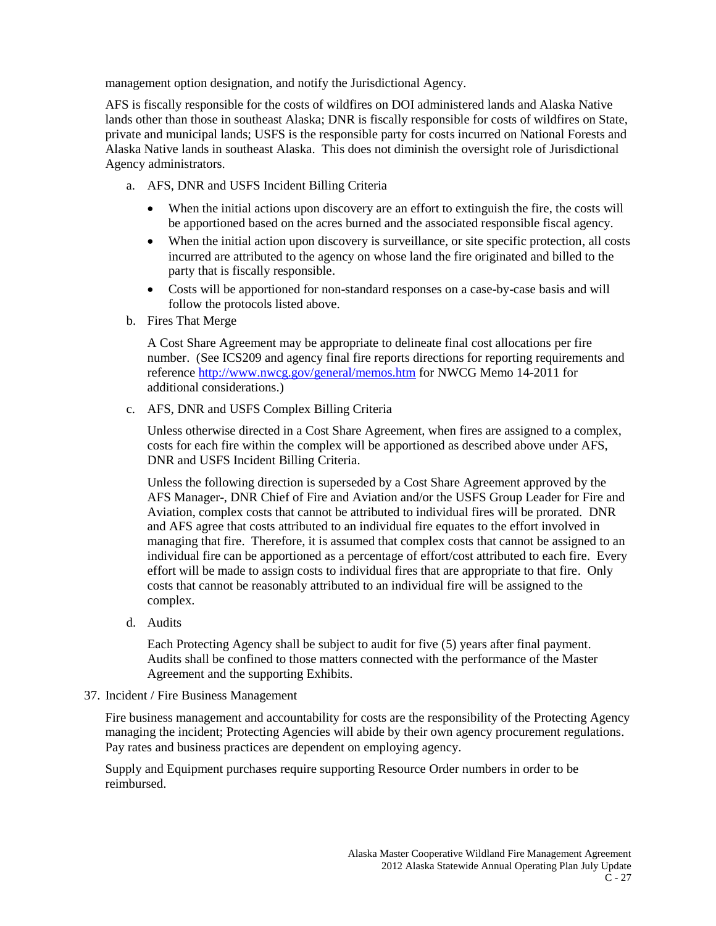management option designation, and notify the Jurisdictional Agency.

AFS is fiscally responsible for the costs of wildfires on DOI administered lands and Alaska Native lands other than those in southeast Alaska; DNR is fiscally responsible for costs of wildfires on State, private and municipal lands; USFS is the responsible party for costs incurred on National Forests and Alaska Native lands in southeast Alaska. This does not diminish the oversight role of Jurisdictional Agency administrators.

- a. AFS, DNR and USFS Incident Billing Criteria
	- When the initial actions upon discovery are an effort to extinguish the fire, the costs will be apportioned based on the acres burned and the associated responsible fiscal agency.
	- When the initial action upon discovery is surveillance, or site specific protection, all costs incurred are attributed to the agency on whose land the fire originated and billed to the party that is fiscally responsible.
	- Costs will be apportioned for non-standard responses on a case-by-case basis and will follow the protocols listed above.
- b. Fires That Merge

A Cost Share Agreement may be appropriate to delineate final cost allocations per fire number. (See ICS209 and agency final fire reports directions for reporting requirements and referenc[e http://www.nwcg.gov/general/memos.htm](http://www.nwcg.gov/general/memos.htm) for NWCG Memo 14-2011 for additional considerations.)

c. AFS, DNR and USFS Complex Billing Criteria

Unless otherwise directed in a Cost Share Agreement, when fires are assigned to a complex, costs for each fire within the complex will be apportioned as described above under AFS, DNR and USFS Incident Billing Criteria.

Unless the following direction is superseded by a Cost Share Agreement approved by the AFS Manager-, DNR Chief of Fire and Aviation and/or the USFS Group Leader for Fire and Aviation, complex costs that cannot be attributed to individual fires will be prorated. DNR and AFS agree that costs attributed to an individual fire equates to the effort involved in managing that fire. Therefore, it is assumed that complex costs that cannot be assigned to an individual fire can be apportioned as a percentage of effort/cost attributed to each fire. Every effort will be made to assign costs to individual fires that are appropriate to that fire. Only costs that cannot be reasonably attributed to an individual fire will be assigned to the complex.

d. Audits

Each Protecting Agency shall be subject to audit for five (5) years after final payment. Audits shall be confined to those matters connected with the performance of the Master Agreement and the supporting Exhibits.

37. Incident / Fire Business Management

Fire business management and accountability for costs are the responsibility of the Protecting Agency managing the incident; Protecting Agencies will abide by their own agency procurement regulations. Pay rates and business practices are dependent on employing agency.

Supply and Equipment purchases require supporting Resource Order numbers in order to be reimbursed.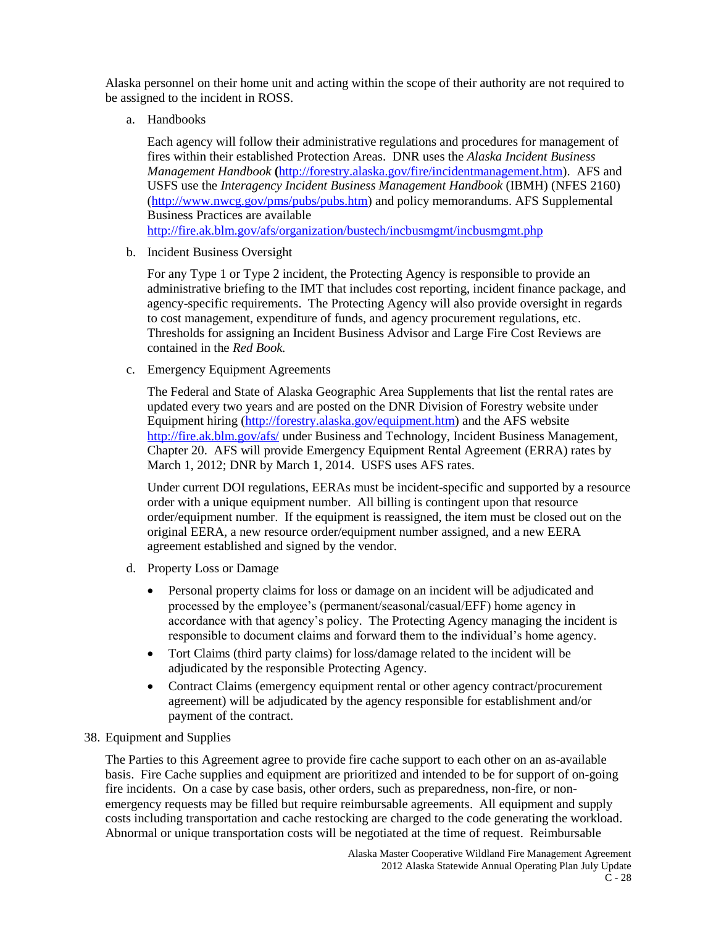Alaska personnel on their home unit and acting within the scope of their authority are not required to be assigned to the incident in ROSS.

a. Handbooks

Each agency will follow their administrative regulations and procedures for management of fires within their established Protection Areas. DNR uses the *Alaska Incident Business Management Handbook* **(**[http://forestry.alaska.gov/fire/incidentmanagement.htm\)](http://forestry.alaska.gov/fire/incidentmanagement.htm). AFS and USFS use the *Interagency Incident Business Management Handbook* (IBMH) (NFES 2160) [\(http://www.nwcg.gov/pms/pubs/pubs.htm\)](http://www.nwcg.gov/pms/pubs/pubs.htm) and policy memorandums. AFS Supplemental Business Practices are available <http://fire.ak.blm.gov/afs/organization/bustech/incbusmgmt/incbusmgmt.php>

b. Incident Business Oversight

For any Type 1 or Type 2 incident, the Protecting Agency is responsible to provide an administrative briefing to the IMT that includes cost reporting, incident finance package, and agency-specific requirements. The Protecting Agency will also provide oversight in regards to cost management, expenditure of funds, and agency procurement regulations, etc. Thresholds for assigning an Incident Business Advisor and Large Fire Cost Reviews are contained in the *Red Book.*

c. Emergency Equipment Agreements

The Federal and State of Alaska Geographic Area Supplements that list the rental rates are updated every two years and are posted on the DNR Division of Forestry website under Equipment hiring [\(http://forestry.alaska.gov/equipment.htm\)](http://forestry.alaska.gov/equipment.htm) and the AFS website <http://fire.ak.blm.gov/afs/> under Business and Technology, Incident Business Management, Chapter 20. AFS will provide Emergency Equipment Rental Agreement (ERRA) rates by March 1, 2012; DNR by March 1, 2014. USFS uses AFS rates.

Under current DOI regulations, EERAs must be incident-specific and supported by a resource order with a unique equipment number. All billing is contingent upon that resource order/equipment number. If the equipment is reassigned, the item must be closed out on the original EERA, a new resource order/equipment number assigned, and a new EERA agreement established and signed by the vendor.

- d. Property Loss or Damage
	- Personal property claims for loss or damage on an incident will be adjudicated and processed by the employee's (permanent/seasonal/casual/EFF) home agency in accordance with that agency's policy. The Protecting Agency managing the incident is responsible to document claims and forward them to the individual's home agency.
	- Tort Claims (third party claims) for loss/damage related to the incident will be adjudicated by the responsible Protecting Agency.
	- Contract Claims (emergency equipment rental or other agency contract/procurement agreement) will be adjudicated by the agency responsible for establishment and/or payment of the contract.

#### 38. Equipment and Supplies

The Parties to this Agreement agree to provide fire cache support to each other on an as-available basis. Fire Cache supplies and equipment are prioritized and intended to be for support of on-going fire incidents. On a case by case basis, other orders, such as preparedness, non-fire, or nonemergency requests may be filled but require reimbursable agreements. All equipment and supply costs including transportation and cache restocking are charged to the code generating the workload. Abnormal or unique transportation costs will be negotiated at the time of request. Reimbursable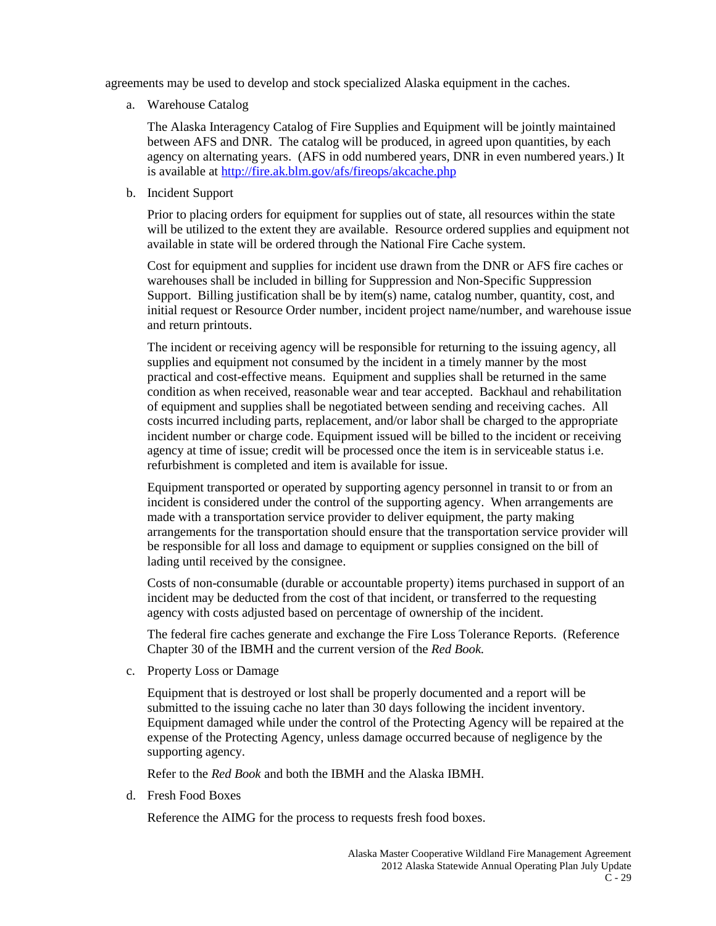agreements may be used to develop and stock specialized Alaska equipment in the caches.

a. Warehouse Catalog

The Alaska Interagency Catalog of Fire Supplies and Equipment will be jointly maintained between AFS and DNR. The catalog will be produced, in agreed upon quantities, by each agency on alternating years. (AFS in odd numbered years, DNR in even numbered years.) It is available at<http://fire.ak.blm.gov/afs/fireops/akcache.php>

b. Incident Support

Prior to placing orders for equipment for supplies out of state, all resources within the state will be utilized to the extent they are available. Resource ordered supplies and equipment not available in state will be ordered through the National Fire Cache system.

Cost for equipment and supplies for incident use drawn from the DNR or AFS fire caches or warehouses shall be included in billing for Suppression and Non-Specific Suppression Support. Billing justification shall be by item(s) name, catalog number, quantity, cost, and initial request or Resource Order number, incident project name/number, and warehouse issue and return printouts.

The incident or receiving agency will be responsible for returning to the issuing agency, all supplies and equipment not consumed by the incident in a timely manner by the most practical and cost-effective means. Equipment and supplies shall be returned in the same condition as when received, reasonable wear and tear accepted. Backhaul and rehabilitation of equipment and supplies shall be negotiated between sending and receiving caches. All costs incurred including parts, replacement, and/or labor shall be charged to the appropriate incident number or charge code. Equipment issued will be billed to the incident or receiving agency at time of issue; credit will be processed once the item is in serviceable status i.e. refurbishment is completed and item is available for issue.

Equipment transported or operated by supporting agency personnel in transit to or from an incident is considered under the control of the supporting agency. When arrangements are made with a transportation service provider to deliver equipment, the party making arrangements for the transportation should ensure that the transportation service provider will be responsible for all loss and damage to equipment or supplies consigned on the bill of lading until received by the consignee.

Costs of non-consumable (durable or accountable property) items purchased in support of an incident may be deducted from the cost of that incident, or transferred to the requesting agency with costs adjusted based on percentage of ownership of the incident.

The federal fire caches generate and exchange the Fire Loss Tolerance Reports. (Reference Chapter 30 of the IBMH and the current version of the *Red Book.*

c. Property Loss or Damage

Equipment that is destroyed or lost shall be properly documented and a report will be submitted to the issuing cache no later than 30 days following the incident inventory. Equipment damaged while under the control of the Protecting Agency will be repaired at the expense of the Protecting Agency, unless damage occurred because of negligence by the supporting agency.

Refer to the *Red Book* and both the IBMH and the Alaska IBMH.

d. Fresh Food Boxes

Reference the AIMG for the process to requests fresh food boxes.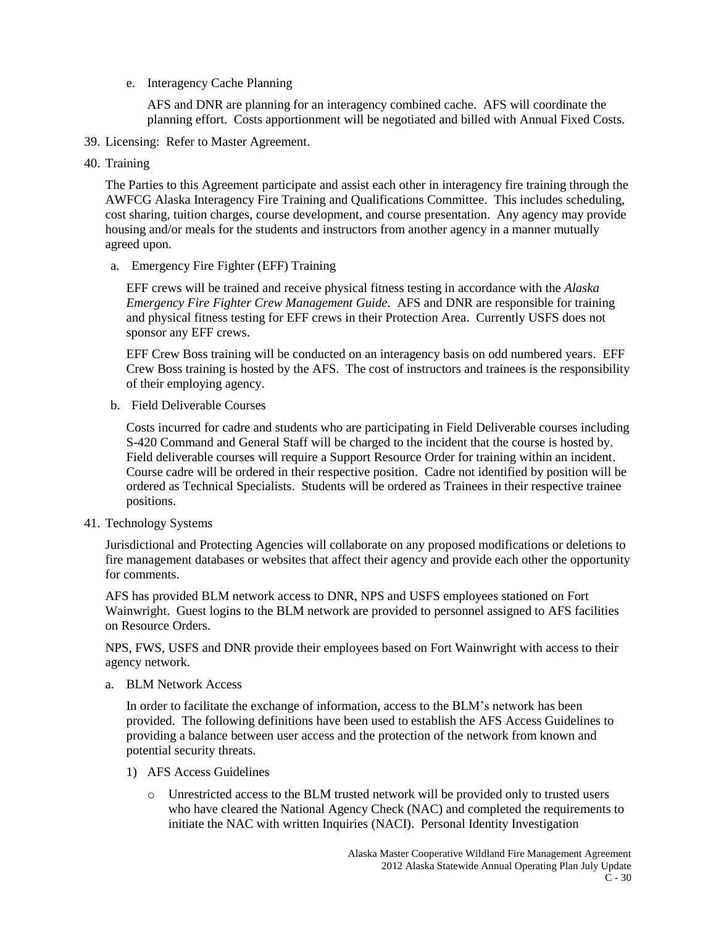e. Interagency Cache Planning

AFS and DNR are planning for an interagency combined cache. AFS will coordinate the planning effort. Costs apportionment will be negotiated and billed with Annual Fixed Costs.

- 39. Licensing: Refer to Master Agreement.
- 40. Training

The Parties to this Agreement participate and assist each other in interagency fire training through the AWFCG Alaska Interagency Fire Training and Qualifications Committee. This includes scheduling, cost sharing, tuition charges, course development, and course presentation. Any agency may provide housing and/or meals for the students and instructors from another agency in a manner mutually agreed upon.

a. Emergency Fire Fighter (EFF) Training

EFF crews will be trained and receive physical fitness testing in accordance with the *Alaska Emergency Fire Fighter Crew Management Guide.* AFS and DNR are responsible for training and physical fitness testing for EFF crews in their Protection Area. Currently USFS does not sponsor any EFF crews.

EFF Crew Boss training will be conducted on an interagency basis on odd numbered years. EFF Crew Boss training is hosted by the AFS. The cost of instructors and trainees is the responsibility of their employing agency.

b. Field Deliverable Courses

Costs incurred for cadre and students who are participating in Field Deliverable courses including S-420 Command and General Staff will be charged to the incident that the course is hosted by. Field deliverable courses will require a Support Resource Order for training within an incident. Course cadre will be ordered in their respective position. Cadre not identified by position will be ordered as Technical Specialists. Students will be ordered as Trainees in their respective trainee positions.

41. Technology Systems

Jurisdictional and Protecting Agencies will collaborate on any proposed modifications or deletions to fire management databases or websites that affect their agency and provide each other the opportunity for comments.

AFS has provided BLM network access to DNR, NPS and USFS employees stationed on Fort Wainwright. Guest logins to the BLM network are provided to personnel assigned to AFS facilities on Resource Orders.

NPS, FWS, USFS and DNR provide their employees based on Fort Wainwright with access to their agency network.

a. BLM Network Access

In order to facilitate the exchange of information, access to the BLM's network has been provided. The following definitions have been used to establish the AFS Access Guidelines to providing a balance between user access and the protection of the network from known and potential security threats.

- 1) AFS Access Guidelines
	- o Unrestricted access to the BLM trusted network will be provided only to trusted users who have cleared the National Agency Check (NAC) and completed the requirements to initiate the NAC with written Inquiries (NACI). Personal Identity Investigation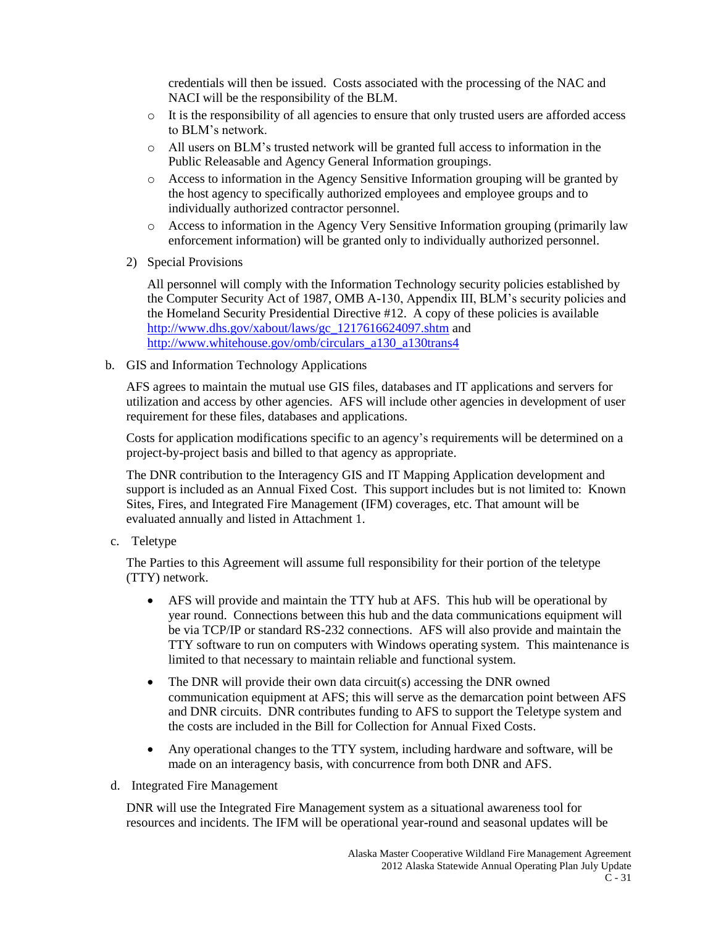credentials will then be issued. Costs associated with the processing of the NAC and NACI will be the responsibility of the BLM.

- $\circ$  It is the responsibility of all agencies to ensure that only trusted users are afforded access to BLM's network.
- o All users on BLM's trusted network will be granted full access to information in the Public Releasable and Agency General Information groupings.
- o Access to information in the Agency Sensitive Information grouping will be granted by the host agency to specifically authorized employees and employee groups and to individually authorized contractor personnel.
- o Access to information in the Agency Very Sensitive Information grouping (primarily law enforcement information) will be granted only to individually authorized personnel.
- 2) Special Provisions

All personnel will comply with the Information Technology security policies established by the Computer Security Act of 1987, OMB A-130, Appendix III, BLM's security policies and the Homeland Security Presidential Directive #12. A copy of these policies is available [http://www.dhs.gov/xabout/laws/gc\\_1217616624097.shtm](http://www.dhs.gov/xabout/laws/gc_1217616624097.shtm) and [http://www.whitehouse.gov/omb/circulars\\_a130\\_a130trans4](http://www.whitehouse.gov/omb/circulars_a130_a130trans4)

b. GIS and Information Technology Applications

AFS agrees to maintain the mutual use GIS files, databases and IT applications and servers for utilization and access by other agencies. AFS will include other agencies in development of user requirement for these files, databases and applications.

Costs for application modifications specific to an agency's requirements will be determined on a project-by-project basis and billed to that agency as appropriate.

The DNR contribution to the Interagency GIS and IT Mapping Application development and support is included as an Annual Fixed Cost. This support includes but is not limited to: Known Sites, Fires, and Integrated Fire Management (IFM) coverages, etc. That amount will be evaluated annually and listed in Attachment 1.

c. Teletype

The Parties to this Agreement will assume full responsibility for their portion of the teletype (TTY) network.

- AFS will provide and maintain the TTY hub at AFS. This hub will be operational by year round. Connections between this hub and the data communications equipment will be via TCP/IP or standard RS-232 connections. AFS will also provide and maintain the TTY software to run on computers with Windows operating system. This maintenance is limited to that necessary to maintain reliable and functional system.
- The DNR will provide their own data circuit(s) accessing the DNR owned communication equipment at AFS; this will serve as the demarcation point between AFS and DNR circuits. DNR contributes funding to AFS to support the Teletype system and the costs are included in the Bill for Collection for Annual Fixed Costs.
- Any operational changes to the TTY system, including hardware and software, will be made on an interagency basis, with concurrence from both DNR and AFS.
- d. Integrated Fire Management

DNR will use the Integrated Fire Management system as a situational awareness tool for resources and incidents. The IFM will be operational year-round and seasonal updates will be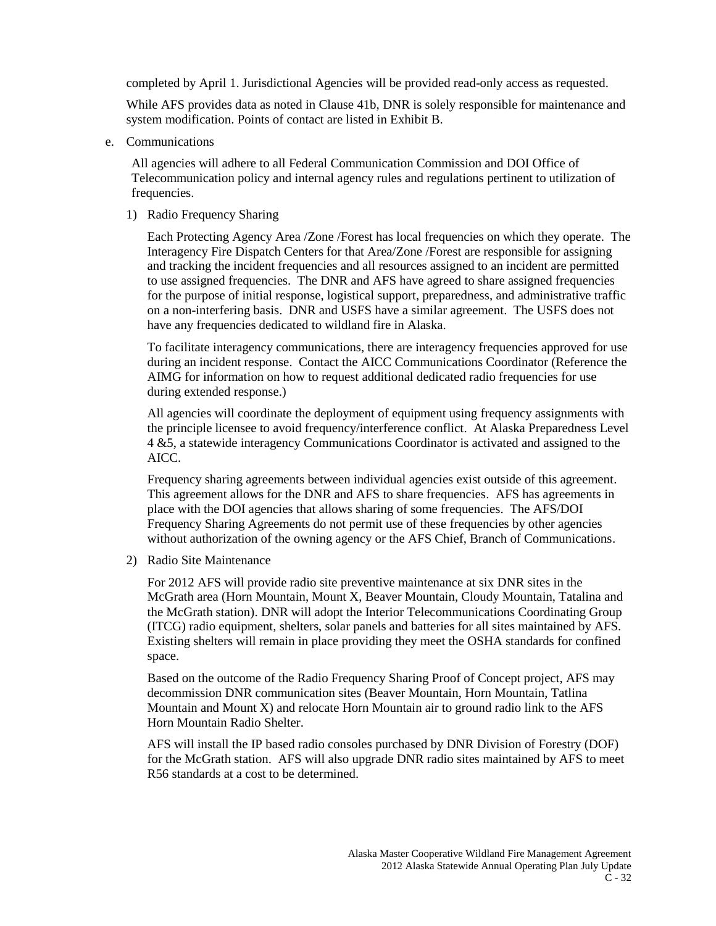completed by April 1. Jurisdictional Agencies will be provided read-only access as requested.

While AFS provides data as noted in Clause 41b, DNR is solely responsible for maintenance and system modification. Points of contact are listed in Exhibit B.

e. Communications

All agencies will adhere to all Federal Communication Commission and DOI Office of Telecommunication policy and internal agency rules and regulations pertinent to utilization of frequencies.

1) Radio Frequency Sharing

Each Protecting Agency Area /Zone /Forest has local frequencies on which they operate. The Interagency Fire Dispatch Centers for that Area/Zone /Forest are responsible for assigning and tracking the incident frequencies and all resources assigned to an incident are permitted to use assigned frequencies. The DNR and AFS have agreed to share assigned frequencies for the purpose of initial response, logistical support, preparedness, and administrative traffic on a non-interfering basis. DNR and USFS have a similar agreement. The USFS does not have any frequencies dedicated to wildland fire in Alaska.

To facilitate interagency communications, there are interagency frequencies approved for use during an incident response. Contact the AICC Communications Coordinator (Reference the AIMG for information on how to request additional dedicated radio frequencies for use during extended response.)

All agencies will coordinate the deployment of equipment using frequency assignments with the principle licensee to avoid frequency/interference conflict. At Alaska Preparedness Level 4 &5, a statewide interagency Communications Coordinator is activated and assigned to the AICC.

Frequency sharing agreements between individual agencies exist outside of this agreement. This agreement allows for the DNR and AFS to share frequencies. AFS has agreements in place with the DOI agencies that allows sharing of some frequencies. The AFS/DOI Frequency Sharing Agreements do not permit use of these frequencies by other agencies without authorization of the owning agency or the AFS Chief, Branch of Communications.

2) Radio Site Maintenance

For 2012 AFS will provide radio site preventive maintenance at six DNR sites in the McGrath area (Horn Mountain, Mount X, Beaver Mountain, Cloudy Mountain, Tatalina and the McGrath station). DNR will adopt the Interior Telecommunications Coordinating Group (ITCG) radio equipment, shelters, solar panels and batteries for all sites maintained by AFS. Existing shelters will remain in place providing they meet the OSHA standards for confined space.

Based on the outcome of the Radio Frequency Sharing Proof of Concept project, AFS may decommission DNR communication sites (Beaver Mountain, Horn Mountain, Tatlina Mountain and Mount X) and relocate Horn Mountain air to ground radio link to the AFS Horn Mountain Radio Shelter.

AFS will install the IP based radio consoles purchased by DNR Division of Forestry (DOF) for the McGrath station. AFS will also upgrade DNR radio sites maintained by AFS to meet R56 standards at a cost to be determined.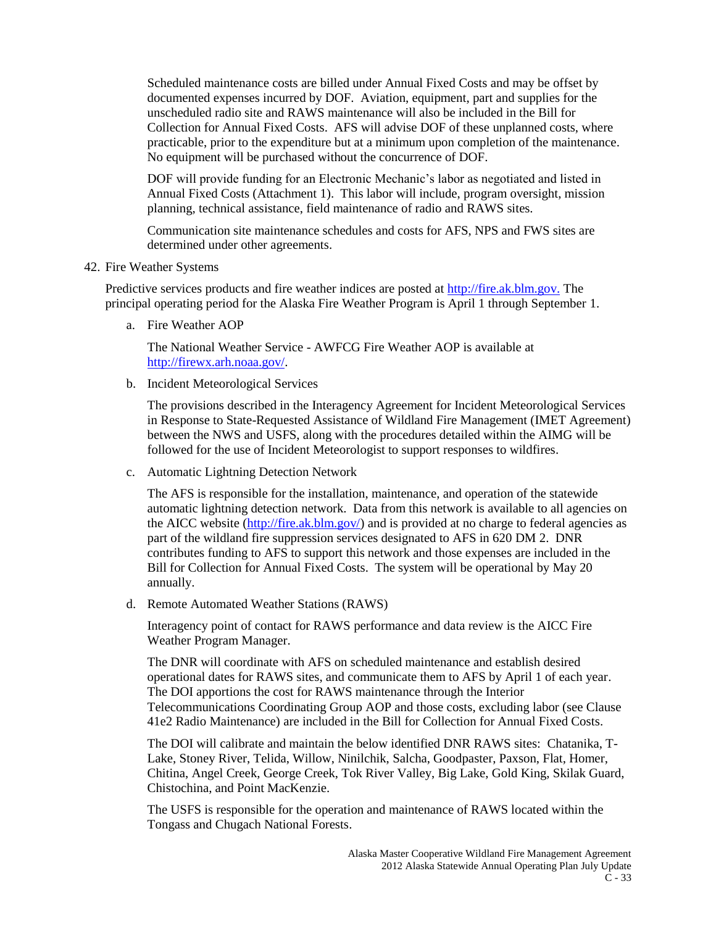Scheduled maintenance costs are billed under Annual Fixed Costs and may be offset by documented expenses incurred by DOF. Aviation, equipment, part and supplies for the unscheduled radio site and RAWS maintenance will also be included in the Bill for Collection for Annual Fixed Costs. AFS will advise DOF of these unplanned costs, where practicable, prior to the expenditure but at a minimum upon completion of the maintenance. No equipment will be purchased without the concurrence of DOF.

DOF will provide funding for an Electronic Mechanic's labor as negotiated and listed in Annual Fixed Costs (Attachment 1). This labor will include, program oversight, mission planning, technical assistance, field maintenance of radio and RAWS sites.

Communication site maintenance schedules and costs for AFS, NPS and FWS sites are determined under other agreements.

42. Fire Weather Systems

Predictive services products and fire weather indices are posted at [http://fire.ak.blm.gov.](http://fire.ak.blm.gov/) The principal operating period for the Alaska Fire Weather Program is April 1 through September 1.

a. Fire Weather AOP

The National Weather Service - AWFCG Fire Weather AOP is available at [http://firewx.arh.noaa.gov/.](http://firewx.arh.noaa.gov/)

b. Incident Meteorological Services

The provisions described in the Interagency Agreement for Incident Meteorological Services in Response to State-Requested Assistance of Wildland Fire Management (IMET Agreement) between the NWS and USFS, along with the procedures detailed within the AIMG will be followed for the use of Incident Meteorologist to support responses to wildfires.

c. Automatic Lightning Detection Network

The AFS is responsible for the installation, maintenance, and operation of the statewide automatic lightning detection network. Data from this network is available to all agencies on the AICC website [\(http://fire.ak.blm.gov/\)](http://fire.ak.blm.gov/) and is provided at no charge to federal agencies as part of the wildland fire suppression services designated to AFS in 620 DM 2. DNR contributes funding to AFS to support this network and those expenses are included in the Bill for Collection for Annual Fixed Costs. The system will be operational by May 20 annually.

d. Remote Automated Weather Stations (RAWS)

Interagency point of contact for RAWS performance and data review is the AICC Fire Weather Program Manager.

The DNR will coordinate with AFS on scheduled maintenance and establish desired operational dates for RAWS sites, and communicate them to AFS by April 1 of each year. The DOI apportions the cost for RAWS maintenance through the Interior Telecommunications Coordinating Group AOP and those costs, excluding labor (see Clause 41e2 Radio Maintenance) are included in the Bill for Collection for Annual Fixed Costs.

The DOI will calibrate and maintain the below identified DNR RAWS sites: Chatanika, T-Lake, Stoney River, Telida, Willow, Ninilchik, Salcha, Goodpaster, Paxson, Flat, Homer, Chitina, Angel Creek, George Creek, Tok River Valley, Big Lake, Gold King, Skilak Guard, Chistochina, and Point MacKenzie.

The USFS is responsible for the operation and maintenance of RAWS located within the Tongass and Chugach National Forests.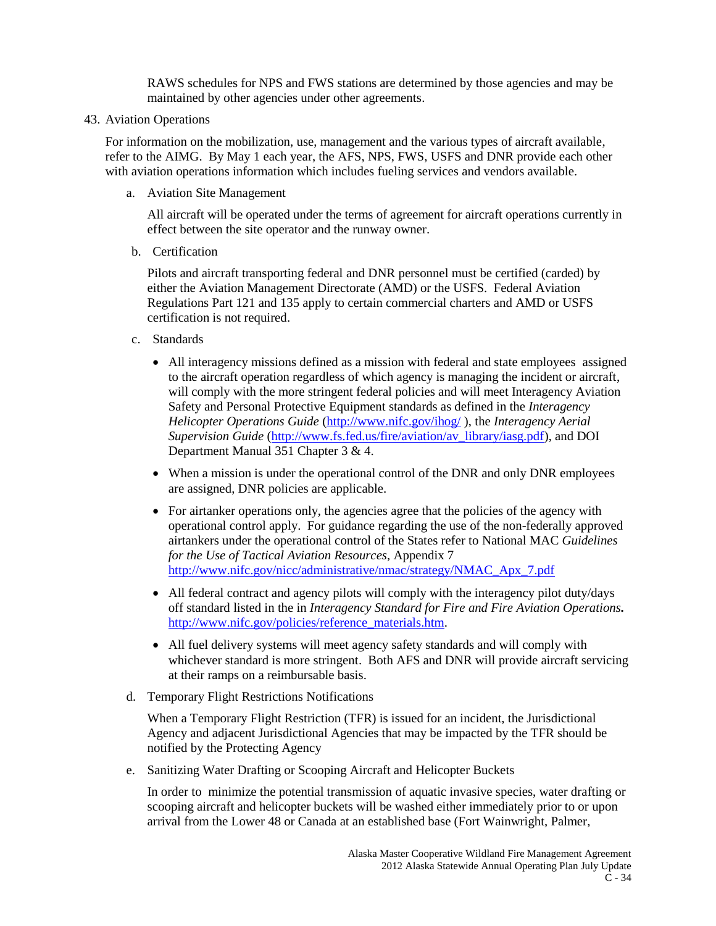RAWS schedules for NPS and FWS stations are determined by those agencies and may be maintained by other agencies under other agreements.

43. Aviation Operations

For information on the mobilization, use, management and the various types of aircraft available, refer to the AIMG. By May 1 each year, the AFS, NPS, FWS, USFS and DNR provide each other with aviation operations information which includes fueling services and vendors available.

a. Aviation Site Management

All aircraft will be operated under the terms of agreement for aircraft operations currently in effect between the site operator and the runway owner.

b. Certification

Pilots and aircraft transporting federal and DNR personnel must be certified (carded) by either the Aviation Management Directorate (AMD) or the USFS. Federal Aviation Regulations Part 121 and 135 apply to certain commercial charters and AMD or USFS certification is not required.

- c. Standards
	- All interagency missions defined as a mission with federal and state employees assigned to the aircraft operation regardless of which agency is managing the incident or aircraft, will comply with the more stringent federal policies and will meet Interagency Aviation Safety and Personal Protective Equipment standards as defined in the *Interagency Helicopter Operations Guide* [\(http://www.nifc.gov/ihog/](http://www.nifc.gov/ihog/) ), the *Interagency Aerial Supervision Guide* [\(http://www.fs.fed.us/fire/aviation/av\\_library/iasg.pdf\)](http://www.fs.fed.us/fire/aviation/av_library/iasg.pdf), and DOI Department Manual 351 Chapter 3 & 4.
	- When a mission is under the operational control of the DNR and only DNR employees are assigned, DNR policies are applicable.
	- For airtanker operations only, the agencies agree that the policies of the agency with operational control apply. For guidance regarding the use of the non-federally approved airtankers under the operational control of the States refer to National MAC *Guidelines for the Use of Tactical Aviation Resources*, Appendix 7 [http://www.nifc.gov/nicc/administrative/nmac/strategy/NMAC\\_Apx\\_7.pdf](http://www.nifc.gov/nicc/administrative/nmac/strategy/NMAC_Apx_7.pdf)
	- All federal contract and agency pilots will comply with the interagency pilot duty/days off standard listed in the in *Interagency Standard for Fire and Fire Aviation Operations.*  [http://www.nifc.gov/policies/reference\\_materials.htm.](http://www.nifc.gov/policies/reference_materials.htm)
	- All fuel delivery systems will meet agency safety standards and will comply with whichever standard is more stringent. Both AFS and DNR will provide aircraft servicing at their ramps on a reimbursable basis.
- d. Temporary Flight Restrictions Notifications

When a Temporary Flight Restriction (TFR) is issued for an incident, the Jurisdictional Agency and adjacent Jurisdictional Agencies that may be impacted by the TFR should be notified by the Protecting Agency

e. Sanitizing Water Drafting or Scooping Aircraft and Helicopter Buckets

In order to minimize the potential transmission of aquatic invasive species, water drafting or scooping aircraft and helicopter buckets will be washed either immediately prior to or upon arrival from the Lower 48 or Canada at an established base (Fort Wainwright, Palmer,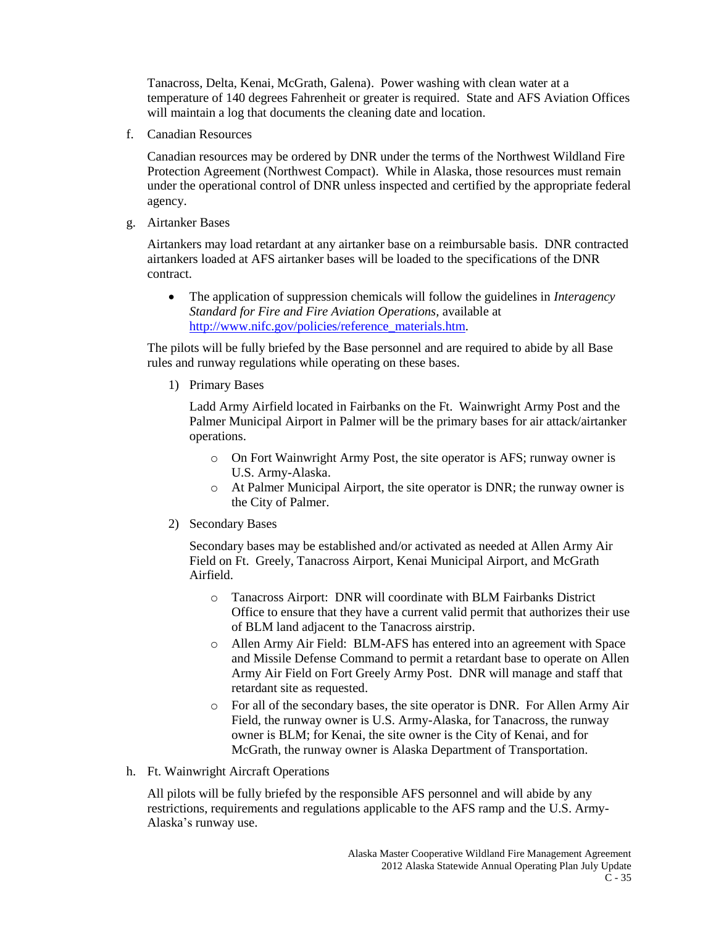Tanacross, Delta, Kenai, McGrath, Galena). Power washing with clean water at a temperature of 140 degrees Fahrenheit or greater is required. State and AFS Aviation Offices will maintain a log that documents the cleaning date and location.

f. Canadian Resources

Canadian resources may be ordered by DNR under the terms of the Northwest Wildland Fire Protection Agreement (Northwest Compact). While in Alaska, those resources must remain under the operational control of DNR unless inspected and certified by the appropriate federal agency.

g. Airtanker Bases

Airtankers may load retardant at any airtanker base on a reimbursable basis. DNR contracted airtankers loaded at AFS airtanker bases will be loaded to the specifications of the DNR contract.

 The application of suppression chemicals will follow the guidelines in *Interagency Standard for Fire and Fire Aviation Operations,* available at [http://www.nifc.gov/policies/reference\\_materials.htm.](http://www.nifc.gov/policies/reference_materials.htm)

The pilots will be fully briefed by the Base personnel and are required to abide by all Base rules and runway regulations while operating on these bases.

1) Primary Bases

Ladd Army Airfield located in Fairbanks on the Ft. Wainwright Army Post and the Palmer Municipal Airport in Palmer will be the primary bases for air attack/airtanker operations.

- o On Fort Wainwright Army Post, the site operator is AFS; runway owner is U.S. Army-Alaska.
- o At Palmer Municipal Airport, the site operator is DNR; the runway owner is the City of Palmer.
- 2) Secondary Bases

Secondary bases may be established and/or activated as needed at Allen Army Air Field on Ft. Greely, Tanacross Airport, Kenai Municipal Airport, and McGrath Airfield.

- o Tanacross Airport: DNR will coordinate with BLM Fairbanks District Office to ensure that they have a current valid permit that authorizes their use of BLM land adjacent to the Tanacross airstrip.
- o Allen Army Air Field: BLM-AFS has entered into an agreement with Space and Missile Defense Command to permit a retardant base to operate on Allen Army Air Field on Fort Greely Army Post. DNR will manage and staff that retardant site as requested.
- o For all of the secondary bases, the site operator is DNR. For Allen Army Air Field, the runway owner is U.S. Army-Alaska, for Tanacross, the runway owner is BLM; for Kenai, the site owner is the City of Kenai, and for McGrath, the runway owner is Alaska Department of Transportation.
- h. Ft. Wainwright Aircraft Operations

All pilots will be fully briefed by the responsible AFS personnel and will abide by any restrictions, requirements and regulations applicable to the AFS ramp and the U.S. Army-Alaska's runway use.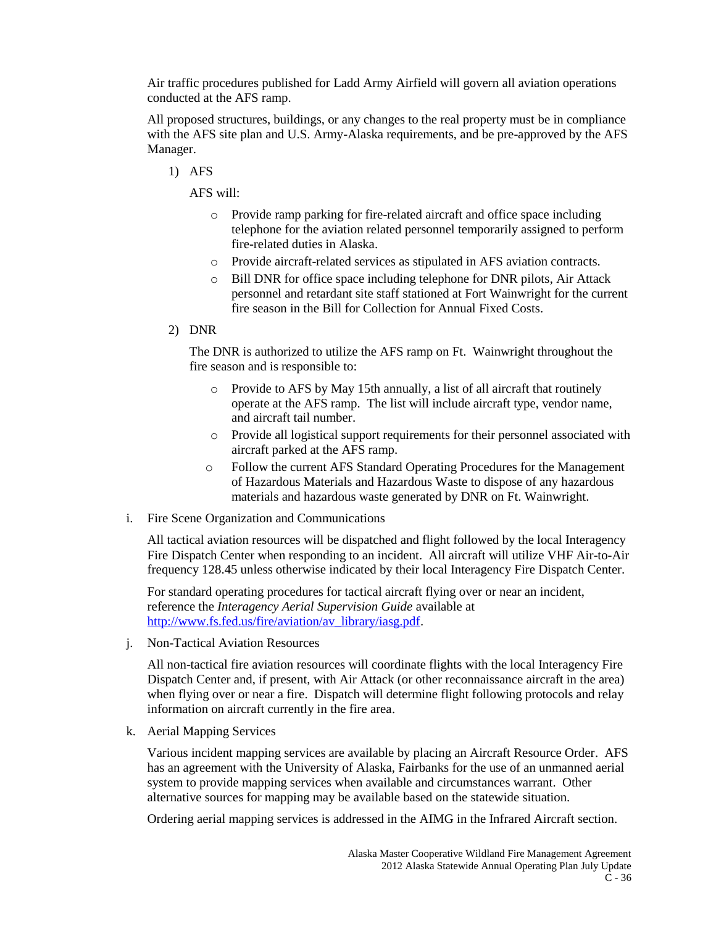Air traffic procedures published for Ladd Army Airfield will govern all aviation operations conducted at the AFS ramp.

All proposed structures, buildings, or any changes to the real property must be in compliance with the AFS site plan and U.S. Army-Alaska requirements, and be pre-approved by the AFS Manager.

1) AFS

AFS will:

- o Provide ramp parking for fire-related aircraft and office space including telephone for the aviation related personnel temporarily assigned to perform fire-related duties in Alaska.
- o Provide aircraft-related services as stipulated in AFS aviation contracts.
- o Bill DNR for office space including telephone for DNR pilots, Air Attack personnel and retardant site staff stationed at Fort Wainwright for the current fire season in the Bill for Collection for Annual Fixed Costs.
- 2) DNR

The DNR is authorized to utilize the AFS ramp on Ft. Wainwright throughout the fire season and is responsible to:

- o Provide to AFS by May 15th annually, a list of all aircraft that routinely operate at the AFS ramp. The list will include aircraft type, vendor name, and aircraft tail number.
- o Provide all logistical support requirements for their personnel associated with aircraft parked at the AFS ramp.
- o Follow the current AFS Standard Operating Procedures for the Management of Hazardous Materials and Hazardous Waste to dispose of any hazardous materials and hazardous waste generated by DNR on Ft. Wainwright.
- i. Fire Scene Organization and Communications

All tactical aviation resources will be dispatched and flight followed by the local Interagency Fire Dispatch Center when responding to an incident. All aircraft will utilize VHF Air-to-Air frequency 128.45 unless otherwise indicated by their local Interagency Fire Dispatch Center.

For standard operating procedures for tactical aircraft flying over or near an incident, reference the *Interagency Aerial Supervision Guide* available at [http://www.fs.fed.us/fire/aviation/av\\_library/iasg.pdf.](http://www.fs.fed.us/fire/aviation/av_library/iasg.pdf)

j. Non-Tactical Aviation Resources

All non-tactical fire aviation resources will coordinate flights with the local Interagency Fire Dispatch Center and, if present, with Air Attack (or other reconnaissance aircraft in the area) when flying over or near a fire. Dispatch will determine flight following protocols and relay information on aircraft currently in the fire area.

k. Aerial Mapping Services

Various incident mapping services are available by placing an Aircraft Resource Order. AFS has an agreement with the University of Alaska, Fairbanks for the use of an unmanned aerial system to provide mapping services when available and circumstances warrant. Other alternative sources for mapping may be available based on the statewide situation.

Ordering aerial mapping services is addressed in the AIMG in the Infrared Aircraft section.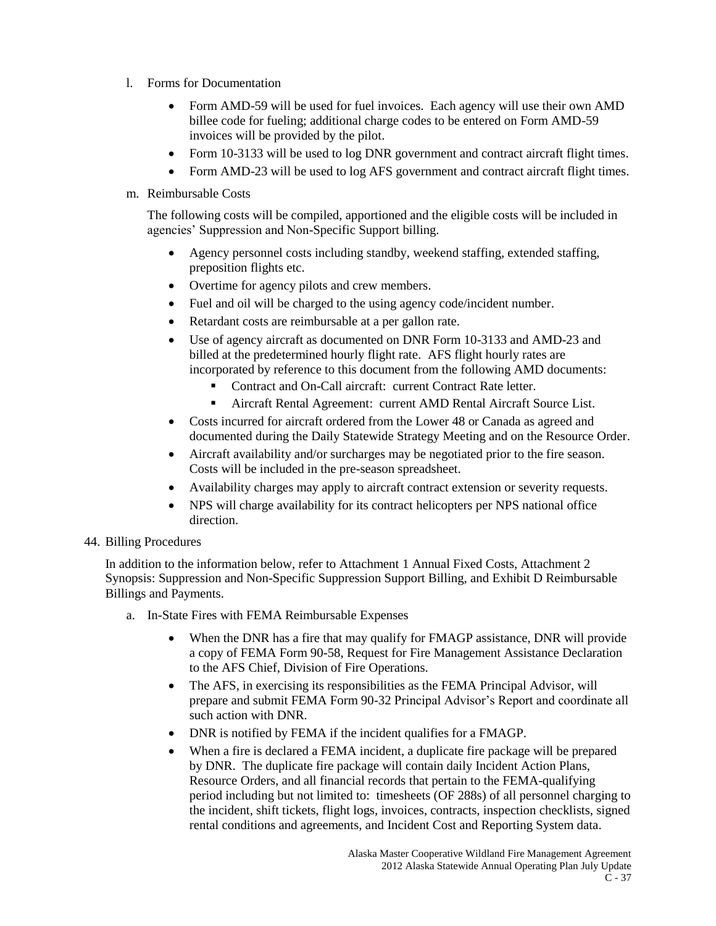- l. Forms for Documentation
	- Form AMD-59 will be used for fuel invoices. Each agency will use their own AMD billee code for fueling; additional charge codes to be entered on Form AMD-59 invoices will be provided by the pilot.
	- Form 10-3133 will be used to log DNR government and contract aircraft flight times.
	- Form AMD-23 will be used to log AFS government and contract aircraft flight times.

#### m. Reimbursable Costs

The following costs will be compiled, apportioned and the eligible costs will be included in agencies' Suppression and Non-Specific Support billing.

- Agency personnel costs including standby, weekend staffing, extended staffing, preposition flights etc.
- Overtime for agency pilots and crew members.
- Fuel and oil will be charged to the using agency code/incident number.
- Retardant costs are reimbursable at a per gallon rate.
- Use of agency aircraft as documented on DNR Form 10-3133 and AMD-23 and billed at the predetermined hourly flight rate. AFS flight hourly rates are incorporated by reference to this document from the following AMD documents:
	- Contract and On-Call aircraft: current Contract Rate letter.
	- Aircraft Rental Agreement: current AMD Rental Aircraft Source List.
- Costs incurred for aircraft ordered from the Lower 48 or Canada as agreed and documented during the Daily Statewide Strategy Meeting and on the Resource Order.
- Aircraft availability and/or surcharges may be negotiated prior to the fire season. Costs will be included in the pre-season spreadsheet.
- Availability charges may apply to aircraft contract extension or severity requests.
- NPS will charge availability for its contract helicopters per NPS national office direction.

#### 44. Billing Procedures

In addition to the information below, refer to Attachment 1 Annual Fixed Costs, Attachment 2 Synopsis: Suppression and Non-Specific Suppression Support Billing, and Exhibit D Reimbursable Billings and Payments.

- a. In-State Fires with FEMA Reimbursable Expenses
	- When the DNR has a fire that may qualify for FMAGP assistance, DNR will provide a copy of FEMA Form 90-58, Request for Fire Management Assistance Declaration to the AFS Chief, Division of Fire Operations.
	- The AFS, in exercising its responsibilities as the FEMA Principal Advisor, will prepare and submit FEMA Form 90-32 Principal Advisor's Report and coordinate all such action with DNR.
	- DNR is notified by FEMA if the incident qualifies for a FMAGP.
	- When a fire is declared a FEMA incident, a duplicate fire package will be prepared by DNR. The duplicate fire package will contain daily Incident Action Plans, Resource Orders, and all financial records that pertain to the FEMA-qualifying period including but not limited to: timesheets (OF 288s) of all personnel charging to the incident, shift tickets, flight logs, invoices, contracts, inspection checklists, signed rental conditions and agreements, and Incident Cost and Reporting System data.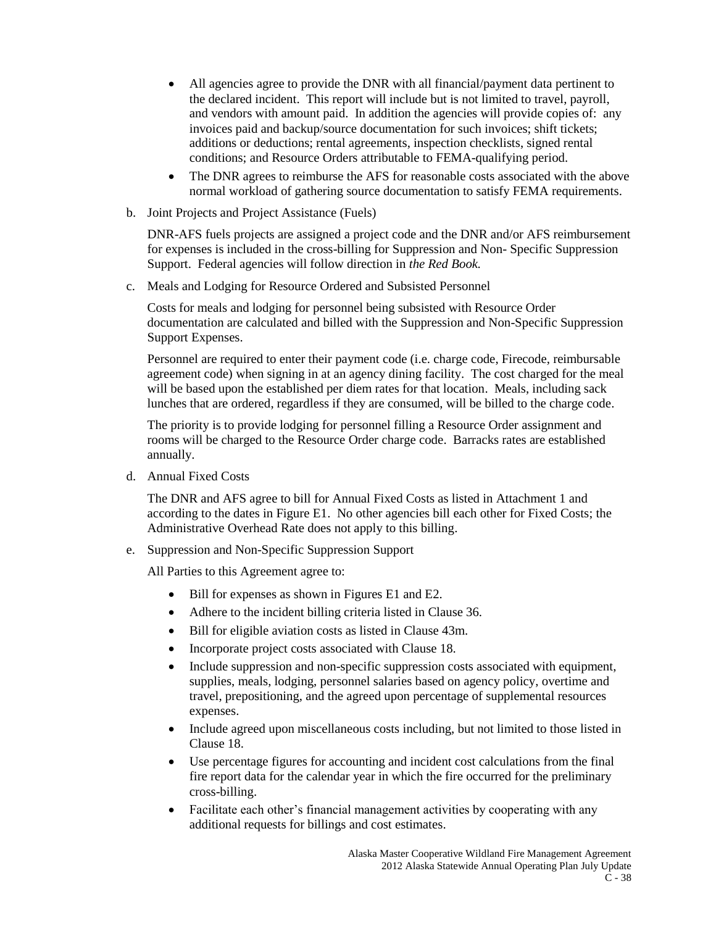- All agencies agree to provide the DNR with all financial/payment data pertinent to the declared incident. This report will include but is not limited to travel, payroll, and vendors with amount paid. In addition the agencies will provide copies of: any invoices paid and backup/source documentation for such invoices; shift tickets; additions or deductions; rental agreements, inspection checklists, signed rental conditions; and Resource Orders attributable to FEMA-qualifying period.
- The DNR agrees to reimburse the AFS for reasonable costs associated with the above normal workload of gathering source documentation to satisfy FEMA requirements.
- b. Joint Projects and Project Assistance (Fuels)

DNR-AFS fuels projects are assigned a project code and the DNR and/or AFS reimbursement for expenses is included in the cross-billing for Suppression and Non- Specific Suppression Support. Federal agencies will follow direction in *the Red Book.*

c. Meals and Lodging for Resource Ordered and Subsisted Personnel

Costs for meals and lodging for personnel being subsisted with Resource Order documentation are calculated and billed with the Suppression and Non-Specific Suppression Support Expenses.

Personnel are required to enter their payment code (i.e. charge code, Firecode, reimbursable agreement code) when signing in at an agency dining facility. The cost charged for the meal will be based upon the established per diem rates for that location. Meals, including sack lunches that are ordered, regardless if they are consumed, will be billed to the charge code.

The priority is to provide lodging for personnel filling a Resource Order assignment and rooms will be charged to the Resource Order charge code. Barracks rates are established annually.

d. Annual Fixed Costs

The DNR and AFS agree to bill for Annual Fixed Costs as listed in Attachment 1 and according to the dates in Figure E1. No other agencies bill each other for Fixed Costs; the Administrative Overhead Rate does not apply to this billing.

e. Suppression and Non-Specific Suppression Support

All Parties to this Agreement agree to:

- Bill for expenses as shown in Figures E1 and E2.
- Adhere to the incident billing criteria listed in Clause 36.
- Bill for eligible aviation costs as listed in Clause 43m.
- Incorporate project costs associated with Clause 18.
- Include suppression and non-specific suppression costs associated with equipment, supplies, meals, lodging, personnel salaries based on agency policy, overtime and travel, prepositioning, and the agreed upon percentage of supplemental resources expenses.
- Include agreed upon miscellaneous costs including, but not limited to those listed in Clause 18.
- Use percentage figures for accounting and incident cost calculations from the final fire report data for the calendar year in which the fire occurred for the preliminary cross-billing.
- Facilitate each other's financial management activities by cooperating with any additional requests for billings and cost estimates.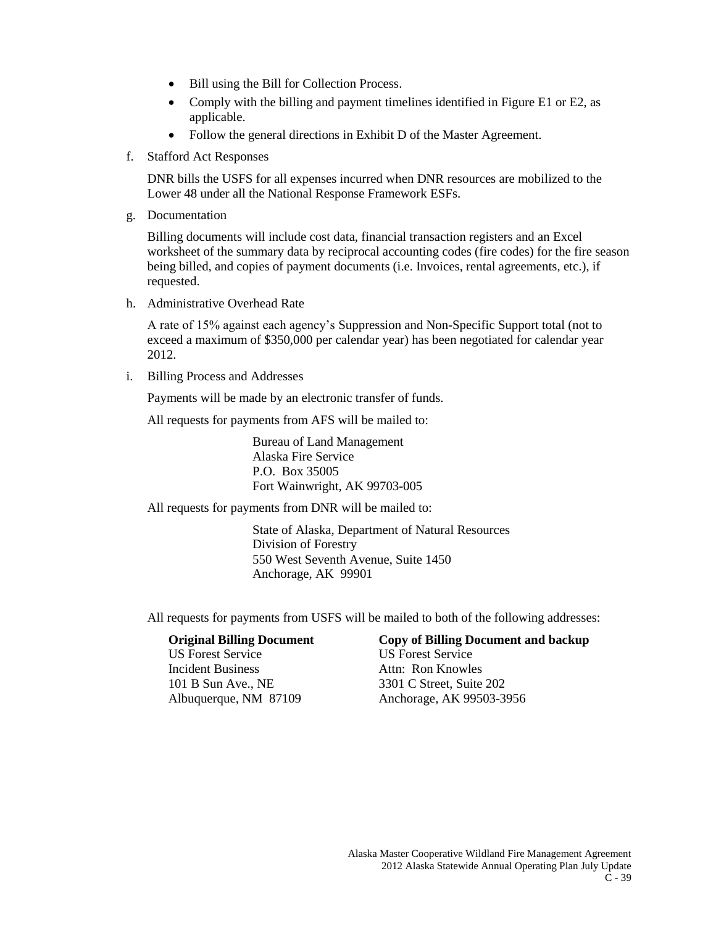- Bill using the Bill for Collection Process.
- Comply with the billing and payment timelines identified in Figure E1 or E2, as applicable.
- Follow the general directions in Exhibit D of the Master Agreement.
- f. Stafford Act Responses

DNR bills the USFS for all expenses incurred when DNR resources are mobilized to the Lower 48 under all the National Response Framework ESFs.

g. Documentation

Billing documents will include cost data, financial transaction registers and an Excel worksheet of the summary data by reciprocal accounting codes (fire codes) for the fire season being billed, and copies of payment documents (i.e. Invoices, rental agreements, etc.), if requested.

h. Administrative Overhead Rate

A rate of 15% against each agency's Suppression and Non-Specific Support total (not to exceed a maximum of \$350,000 per calendar year) has been negotiated for calendar year 2012.

i. Billing Process and Addresses

Payments will be made by an electronic transfer of funds.

All requests for payments from AFS will be mailed to:

Bureau of Land Management Alaska Fire Service P.O. Box 35005 Fort Wainwright, AK 99703-005

All requests for payments from DNR will be mailed to:

State of Alaska, Department of Natural Resources Division of Forestry 550 West Seventh Avenue, Suite 1450 Anchorage, AK 99901

All requests for payments from USFS will be mailed to both of the following addresses:

US Forest Service US Forest Service Incident Business Attn: Ron Knowles 101 B Sun Ave., NE 3301 C Street, Suite 202

# **Original Billing Document Copy of Billing Document and backup**

Albuquerque, NM 87109 Anchorage, AK 99503-3956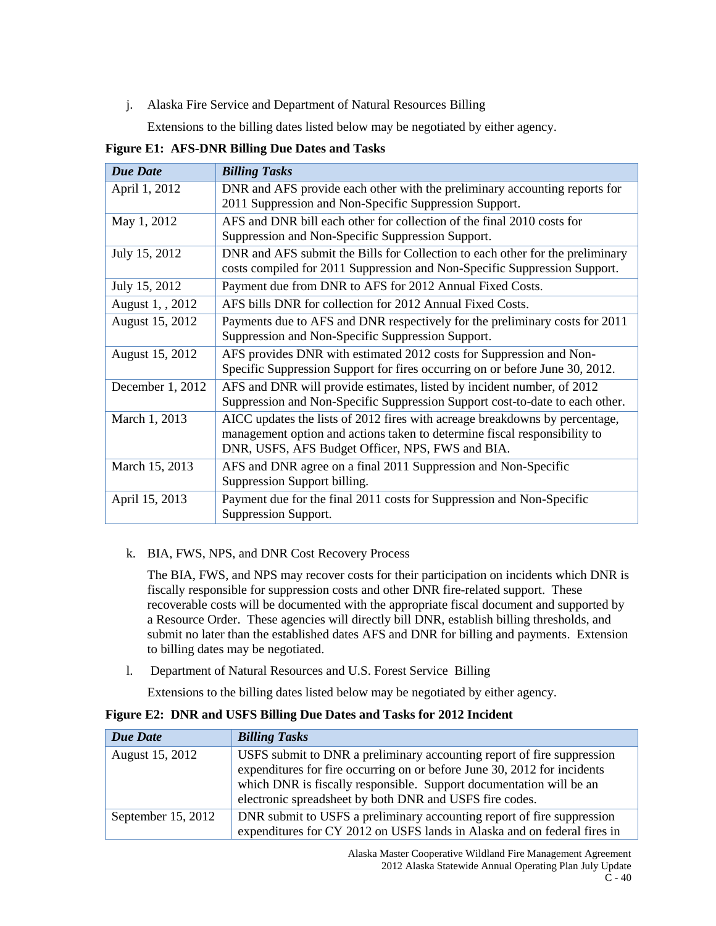j. Alaska Fire Service and Department of Natural Resources Billing

Extensions to the billing dates listed below may be negotiated by either agency.

**Figure E1: AFS-DNR Billing Due Dates and Tasks**

| <b>Due Date</b>  | <b>Billing Tasks</b>                                                          |
|------------------|-------------------------------------------------------------------------------|
| April 1, 2012    | DNR and AFS provide each other with the preliminary accounting reports for    |
|                  | 2011 Suppression and Non-Specific Suppression Support.                        |
| May 1, 2012      | AFS and DNR bill each other for collection of the final 2010 costs for        |
|                  | Suppression and Non-Specific Suppression Support.                             |
| July 15, 2012    | DNR and AFS submit the Bills for Collection to each other for the preliminary |
|                  | costs compiled for 2011 Suppression and Non-Specific Suppression Support.     |
| July 15, 2012    | Payment due from DNR to AFS for 2012 Annual Fixed Costs.                      |
| August 1, , 2012 | AFS bills DNR for collection for 2012 Annual Fixed Costs.                     |
| August 15, 2012  | Payments due to AFS and DNR respectively for the preliminary costs for 2011   |
|                  | Suppression and Non-Specific Suppression Support.                             |
| August 15, 2012  | AFS provides DNR with estimated 2012 costs for Suppression and Non-           |
|                  | Specific Suppression Support for fires occurring on or before June 30, 2012.  |
| December 1, 2012 | AFS and DNR will provide estimates, listed by incident number, of 2012        |
|                  | Suppression and Non-Specific Suppression Support cost-to-date to each other.  |
| March 1, 2013    | AICC updates the lists of 2012 fires with acreage breakdowns by percentage,   |
|                  | management option and actions taken to determine fiscal responsibility to     |
|                  | DNR, USFS, AFS Budget Officer, NPS, FWS and BIA.                              |
| March 15, 2013   | AFS and DNR agree on a final 2011 Suppression and Non-Specific                |
|                  | Suppression Support billing.                                                  |
| April 15, 2013   | Payment due for the final 2011 costs for Suppression and Non-Specific         |
|                  | Suppression Support.                                                          |

k. BIA, FWS, NPS, and DNR Cost Recovery Process

The BIA, FWS, and NPS may recover costs for their participation on incidents which DNR is fiscally responsible for suppression costs and other DNR fire-related support. These recoverable costs will be documented with the appropriate fiscal document and supported by a Resource Order. These agencies will directly bill DNR, establish billing thresholds, and submit no later than the established dates AFS and DNR for billing and payments. Extension to billing dates may be negotiated.

l. Department of Natural Resources and U.S. Forest Service Billing

Extensions to the billing dates listed below may be negotiated by either agency.

#### **Figure E2: DNR and USFS Billing Due Dates and Tasks for 2012 Incident**

| <b>Due Date</b>    | <b>Billing Tasks</b>                                                                                                                                                                                                                                                                 |
|--------------------|--------------------------------------------------------------------------------------------------------------------------------------------------------------------------------------------------------------------------------------------------------------------------------------|
| August 15, 2012    | USFS submit to DNR a preliminary accounting report of fire suppression<br>expenditures for fire occurring on or before June 30, 2012 for incidents<br>which DNR is fiscally responsible. Support documentation will be an<br>electronic spreadsheet by both DNR and USFS fire codes. |
| September 15, 2012 | DNR submit to USFS a preliminary accounting report of fire suppression                                                                                                                                                                                                               |
|                    | expenditures for CY 2012 on USFS lands in Alaska and on federal fires in                                                                                                                                                                                                             |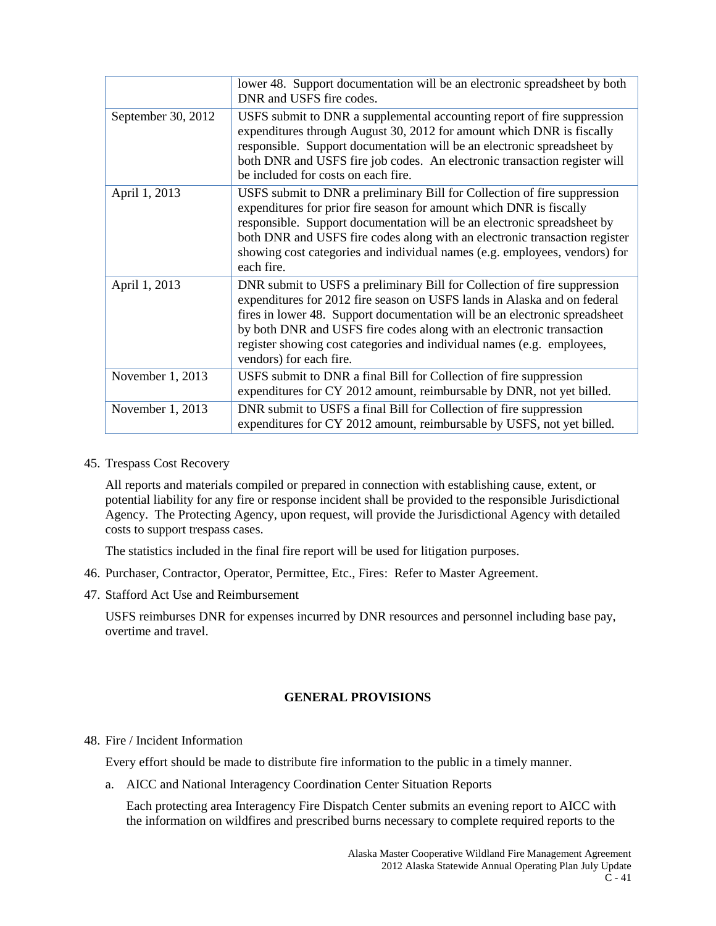|                    | lower 48. Support documentation will be an electronic spreadsheet by both<br>DNR and USFS fire codes.                                                                                                                                                                                                                                                                                                           |
|--------------------|-----------------------------------------------------------------------------------------------------------------------------------------------------------------------------------------------------------------------------------------------------------------------------------------------------------------------------------------------------------------------------------------------------------------|
| September 30, 2012 | USFS submit to DNR a supplemental accounting report of fire suppression<br>expenditures through August 30, 2012 for amount which DNR is fiscally<br>responsible. Support documentation will be an electronic spreadsheet by<br>both DNR and USFS fire job codes. An electronic transaction register will<br>be included for costs on each fire.                                                                 |
| April 1, 2013      | USFS submit to DNR a preliminary Bill for Collection of fire suppression<br>expenditures for prior fire season for amount which DNR is fiscally<br>responsible. Support documentation will be an electronic spreadsheet by<br>both DNR and USFS fire codes along with an electronic transaction register<br>showing cost categories and individual names (e.g. employees, vendors) for<br>each fire.            |
| April 1, 2013      | DNR submit to USFS a preliminary Bill for Collection of fire suppression<br>expenditures for 2012 fire season on USFS lands in Alaska and on federal<br>fires in lower 48. Support documentation will be an electronic spreadsheet<br>by both DNR and USFS fire codes along with an electronic transaction<br>register showing cost categories and individual names (e.g. employees,<br>vendors) for each fire. |
| November 1, 2013   | USFS submit to DNR a final Bill for Collection of fire suppression<br>expenditures for CY 2012 amount, reimbursable by DNR, not yet billed.                                                                                                                                                                                                                                                                     |
| November 1, 2013   | DNR submit to USFS a final Bill for Collection of fire suppression<br>expenditures for CY 2012 amount, reimbursable by USFS, not yet billed.                                                                                                                                                                                                                                                                    |

45. Trespass Cost Recovery

All reports and materials compiled or prepared in connection with establishing cause, extent, or potential liability for any fire or response incident shall be provided to the responsible Jurisdictional Agency. The Protecting Agency, upon request, will provide the Jurisdictional Agency with detailed costs to support trespass cases.

The statistics included in the final fire report will be used for litigation purposes.

- 46. Purchaser, Contractor, Operator, Permittee, Etc., Fires: Refer to Master Agreement.
- 47. Stafford Act Use and Reimbursement

USFS reimburses DNR for expenses incurred by DNR resources and personnel including base pay, overtime and travel.

# **GENERAL PROVISIONS**

48. Fire / Incident Information

Every effort should be made to distribute fire information to the public in a timely manner.

a. AICC and National Interagency Coordination Center Situation Reports

Each protecting area Interagency Fire Dispatch Center submits an evening report to AICC with the information on wildfires and prescribed burns necessary to complete required reports to the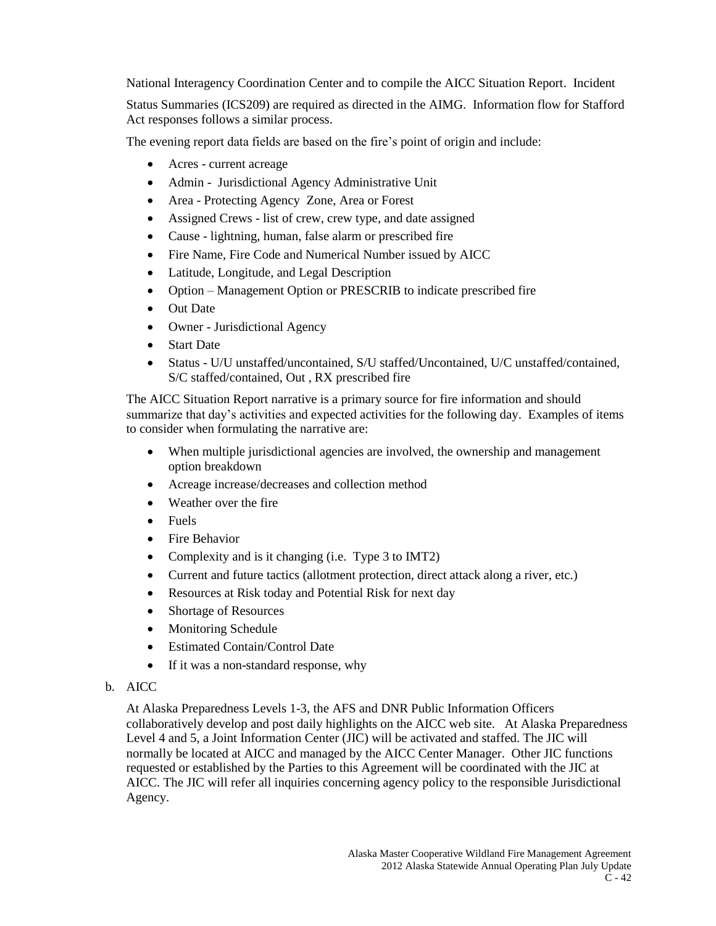National Interagency Coordination Center and to compile the AICC Situation Report. Incident

Status Summaries (ICS209) are required as directed in the AIMG. Information flow for Stafford Act responses follows a similar process.

The evening report data fields are based on the fire's point of origin and include:

- Acres current acreage
- Admin Jurisdictional Agency Administrative Unit
- Area Protecting Agency Zone, Area or Forest
- Assigned Crews list of crew, crew type, and date assigned
- Cause lightning, human, false alarm or prescribed fire
- Fire Name, Fire Code and Numerical Number issued by AICC
- Latitude, Longitude, and Legal Description
- Option Management Option or PRESCRIB to indicate prescribed fire
- Out Date
- Owner Jurisdictional Agency
- Start Date
- Status U/U unstaffed/uncontained, S/U staffed/Uncontained, U/C unstaffed/contained, S/C staffed/contained, Out , RX prescribed fire

The AICC Situation Report narrative is a primary source for fire information and should summarize that day's activities and expected activities for the following day. Examples of items to consider when formulating the narrative are:

- When multiple jurisdictional agencies are involved, the ownership and management option breakdown
- Acreage increase/decreases and collection method
- Weather over the fire
- Fuels
- Fire Behavior
- Complexity and is it changing (i.e. Type 3 to IMT2)
- Current and future tactics (allotment protection, direct attack along a river, etc.)
- Resources at Risk today and Potential Risk for next day
- Shortage of Resources
- Monitoring Schedule
- Estimated Contain/Control Date
- If it was a non-standard response, why

# b. AICC

At Alaska Preparedness Levels 1-3, the AFS and DNR Public Information Officers collaboratively develop and post daily highlights on the AICC web site. At Alaska Preparedness Level 4 and 5, a Joint Information Center (JIC) will be activated and staffed. The JIC will normally be located at AICC and managed by the AICC Center Manager. Other JIC functions requested or established by the Parties to this Agreement will be coordinated with the JIC at AICC. The JIC will refer all inquiries concerning agency policy to the responsible Jurisdictional Agency.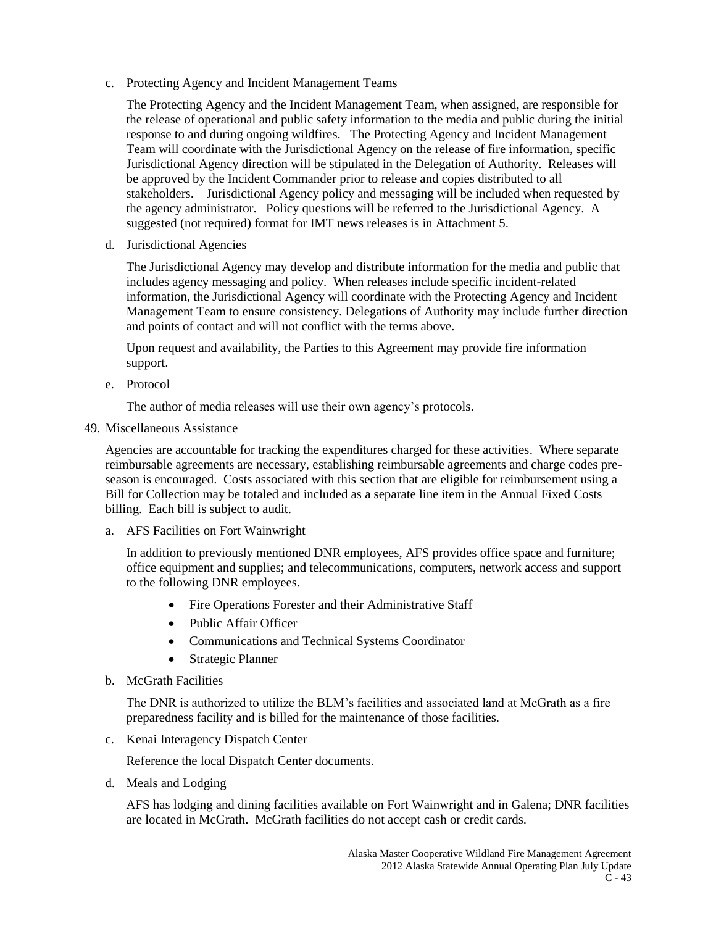c. Protecting Agency and Incident Management Teams

The Protecting Agency and the Incident Management Team, when assigned, are responsible for the release of operational and public safety information to the media and public during the initial response to and during ongoing wildfires. The Protecting Agency and Incident Management Team will coordinate with the Jurisdictional Agency on the release of fire information, specific Jurisdictional Agency direction will be stipulated in the Delegation of Authority. Releases will be approved by the Incident Commander prior to release and copies distributed to all stakeholders. Jurisdictional Agency policy and messaging will be included when requested by the agency administrator. Policy questions will be referred to the Jurisdictional Agency. A suggested (not required) format for IMT news releases is in Attachment 5.

d. Jurisdictional Agencies

The Jurisdictional Agency may develop and distribute information for the media and public that includes agency messaging and policy. When releases include specific incident-related information, the Jurisdictional Agency will coordinate with the Protecting Agency and Incident Management Team to ensure consistency. Delegations of Authority may include further direction and points of contact and will not conflict with the terms above.

Upon request and availability, the Parties to this Agreement may provide fire information support.

e. Protocol

The author of media releases will use their own agency's protocols.

49. Miscellaneous Assistance

Agencies are accountable for tracking the expenditures charged for these activities. Where separate reimbursable agreements are necessary, establishing reimbursable agreements and charge codes preseason is encouraged. Costs associated with this section that are eligible for reimbursement using a Bill for Collection may be totaled and included as a separate line item in the Annual Fixed Costs billing. Each bill is subject to audit.

a. AFS Facilities on Fort Wainwright

In addition to previously mentioned DNR employees, AFS provides office space and furniture; office equipment and supplies; and telecommunications, computers, network access and support to the following DNR employees.

- Fire Operations Forester and their Administrative Staff
- Public Affair Officer
- Communications and Technical Systems Coordinator
- Strategic Planner
- b. McGrath Facilities

The DNR is authorized to utilize the BLM's facilities and associated land at McGrath as a fire preparedness facility and is billed for the maintenance of those facilities.

c. Kenai Interagency Dispatch Center

Reference the local Dispatch Center documents.

d. Meals and Lodging

AFS has lodging and dining facilities available on Fort Wainwright and in Galena; DNR facilities are located in McGrath. McGrath facilities do not accept cash or credit cards.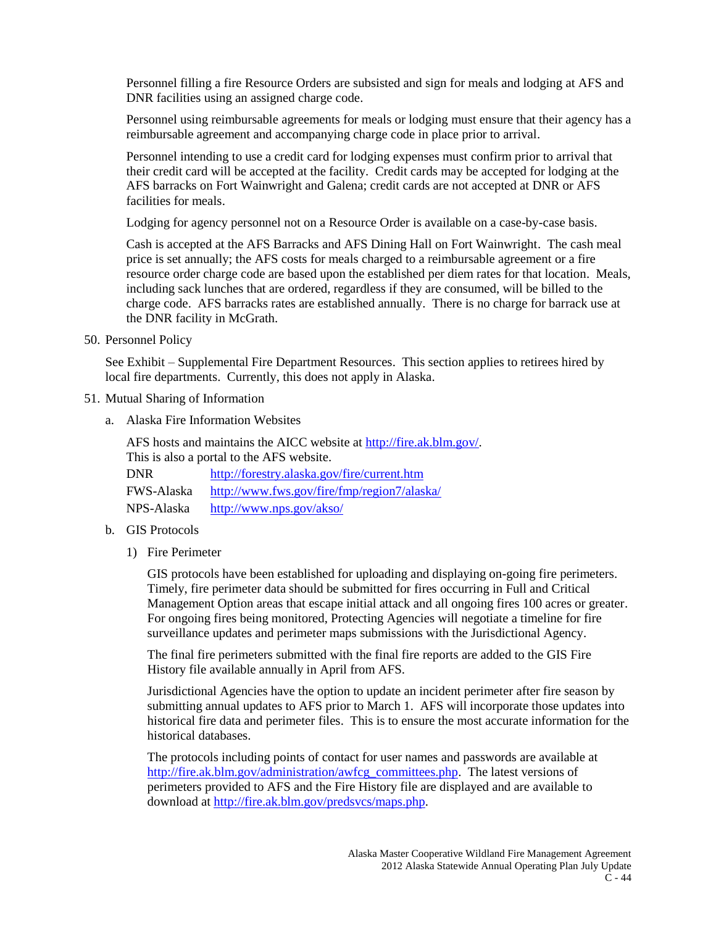Personnel filling a fire Resource Orders are subsisted and sign for meals and lodging at AFS and DNR facilities using an assigned charge code.

Personnel using reimbursable agreements for meals or lodging must ensure that their agency has a reimbursable agreement and accompanying charge code in place prior to arrival.

Personnel intending to use a credit card for lodging expenses must confirm prior to arrival that their credit card will be accepted at the facility. Credit cards may be accepted for lodging at the AFS barracks on Fort Wainwright and Galena; credit cards are not accepted at DNR or AFS facilities for meals.

Lodging for agency personnel not on a Resource Order is available on a case-by-case basis.

Cash is accepted at the AFS Barracks and AFS Dining Hall on Fort Wainwright. The cash meal price is set annually; the AFS costs for meals charged to a reimbursable agreement or a fire resource order charge code are based upon the established per diem rates for that location. Meals, including sack lunches that are ordered, regardless if they are consumed, will be billed to the charge code. AFS barracks rates are established annually. There is no charge for barrack use at the DNR facility in McGrath.

50. Personnel Policy

See Exhibit – Supplemental Fire Department Resources. This section applies to retirees hired by local fire departments. Currently, this does not apply in Alaska.

- 51. Mutual Sharing of Information
	- a. Alaska Fire Information Websites

AFS hosts and maintains the AICC website at [http://fire.ak.blm.gov/.](http://fire.ak.blm.gov/) This is also a portal to the AFS website.

| <b>DNR</b>        | http://forestry.alaska.gov/fire/current.htm |
|-------------------|---------------------------------------------|
| <b>FWS-Alaska</b> | http://www.fws.gov/fire/fmp/region7/alaska/ |
| NPS-Alaska        | http://www.nps.gov/akso/                    |

- b. GIS Protocols
	- 1) Fire Perimeter

GIS protocols have been established for uploading and displaying on-going fire perimeters. Timely, fire perimeter data should be submitted for fires occurring in Full and Critical Management Option areas that escape initial attack and all ongoing fires 100 acres or greater. For ongoing fires being monitored, Protecting Agencies will negotiate a timeline for fire surveillance updates and perimeter maps submissions with the Jurisdictional Agency.

The final fire perimeters submitted with the final fire reports are added to the GIS Fire History file available annually in April from AFS.

Jurisdictional Agencies have the option to update an incident perimeter after fire season by submitting annual updates to AFS prior to March 1. AFS will incorporate those updates into historical fire data and perimeter files. This is to ensure the most accurate information for the historical databases.

The protocols including points of contact for user names and passwords are available at [http://fire.ak.blm.gov/administration/awfcg\\_committees.php.](http://fire.ak.blm.gov/administration/awfcg_committees.php) The latest versions of perimeters provided to AFS and the Fire History file are displayed and are available to download at [http://fire.ak.blm.gov/predsvcs/maps.php.](http://fire.ak.blm.gov/predsvcs/maps.php)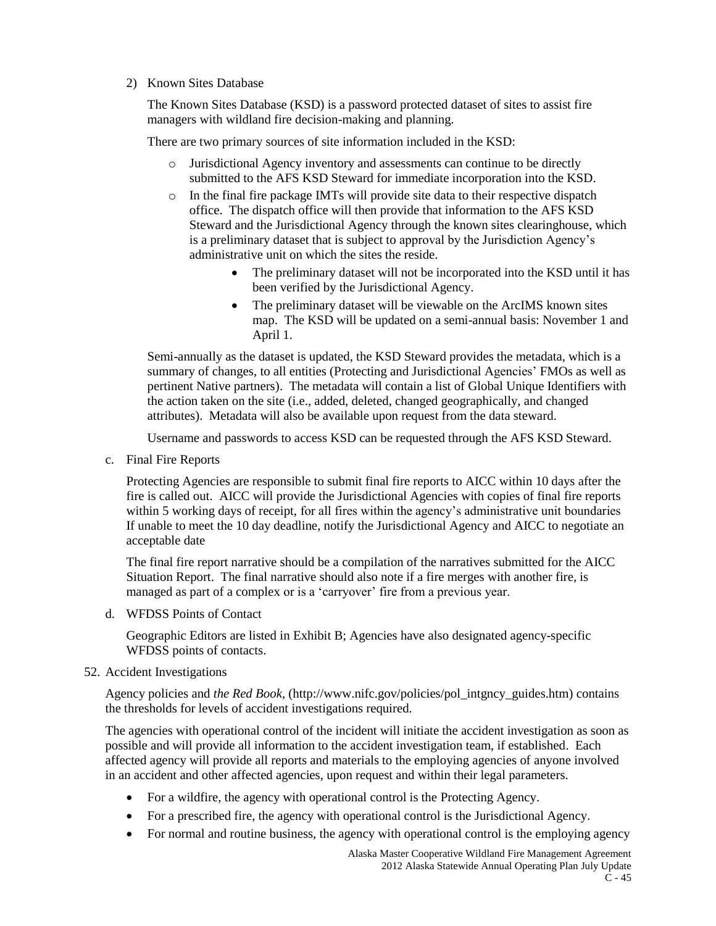#### 2) Known Sites Database

The Known Sites Database (KSD) is a password protected dataset of sites to assist fire managers with wildland fire decision-making and planning.

There are two primary sources of site information included in the KSD:

- o Jurisdictional Agency inventory and assessments can continue to be directly submitted to the AFS KSD Steward for immediate incorporation into the KSD.
- o In the final fire package IMTs will provide site data to their respective dispatch office. The dispatch office will then provide that information to the AFS KSD Steward and the Jurisdictional Agency through the known sites clearinghouse, which is a preliminary dataset that is subject to approval by the Jurisdiction Agency's administrative unit on which the sites the reside.
	- The preliminary dataset will not be incorporated into the KSD until it has been verified by the Jurisdictional Agency.
	- The preliminary dataset will be viewable on the ArcIMS known sites map. The KSD will be updated on a semi-annual basis: November 1 and April 1.

Semi-annually as the dataset is updated, the KSD Steward provides the metadata, which is a summary of changes, to all entities (Protecting and Jurisdictional Agencies' FMOs as well as pertinent Native partners). The metadata will contain a list of Global Unique Identifiers with the action taken on the site (i.e., added, deleted, changed geographically, and changed attributes). Metadata will also be available upon request from the data steward.

Username and passwords to access KSD can be requested through the AFS KSD Steward.

c. Final Fire Reports

Protecting Agencies are responsible to submit final fire reports to AICC within 10 days after the fire is called out. AICC will provide the Jurisdictional Agencies with copies of final fire reports within 5 working days of receipt, for all fires within the agency's administrative unit boundaries If unable to meet the 10 day deadline, notify the Jurisdictional Agency and AICC to negotiate an acceptable date

The final fire report narrative should be a compilation of the narratives submitted for the AICC Situation Report. The final narrative should also note if a fire merges with another fire, is managed as part of a complex or is a 'carryover' fire from a previous year.

d. WFDSS Points of Contact

Geographic Editors are listed in Exhibit B; Agencies have also designated agency-specific WFDSS points of contacts.

#### 52. Accident Investigations

Agency policies and *the Red Book,* (http://www.nifc.gov/policies/pol\_intgncy\_guides.htm) contains the thresholds for levels of accident investigations required.

The agencies with operational control of the incident will initiate the accident investigation as soon as possible and will provide all information to the accident investigation team, if established. Each affected agency will provide all reports and materials to the employing agencies of anyone involved in an accident and other affected agencies, upon request and within their legal parameters.

- For a wildfire, the agency with operational control is the Protecting Agency.
- For a prescribed fire, the agency with operational control is the Jurisdictional Agency.
- For normal and routine business, the agency with operational control is the employing agency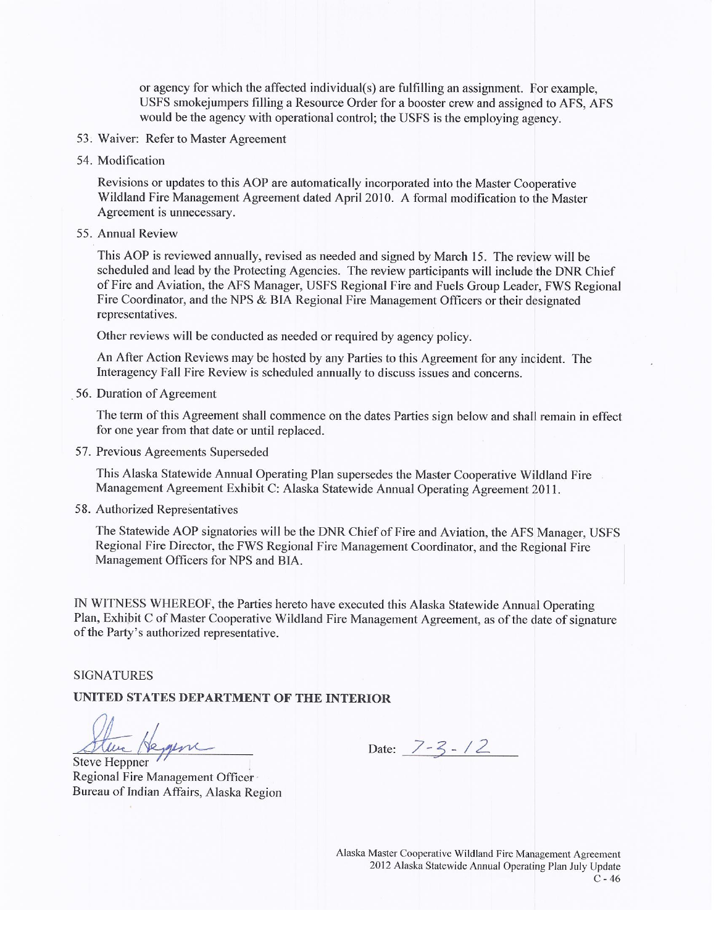or agency for which the affected individual(s) are fulfilling an assignment. For example, USFS smokejumpers filling a Resource Order for a booster crew and assigned to AFS, AFS would be the agency with operational control; the USFS is the employing agency.

- 53. Waiver: Refer to Master Agreement
- 54. Modification

Revisions or updates to this AOP are automatically incorporated into the Master Cooperative Wildland Fire Management Agreement dated April 2010. A formal modification to the Master Agreement is unnecessary.

55. Annual Review

This AOP is reviewed annually, revised as needed and signed by March 15. The review will be scheduled and lead by the Protecting Agencies. The review participants will include the DNR Chief of Fire and Aviation, the AFS Manager, USFS Regional Fire and Fuels Group Leader, FWS Regional Fire Coordinator, and the NPS & BIA Regional Fire Management Officers or their designated representatives.

Other reviews will be conducted as needed or required by agency policy.

An After Action Reviews may be hosted by any Parties to this Agreement for any incident. The Interagency Fall Fire Review is scheduled annually to discuss issues and concerns.

56. Duration of Agreement

The term of this Agreement shall commence on the dates Parties sign below and shall remain in effect for one year from that date or until replaced.

57. Previous Agreements Superseded

This Alaska Statewide Annual Operating Plan supersedes the Master Cooperative Wildland Fire Management Agreement Exhibit C: Alaska Statewide Annual Operating Agreement 2011.

58. Authorized Representatives

The Statewide AOP signatories will be the DNR Chief of Fire and Aviation, the AFS Manager, USFS Regional Fire Director, the FWS Regional Fire Management Coordinator, and the Regional Fire Management Officers for NPS and BIA.

IN WITNESS WHEREOF, the Parties hereto have executed this Alaska Statewide Annual Operating Plan, Exhibit C of Master Cooperative Wildland Fire Management Agreement, as of the date of signature of the Party's authorized representative.

#### **SIGNATURES**

# UNITED STATES DEPARTMENT OF THE INTERIOR

Steve Heyen

Regional Fire Management Officer Bureau of Indian Affairs, Alaska Region

Date:  $7-3-12$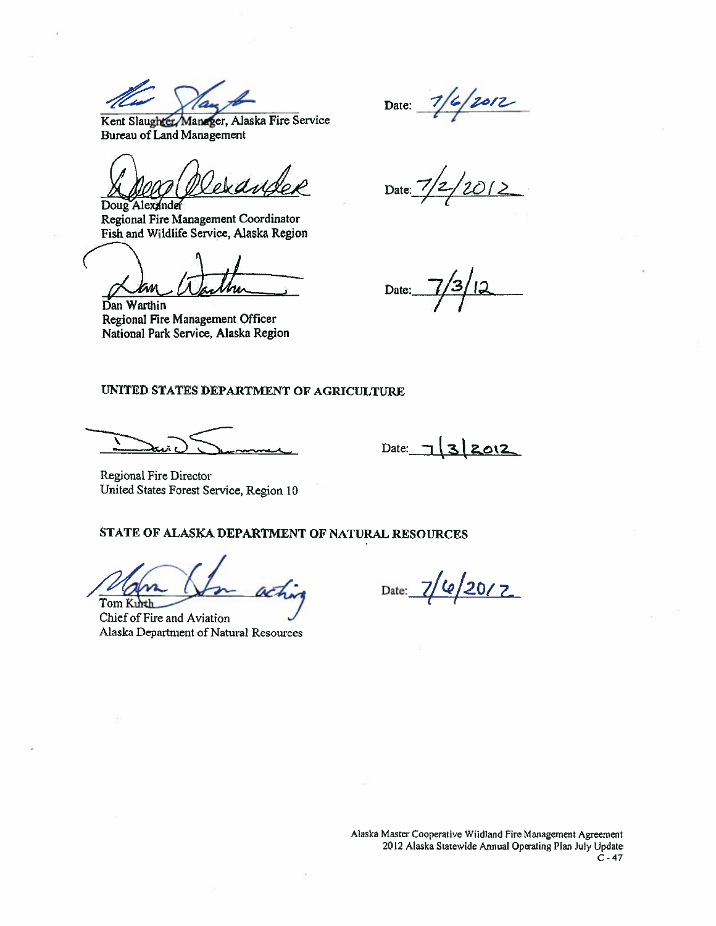Kent Slaughter Manager, Alaska Fire Service **Bureau of Land Management** 

dedill Doug Alexander

Regional Fire Management Coordinator Fish and Wildlife Service, Alaska Region

Dan Warthin Regional Fire Management Officer National Park Service, Alaska Region

 $7/6/2012$ Date:  $\overline{\phantom{a}}$ 

 $2012$ Date:

Date:

#### UNITED STATES DEPARTMENT OF AGRICULTURE

Date:  $7|3|2012$ 

Regional Fire Director United States Forest Service, Region 10

#### STATE OF ALASKA DEPARTMENT OF NATURAL RESOURCES

Tom Kurth

Chief of Fire and Aviation Alaska Department of Natural Resources

 $e/20/2$ Date: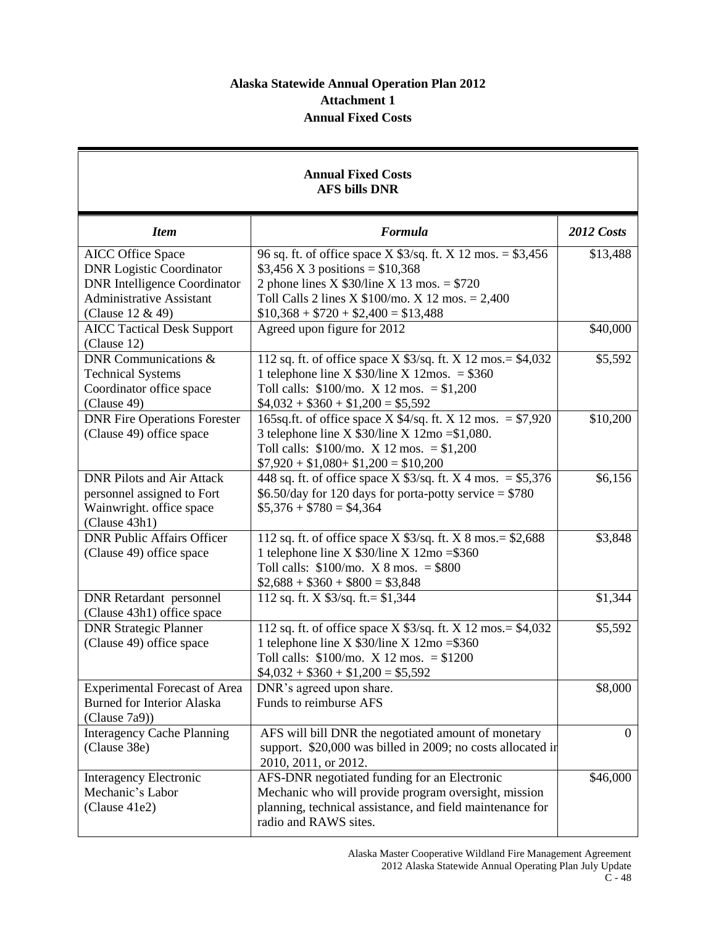# **Alaska Statewide Annual Operation Plan 2012 Attachment 1 Annual Fixed Costs**

# **Annual Fixed Costs AFS bills DNR**

| <b>Item</b>                          | Formula                                                           | 2012 Costs     |
|--------------------------------------|-------------------------------------------------------------------|----------------|
| <b>AICC</b> Office Space             | 96 sq. ft. of office space X \$3/sq. ft. X 12 mos. = \$3,456      | \$13,488       |
| <b>DNR Logistic Coordinator</b>      | \$3,456 X 3 positions = $$10,368$                                 |                |
| <b>DNR</b> Intelligence Coordinator  | 2 phone lines X $$30$ /line X 13 mos. = \$720                     |                |
| <b>Administrative Assistant</b>      | Toll Calls 2 lines X $$100/$ mo. X 12 mos. = 2,400                |                |
| (Clause 12 & 49)                     | $$10,368 + $720 + $2,400 = $13,488$                               |                |
| <b>AICC Tactical Desk Support</b>    | Agreed upon figure for 2012                                       | \$40,000       |
| (Clause 12)                          |                                                                   |                |
| DNR Communications &                 | 112 sq. ft. of office space $X$ \$3/sq. ft. $X$ 12 mos. = \$4,032 | \$5,592        |
| <b>Technical Systems</b>             | 1 telephone line X $$30/$ line X $12$ mos. = \$360                |                |
| Coordinator office space             | Toll calls: $$100/$ mo. X 12 mos. = $$1,200$                      |                |
| (Clause 49)                          | $$4,032 + $360 + $1,200 = $5,592$                                 |                |
| <b>DNR Fire Operations Forester</b>  | 165sq.ft. of office space X $4$ /sq.ft. X 12 mos. = \$7,920       | \$10,200       |
| (Clause 49) office space             | 3 telephone line X $$30/$ line X $12$ mo = \$1,080.               |                |
|                                      | Toll calls: $$100/$ mo. X 12 mos. = $$1,200$                      |                |
|                                      | $$7,920 + $1,080 + $1,200 = $10,200$                              |                |
| <b>DNR Pilots and Air Attack</b>     | 448 sq. ft. of office space X $$3/sq$ . ft. X 4 mos. = \$5,376    | \$6,156        |
| personnel assigned to Fort           | $$6.50$ /day for 120 days for porta-potty service = \$780         |                |
| Wainwright. office space             | $$5,376 + $780 = $4,364$                                          |                |
| (Clause 43h1)                        |                                                                   |                |
| <b>DNR Public Affairs Officer</b>    | 112 sq. ft. of office space $X$ \$3/sq. ft. $X$ 8 mos. = \$2,688  | \$3,848        |
| (Clause 49) office space             | 1 telephone line X $$30/$ line X $12$ mo = \$360                  |                |
|                                      | Toll calls: $$100/$ mo. X 8 mos. = \$800                          |                |
|                                      | $\$2,688 + \$360 + \$800 = \$3,848$                               |                |
| <b>DNR</b> Retardant personnel       | 112 sq. ft. X $$3/sq.$ ft. = $$1,344$                             | \$1,344        |
| (Clause 43h1) office space           |                                                                   |                |
| <b>DNR Strategic Planner</b>         | 112 sq. ft. of office space $X$ \$3/sq. ft. $X$ 12 mos. = \$4,032 | \$5,592        |
| (Clause 49) office space             | 1 telephone line X $$30/$ line X $12$ mo = \$360                  |                |
|                                      | Toll calls: $$100/m$ . X 12 mos. = $$1200$                        |                |
|                                      | $$4,032 + $360 + $1,200 = $5,592$                                 |                |
| <b>Experimental Forecast of Area</b> | DNR's agreed upon share.                                          | \$8,000        |
| <b>Burned for Interior Alaska</b>    | Funds to reimburse AFS                                            |                |
| (Clause 7a9)                         |                                                                   |                |
| <b>Interagency Cache Planning</b>    | AFS will bill DNR the negotiated amount of monetary               | $\overline{0}$ |
| (Clause 38e)                         | support. \$20,000 was billed in 2009; no costs allocated in       |                |
|                                      | 2010, 2011, or 2012.                                              |                |
| Interagency Electronic               | AFS-DNR negotiated funding for an Electronic                      | \$46,000       |
| Mechanic's Labor                     | Mechanic who will provide program oversight, mission              |                |
| (Clause 41e2)                        | planning, technical assistance, and field maintenance for         |                |
|                                      | radio and RAWS sites.                                             |                |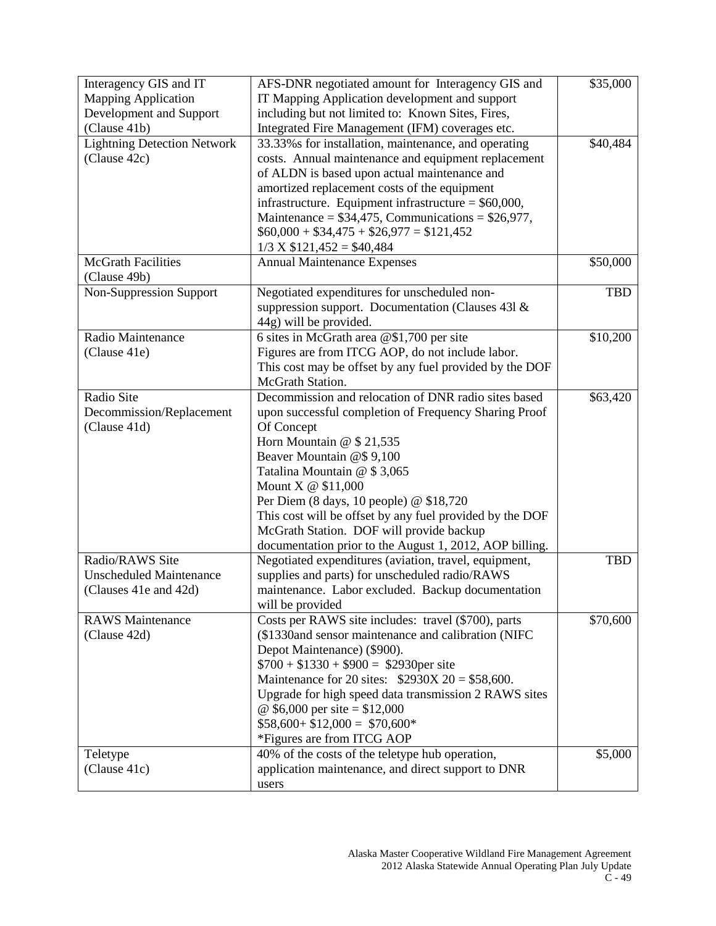| Interagency GIS and IT             | AFS-DNR negotiated amount for Interagency GIS and        | \$35,000   |
|------------------------------------|----------------------------------------------------------|------------|
| <b>Mapping Application</b>         | IT Mapping Application development and support           |            |
| Development and Support            | including but not limited to: Known Sites, Fires,        |            |
| (Clause 41b)                       | Integrated Fire Management (IFM) coverages etc.          |            |
| <b>Lightning Detection Network</b> | 33.33% s for installation, maintenance, and operating    | \$40,484   |
| (Clause 42c)                       | costs. Annual maintenance and equipment replacement      |            |
|                                    | of ALDN is based upon actual maintenance and             |            |
|                                    | amortized replacement costs of the equipment             |            |
|                                    | infrastructure. Equipment infrastructure = $$60,000$ ,   |            |
|                                    | Maintenance = $$34,475$ , Communications = $$26,977$ ,   |            |
|                                    | $$60,000 + $34,475 + $26,977 = $121,452$                 |            |
|                                    | $1/3$ X \$121,452 = \$40,484                             |            |
| <b>McGrath Facilities</b>          | <b>Annual Maintenance Expenses</b>                       | \$50,000   |
| (Clause 49b)                       |                                                          |            |
| Non-Suppression Support            | Negotiated expenditures for unscheduled non-             | <b>TBD</b> |
|                                    | suppression support. Documentation (Clauses 431 $\&$     |            |
|                                    | 44g) will be provided.                                   |            |
| Radio Maintenance                  | 6 sites in McGrath area @\$1,700 per site                | \$10,200   |
| (Clause 41e)                       | Figures are from ITCG AOP, do not include labor.         |            |
|                                    | This cost may be offset by any fuel provided by the DOF  |            |
|                                    | McGrath Station.                                         |            |
| Radio Site                         | Decommission and relocation of DNR radio sites based     | \$63,420   |
| Decommission/Replacement           | upon successful completion of Frequency Sharing Proof    |            |
| (Clause 41d)                       | Of Concept                                               |            |
|                                    | Horn Mountain @ \$ 21,535                                |            |
|                                    | Beaver Mountain @\$9,100                                 |            |
|                                    | Tatalina Mountain @ \$3,065                              |            |
|                                    | Mount X @ \$11,000                                       |            |
|                                    | Per Diem (8 days, 10 people) @ \$18,720                  |            |
|                                    | This cost will be offset by any fuel provided by the DOF |            |
|                                    | McGrath Station. DOF will provide backup                 |            |
|                                    | documentation prior to the August 1, 2012, AOP billing.  |            |
| Radio/RAWS Site                    | Negotiated expenditures (aviation, travel, equipment,    | <b>TBD</b> |
| <b>Unscheduled Maintenance</b>     | supplies and parts) for unscheduled radio/RAWS           |            |
| (Clauses 41e and 42d)              | maintenance. Labor excluded. Backup documentation        |            |
|                                    | will be provided                                         |            |
| <b>RAWS</b> Maintenance            | Costs per RAWS site includes: travel (\$700), parts      | \$70,600   |
| (Clause 42d)                       | (\$1330and sensor maintenance and calibration (NIFC)     |            |
|                                    | Depot Maintenance) (\$900).                              |            |
|                                    | $$700 + $1330 + $900 = $2930$ per site                   |            |
|                                    | Maintenance for 20 sites: $$2930X 20 = $58,600$ .        |            |
|                                    | Upgrade for high speed data transmission 2 RAWS sites    |            |
|                                    | @ \$6,000 per site = $$12,000$                           |            |
|                                    | $$58,600 + $12,000 = $70,600*$                           |            |
|                                    | *Figures are from ITCG AOP                               |            |
| Teletype                           | 40% of the costs of the teletype hub operation,          | \$5,000    |
| (Clause 41c)                       | application maintenance, and direct support to DNR       |            |
|                                    | users                                                    |            |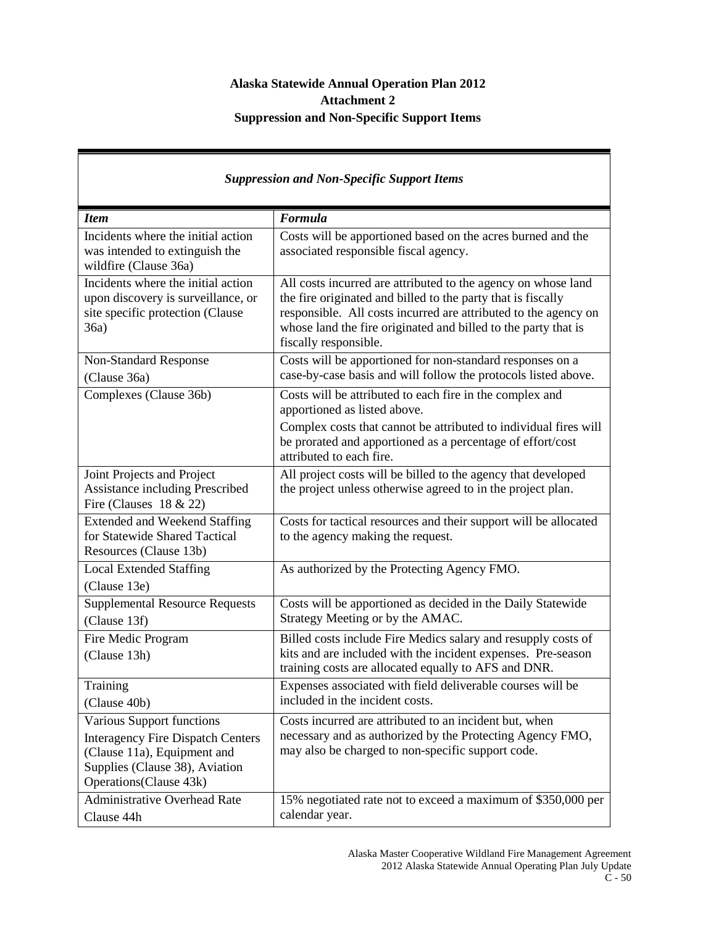# **Alaska Statewide Annual Operation Plan 2012 Attachment 2 Suppression and Non-Specific Support Items**

| <b>Suppression and Non-Specific Support Items</b>                                                                                                                 |                                                                                                                                                                                                                                                                                             |  |
|-------------------------------------------------------------------------------------------------------------------------------------------------------------------|---------------------------------------------------------------------------------------------------------------------------------------------------------------------------------------------------------------------------------------------------------------------------------------------|--|
| <b>Item</b>                                                                                                                                                       | Formula                                                                                                                                                                                                                                                                                     |  |
| Incidents where the initial action<br>was intended to extinguish the<br>wildfire (Clause 36a)                                                                     | Costs will be apportioned based on the acres burned and the<br>associated responsible fiscal agency.                                                                                                                                                                                        |  |
| Incidents where the initial action<br>upon discovery is surveillance, or<br>site specific protection (Clause<br>36a)                                              | All costs incurred are attributed to the agency on whose land<br>the fire originated and billed to the party that is fiscally<br>responsible. All costs incurred are attributed to the agency on<br>whose land the fire originated and billed to the party that is<br>fiscally responsible. |  |
| Non-Standard Response<br>(Clause 36a)                                                                                                                             | Costs will be apportioned for non-standard responses on a<br>case-by-case basis and will follow the protocols listed above.                                                                                                                                                                 |  |
| Complexes (Clause 36b)                                                                                                                                            | Costs will be attributed to each fire in the complex and<br>apportioned as listed above.<br>Complex costs that cannot be attributed to individual fires will                                                                                                                                |  |
|                                                                                                                                                                   | be prorated and apportioned as a percentage of effort/cost<br>attributed to each fire.                                                                                                                                                                                                      |  |
| Joint Projects and Project<br><b>Assistance including Prescribed</b><br>Fire (Clauses $18 \& 22$ )                                                                | All project costs will be billed to the agency that developed<br>the project unless otherwise agreed to in the project plan.                                                                                                                                                                |  |
| <b>Extended and Weekend Staffing</b><br>for Statewide Shared Tactical<br>Resources (Clause 13b)                                                                   | Costs for tactical resources and their support will be allocated<br>to the agency making the request.                                                                                                                                                                                       |  |
| <b>Local Extended Staffing</b><br>(Clause 13e)                                                                                                                    | As authorized by the Protecting Agency FMO.                                                                                                                                                                                                                                                 |  |
| <b>Supplemental Resource Requests</b><br>(Clause 13f)                                                                                                             | Costs will be apportioned as decided in the Daily Statewide<br>Strategy Meeting or by the AMAC.                                                                                                                                                                                             |  |
| Fire Medic Program<br>(Clause 13h)                                                                                                                                | Billed costs include Fire Medics salary and resupply costs of<br>kits and are included with the incident expenses. Pre-season<br>training costs are allocated equally to AFS and DNR.                                                                                                       |  |
| Training<br>(Clause 40b)                                                                                                                                          | Expenses associated with field deliverable courses will be<br>included in the incident costs.                                                                                                                                                                                               |  |
| Various Support functions<br><b>Interagency Fire Dispatch Centers</b><br>(Clause 11a), Equipment and<br>Supplies (Clause 38), Aviation<br>Operations (Clause 43k) | Costs incurred are attributed to an incident but, when<br>necessary and as authorized by the Protecting Agency FMO,<br>may also be charged to non-specific support code.                                                                                                                    |  |
| <b>Administrative Overhead Rate</b><br>Clause 44h                                                                                                                 | 15% negotiated rate not to exceed a maximum of \$350,000 per<br>calendar year.                                                                                                                                                                                                              |  |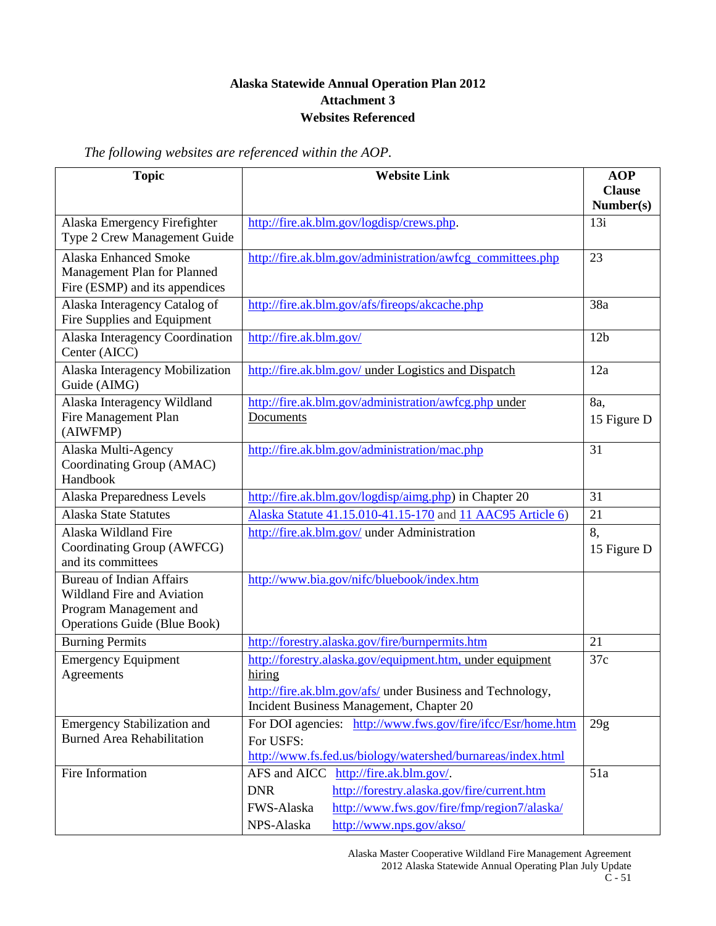# **Alaska Statewide Annual Operation Plan 2012 Attachment 3 Websites Referenced**

*The following websites are referenced within the AOP.*

| <b>Topic</b>                                                                                                                   | <b>Website Link</b>                                                                                                                                                                                          | <b>AOP</b><br><b>Clause</b> |
|--------------------------------------------------------------------------------------------------------------------------------|--------------------------------------------------------------------------------------------------------------------------------------------------------------------------------------------------------------|-----------------------------|
|                                                                                                                                |                                                                                                                                                                                                              | Number(s)                   |
| Alaska Emergency Firefighter<br>Type 2 Crew Management Guide                                                                   | http://fire.ak.blm.gov/logdisp/crews.php.                                                                                                                                                                    | 13i                         |
| <b>Alaska Enhanced Smoke</b><br>Management Plan for Planned<br>Fire (ESMP) and its appendices                                  | http://fire.ak.blm.gov/administration/awfcg_committees.php                                                                                                                                                   | 23                          |
| Alaska Interagency Catalog of<br>Fire Supplies and Equipment                                                                   | http://fire.ak.blm.gov/afs/fireops/akcache.php                                                                                                                                                               | 38a                         |
| Alaska Interagency Coordination<br>Center (AICC)                                                                               | http://fire.ak.blm.gov/                                                                                                                                                                                      | 12 <sub>b</sub>             |
| Alaska Interagency Mobilization<br>Guide (AIMG)                                                                                | http://fire.ak.blm.gov/ under Logistics and Dispatch                                                                                                                                                         | 12a                         |
| Alaska Interagency Wildland<br>Fire Management Plan<br>(AIWFMP)                                                                | http://fire.ak.blm.gov/administration/awfcg.php under<br>Documents                                                                                                                                           | 8a,<br>15 Figure D          |
| Alaska Multi-Agency<br>Coordinating Group (AMAC)<br>Handbook                                                                   | http://fire.ak.blm.gov/administration/mac.php                                                                                                                                                                | 31                          |
| Alaska Preparedness Levels                                                                                                     | http://fire.ak.blm.gov/logdisp/aimg.php) in Chapter 20                                                                                                                                                       | 31                          |
| <b>Alaska State Statutes</b>                                                                                                   | Alaska Statute 41.15.010-41.15-170 and 11 AAC95 Article 6)                                                                                                                                                   | 21                          |
| Alaska Wildland Fire<br>Coordinating Group (AWFCG)<br>and its committees                                                       | http://fire.ak.blm.gov/ under Administration                                                                                                                                                                 | 8,<br>15 Figure D           |
| <b>Bureau of Indian Affairs</b><br>Wildland Fire and Aviation<br>Program Management and<br><b>Operations Guide (Blue Book)</b> | http://www.bia.gov/nifc/bluebook/index.htm                                                                                                                                                                   |                             |
| <b>Burning Permits</b>                                                                                                         | http://forestry.alaska.gov/fire/burnpermits.htm                                                                                                                                                              | 21                          |
| <b>Emergency Equipment</b><br>Agreements                                                                                       | http://forestry.alaska.gov/equipment.htm, under equipment<br>hiring<br>http://fire.ak.blm.gov/afs/ under Business and Technology,<br>Incident Business Management, Chapter 20                                | 37c                         |
| <b>Emergency Stabilization and</b><br><b>Burned Area Rehabilitation</b>                                                        | For DOI agencies: http://www.fws.gov/fire/ifcc/Esr/home.htm<br>For USFS:<br>http://www.fs.fed.us/biology/watershed/burnareas/index.html                                                                      | 29g                         |
| Fire Information                                                                                                               | http://fire.ak.blm.gov/.<br>AFS and AICC<br>http://forestry.alaska.gov/fire/current.htm<br><b>DNR</b><br>http://www.fws.gov/fire/fmp/region7/alaska/<br>FWS-Alaska<br>NPS-Alaska<br>http://www.nps.gov/akso/ | 51a                         |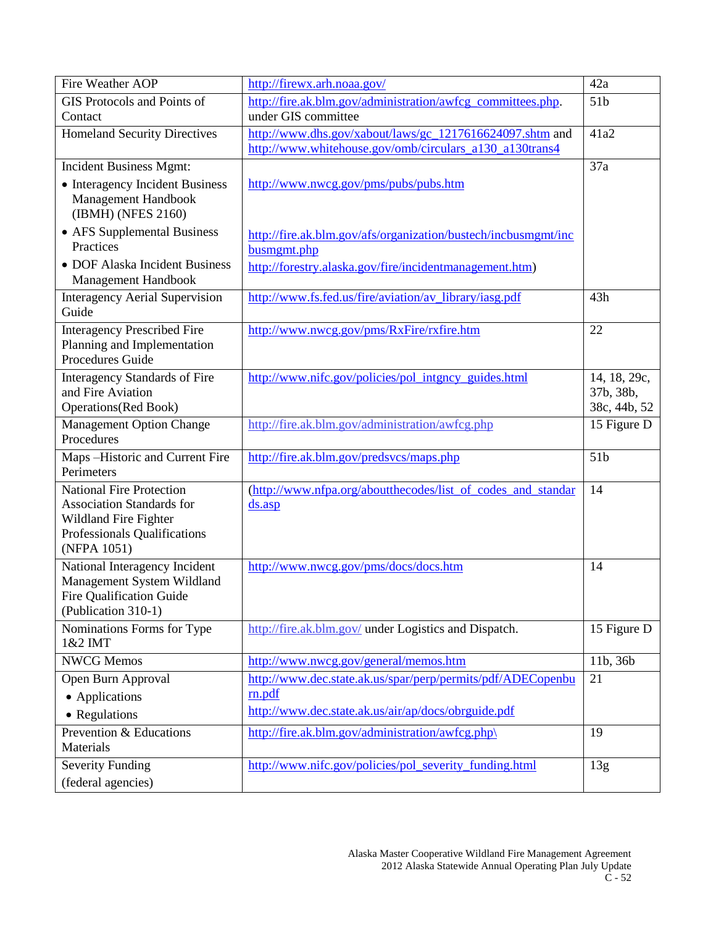| Fire Weather AOP                                                             | http://firewx.arh.noaa.gov/                                                   | 42a             |
|------------------------------------------------------------------------------|-------------------------------------------------------------------------------|-----------------|
| GIS Protocols and Points of                                                  | http://fire.ak.blm.gov/administration/awfcg_committees.php.                   | 51 <sub>b</sub> |
| Contact                                                                      | under GIS committee                                                           |                 |
| <b>Homeland Security Directives</b>                                          | http://www.dhs.gov/xabout/laws/gc_1217616624097.shtm and                      | 41a2            |
|                                                                              | http://www.whitehouse.gov/omb/circulars_a130_a130trans4                       |                 |
| <b>Incident Business Mgmt:</b>                                               |                                                                               | 37a             |
| • Interagency Incident Business<br>Management Handbook<br>(IBMH) (NFES 2160) | http://www.nwcg.gov/pms/pubs/pubs.htm                                         |                 |
| • AFS Supplemental Business<br>Practices                                     | http://fire.ak.blm.gov/afs/organization/bustech/incbusmgmt/inc<br>busmgmt.php |                 |
| • DOF Alaska Incident Business                                               | http://forestry.alaska.gov/fire/incidentmanagement.htm)                       |                 |
| Management Handbook                                                          |                                                                               |                 |
| <b>Interagency Aerial Supervision</b><br>Guide                               | http://www.fs.fed.us/fire/aviation/av_library/iasg.pdf                        | 43h             |
| <b>Interagency Prescribed Fire</b>                                           | http://www.nwcg.gov/pms/RxFire/rxfire.htm                                     | 22              |
| Planning and Implementation<br><b>Procedures Guide</b>                       |                                                                               |                 |
| <b>Interagency Standards of Fire</b>                                         | http://www.nifc.gov/policies/pol_intgncy_guides.html                          | 14, 18, 29c,    |
| and Fire Aviation                                                            |                                                                               | 37b, 38b,       |
| <b>Operations</b> (Red Book)                                                 |                                                                               | 38c, 44b, 52    |
| <b>Management Option Change</b>                                              | http://fire.ak.blm.gov/administration/awfcg.php                               | 15 Figure D     |
| Procedures                                                                   |                                                                               |                 |
| Maps-Historic and Current Fire                                               | http://fire.ak.blm.gov/predsvcs/maps.php                                      | 51 <sub>b</sub> |
| Perimeters                                                                   |                                                                               |                 |
| <b>National Fire Protection</b>                                              | (http://www.nfpa.org/aboutthecodes/list of codes and standar                  | 14              |
| <b>Association Standards for</b>                                             | $ds.$ asp                                                                     |                 |
| Wildland Fire Fighter<br>Professionals Qualifications                        |                                                                               |                 |
| (NFPA 1051)                                                                  |                                                                               |                 |
| National Interagency Incident                                                | http://www.nwcg.gov/pms/docs/docs.htm                                         | 14              |
| Management System Wildland                                                   |                                                                               |                 |
| <b>Fire Qualification Guide</b>                                              |                                                                               |                 |
| (Publication 310-1)                                                          |                                                                               |                 |
| Nominations Forms for Type<br>1&2 IMT                                        | http://fire.ak.blm.gov/ under Logistics and Dispatch.                         | 15 Figure D     |
| <b>NWCG Memos</b>                                                            | http://www.nwcg.gov/general/memos.htm                                         | 11b, 36b        |
| Open Burn Approval                                                           | http://www.dec.state.ak.us/spar/perp/permits/pdf/ADECopenbu                   | 21              |
| • Applications                                                               | rn.pdf                                                                        |                 |
| • Regulations                                                                | http://www.dec.state.ak.us/air/ap/docs/obrguide.pdf                           |                 |
| Prevention & Educations                                                      | http://fire.ak.blm.gov/administration/awfcg.php\                              | 19              |
| Materials                                                                    |                                                                               |                 |
| <b>Severity Funding</b>                                                      | http://www.nifc.gov/policies/pol_severity_funding.html                        | 13g             |
| (federal agencies)                                                           |                                                                               |                 |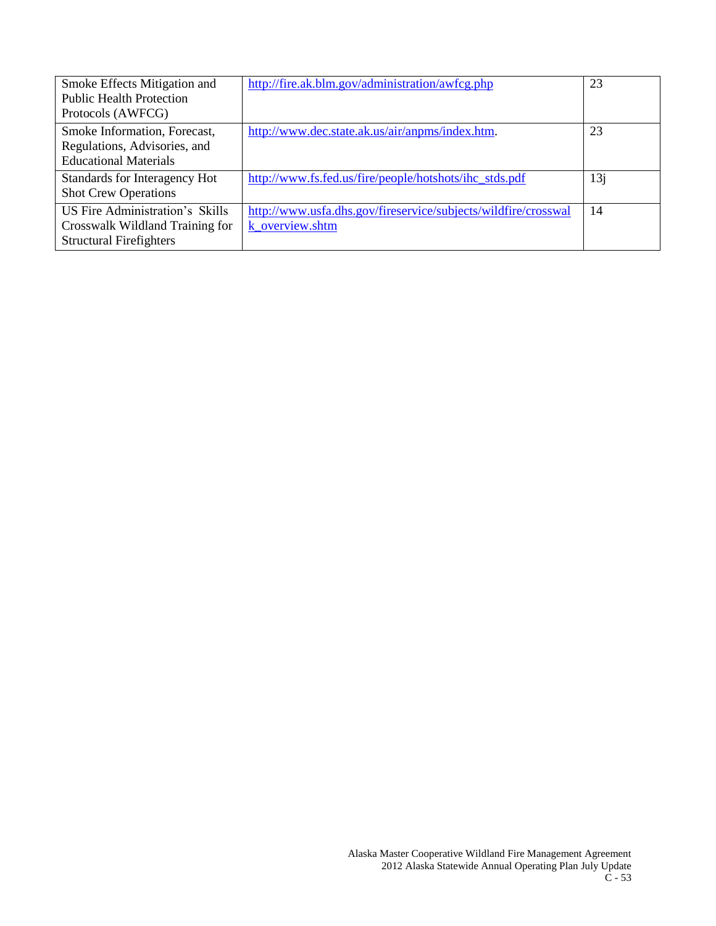| Smoke Effects Mitigation and<br><b>Public Health Protection</b><br>Protocols (AWFCG)                 | http://fire.ak.blm.gov/administration/awfcg.php                                   | 23  |
|------------------------------------------------------------------------------------------------------|-----------------------------------------------------------------------------------|-----|
| Smoke Information, Forecast,<br>Regulations, Advisories, and<br><b>Educational Materials</b>         | http://www.dec.state.ak.us/air/anpms/index.htm.                                   | 23  |
| Standards for Interagency Hot<br><b>Shot Crew Operations</b>                                         | http://www.fs.fed.us/fire/people/hotshots/ihc_stds.pdf                            | 13j |
| US Fire Administration's Skills<br>Crosswalk Wildland Training for<br><b>Structural Firefighters</b> | http://www.usfa.dhs.gov/fireservice/subjects/wildfire/crosswal<br>k overview.shtm | 14  |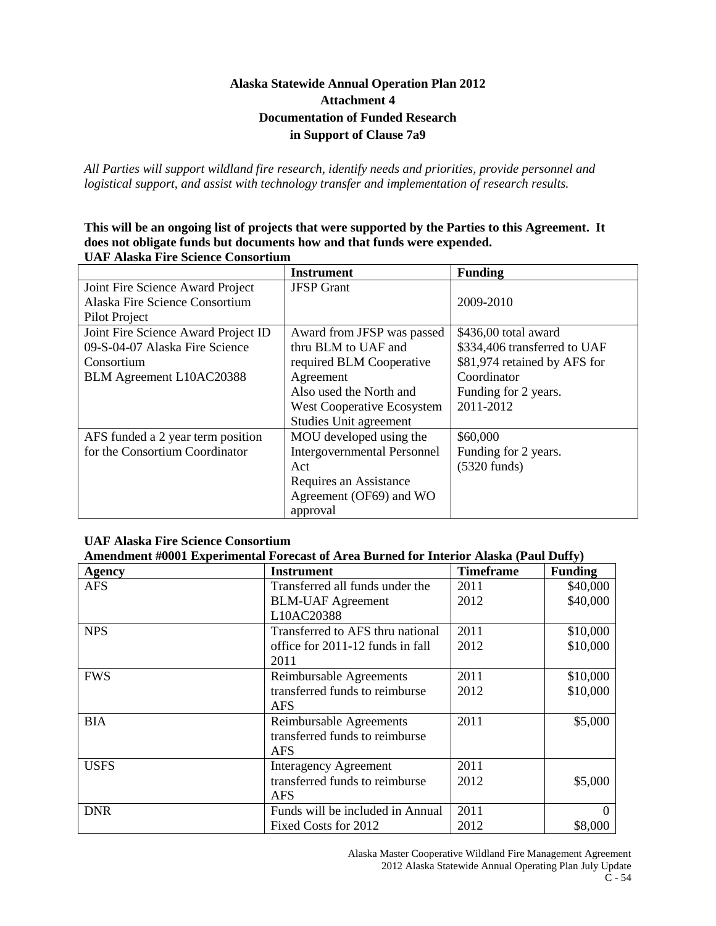# **Alaska Statewide Annual Operation Plan 2012 Attachment 4 Documentation of Funded Research in Support of Clause 7a9**

*All Parties will support wildland fire research, identify needs and priorities, provide personnel and logistical support, and assist with technology transfer and implementation of research results.*

#### **This will be an ongoing list of projects that were supported by the Parties to this Agreement. It does not obligate funds but documents how and that funds were expended. UAF Alaska Fire Science Consortium**

|                                     | <b>Instrument</b>                  | <b>Funding</b>               |
|-------------------------------------|------------------------------------|------------------------------|
| Joint Fire Science Award Project    | <b>JFSP</b> Grant                  |                              |
| Alaska Fire Science Consortium      |                                    | 2009-2010                    |
| Pilot Project                       |                                    |                              |
| Joint Fire Science Award Project ID | Award from JFSP was passed         | \$436,00 total award         |
| 09-S-04-07 Alaska Fire Science      | thru BLM to UAF and                | \$334,406 transferred to UAF |
| Consortium                          | required BLM Cooperative           | \$81,974 retained by AFS for |
| BLM Agreement L10AC20388            | Agreement                          | Coordinator                  |
|                                     | Also used the North and            | Funding for 2 years.         |
|                                     | West Cooperative Ecosystem         | 2011-2012                    |
|                                     | Studies Unit agreement             |                              |
| AFS funded a 2 year term position   | MOU developed using the            | \$60,000                     |
| for the Consortium Coordinator      | <b>Intergovernmental Personnel</b> | Funding for 2 years.         |
|                                     | Act                                | $(5320 \text{ funds})$       |
|                                     | Requires an Assistance             |                              |
|                                     | Agreement (OF69) and WO            |                              |
|                                     | approval                           |                              |

#### **UAF Alaska Fire Science Consortium**

#### **Amendment #0001 Experimental Forecast of Area Burned for Interior Alaska (Paul Duffy)**

| <b>Agency</b> | <b>Instrument</b>                | <b>Timeframe</b> | <b>Funding</b> |
|---------------|----------------------------------|------------------|----------------|
| <b>AFS</b>    | Transferred all funds under the  | 2011             | \$40,000       |
|               | <b>BLM-UAF</b> Agreement         | 2012             | \$40,000       |
|               | L10AC20388                       |                  |                |
| <b>NPS</b>    | Transferred to AFS thru national | 2011             | \$10,000       |
|               | office for 2011-12 funds in fall | 2012             | \$10,000       |
|               | 2011                             |                  |                |
| <b>FWS</b>    | Reimbursable Agreements          | 2011             | \$10,000       |
|               | transferred funds to reimburse   | 2012             | \$10,000       |
|               | AFS                              |                  |                |
| <b>BIA</b>    | Reimbursable Agreements          | 2011             | \$5,000        |
|               | transferred funds to reimburse   |                  |                |
|               | AFS                              |                  |                |
| <b>USFS</b>   | <b>Interagency Agreement</b>     | 2011             |                |
|               | transferred funds to reimburse   | 2012             | \$5,000        |
|               | <b>AFS</b>                       |                  |                |
| <b>DNR</b>    | Funds will be included in Annual | 2011             |                |
|               | Fixed Costs for 2012             | 2012             | \$8,000        |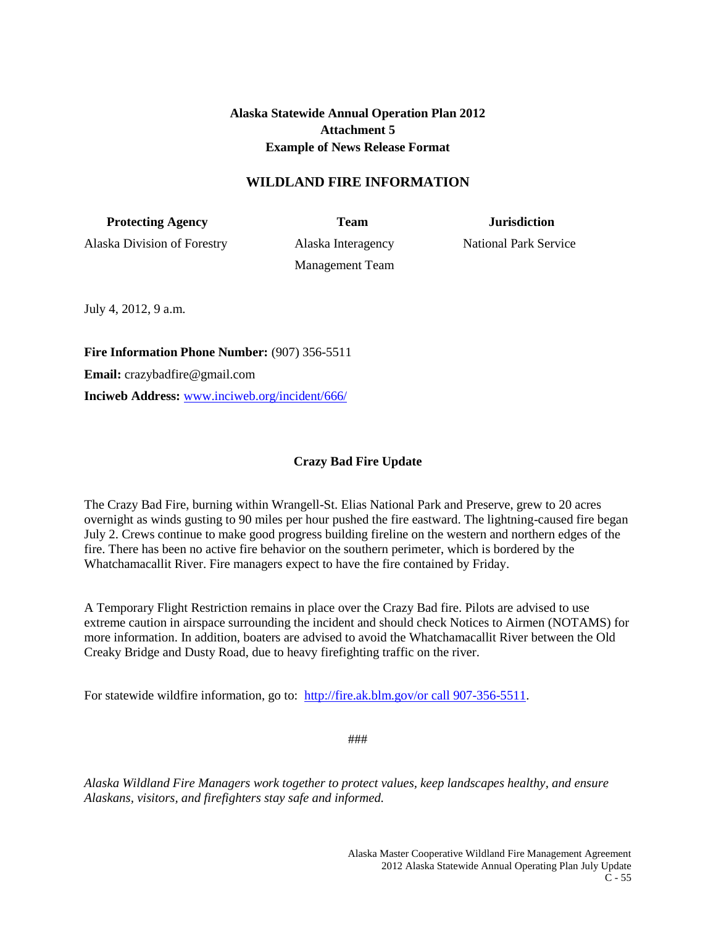**Alaska Statewide Annual Operation Plan 2012 Attachment 5 Example of News Release Format**

# **WILDLAND FIRE INFORMATION**

**Protecting Agency** Team **Team** Jurisdiction

Alaska Division of Forestry Alaska Interagency National Park Service

Management Team

July 4, 2012, 9 a.m.

**Fire Information Phone Number:** (907) 356-5511 **Email:** crazybadfire@gmail.com **Inciweb Address:** [www.inciweb.org/incident/666/](http://www.inciweb.org/incident/666/)

# **Crazy Bad Fire Update**

The Crazy Bad Fire, burning within Wrangell-St. Elias National Park and Preserve, grew to 20 acres overnight as winds gusting to 90 miles per hour pushed the fire eastward. The lightning-caused fire began July 2. Crews continue to make good progress building fireline on the western and northern edges of the fire. There has been no active fire behavior on the southern perimeter, which is bordered by the Whatchamacallit River. Fire managers expect to have the fire contained by Friday.

A Temporary Flight Restriction remains in place over the Crazy Bad fire. Pilots are advised to use extreme caution in airspace surrounding the incident and should check Notices to Airmen (NOTAMS) for more information. In addition, boaters are advised to avoid the Whatchamacallit River between the Old Creaky Bridge and Dusty Road, due to heavy firefighting traffic on the river.

For statewide wildfire information, go to: [http://fire.ak.blm.gov/or call 907-356-5511.](http://fire.ak.blm.gov/or%20call%20907-356-5511)

###

*Alaska Wildland Fire Managers work together to protect values, keep landscapes healthy, and ensure Alaskans, visitors, and firefighters stay safe and informed.*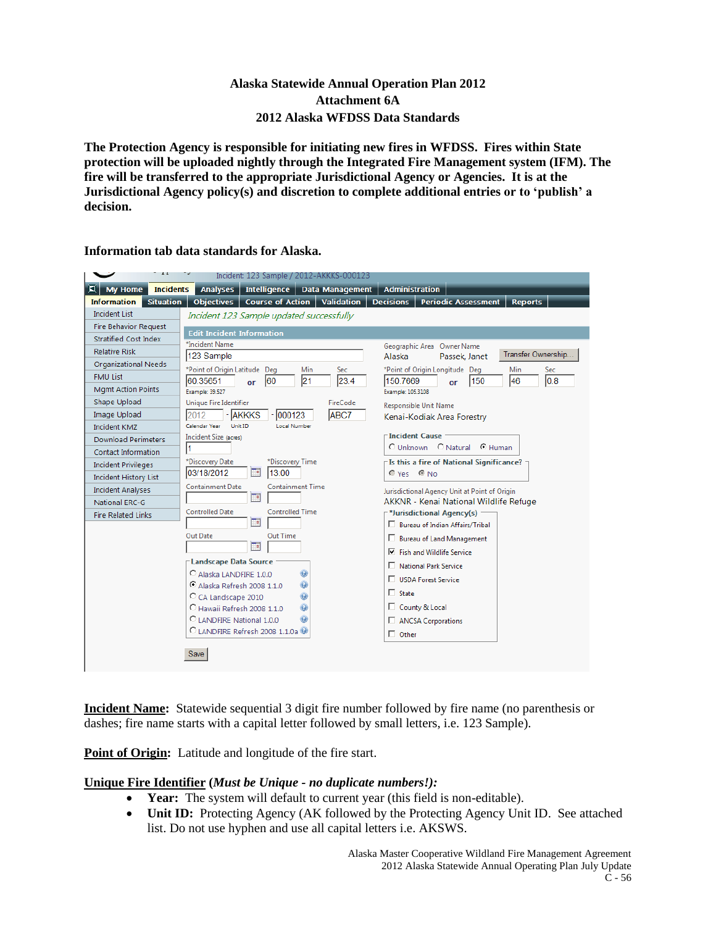# **Alaska Statewide Annual Operation Plan 2012 Attachment 6A 2012 Alaska WFDSS Data Standards**

**The Protection Agency is responsible for initiating new fires in WFDSS. Fires within State protection will be uploaded nightly through the Integrated Fire Management system (IFM). The fire will be transferred to the appropriate Jurisdictional Agency or Agencies. It is at the Jurisdictional Agency policy(s) and discretion to complete additional entries or to 'publish' a decision.** 

|                                        | Incident: 123 Sample / 2012-AKKKS-000123                                 |                                                                  |
|----------------------------------------|--------------------------------------------------------------------------|------------------------------------------------------------------|
| O.<br>My Home<br><b>Incidents</b>      | <b>Analyses</b><br>Intelligence<br><b>Data Management</b>                | <b>Administration</b>                                            |
| <b>Situation</b><br><b>Information</b> | <b>Objectives</b><br><b>Course of Action</b><br><b>Validation</b>        | <b>Decisions</b><br><b>Reports</b><br><b>Periodic Assessment</b> |
| <b>Incident List</b>                   | Incident 123 Sample updated successfully                                 |                                                                  |
| <b>Fire Behavior Request</b>           | <b>Edit Incident Information</b>                                         |                                                                  |
| Stratified Cost Index                  | *Incident Name                                                           | Geographic Area Owner Name                                       |
| <b>Relative Risk</b>                   | 123 Sample                                                               | Transfer Ownership<br>Alaska<br>Passek, Janet                    |
| Organizational Needs                   | *Point of Origin Latitude Deg<br>Min<br>Sec                              | *Point of Origin Longitude Deg<br>Sec<br>Min                     |
| <b>FMU List</b>                        | 21<br>23.4<br>60.35651<br>160<br>or                                      | 0.8<br>150.7669<br>46<br>150<br>or                               |
| <b>Mgmt Action Points</b>              | Example: 39.527                                                          | Example: 105.3108                                                |
| Shape Upload                           | <b>Unique Fire Identifier</b><br><b>FireCode</b>                         | Responsible Unit Name                                            |
| Image Upload                           | 000123<br><b>ABC7</b><br>2012<br>- <b>AKKKS</b>                          | Kenai-Kodiak Area Forestry                                       |
| <b>Incident KMZ</b>                    | Calendar Year<br>Unit ID<br><b>Local Number</b>                          |                                                                  |
| <b>Download Perimeters</b>             | Incident Size (acres)                                                    | <b>Incident Cause</b><br>C Unknown C Natural C Human             |
| Contact Information                    |                                                                          |                                                                  |
| <b>Incident Privileges</b>             | *Discovery Date<br>*Discovery Time                                       | Is this a fire of National Significance? -                       |
| <b>Incident History List</b>           | 03/18/2012<br>℡<br>13:00                                                 | Ves CNo                                                          |
| <b>Incident Analyses</b>               | <b>Containment Time</b><br><b>Containment Date</b><br>F۹                 | Jurisdictional Agency Unit at Point of Origin                    |
| <b>National ERC-G</b>                  |                                                                          | AKKNR - Kenai National Wildlife Refuge                           |
| <b>Fire Related Links</b>              | <b>Controlled Date</b><br><b>Controlled Time</b><br>m                    | <sup>-*</sup> Jurisdictional Agency(s)                           |
|                                        |                                                                          | □ Bureau of Indian Affairs/Tribal                                |
|                                        | Out Time<br>Out Date<br>Te.                                              | <b>Bureau of Land Management</b>                                 |
|                                        |                                                                          | $\nabla$ Fish and Wildlife Service                               |
|                                        | <b>Landscape Data Source</b>                                             | National Park Service                                            |
|                                        | C Alaska LANDFIRE 1.0.0<br>$\bullet$<br>۵<br>C Alaska Refresh 2008 1.1.0 | USDA Forest Service                                              |
|                                        | Ō<br>C CA Landscape 2010                                                 | $\Box$ State                                                     |
|                                        | C Hawaii Refresh 2008 1.1.0<br>O                                         | County & Local                                                   |
|                                        | C LANDFIRE National 1.0.0                                                | ANCSA Corporations                                               |
|                                        | C LANDFIRE Refresh 2008 1.1.0a                                           | $\Box$ Other                                                     |
|                                        |                                                                          |                                                                  |
|                                        | Save                                                                     |                                                                  |
|                                        |                                                                          |                                                                  |

**Information tab data standards for Alaska.**

**Incident Name:** Statewide sequential 3 digit fire number followed by fire name (no parenthesis or dashes; fire name starts with a capital letter followed by small letters, i.e. 123 Sample).

**Point of Origin:** Latitude and longitude of the fire start.

# **Unique Fire Identifier (***Must be Unique - no duplicate numbers!):*

- **Year:** The system will default to current year (this field is non-editable).
- **Unit ID:** Protecting Agency (AK followed by the Protecting Agency Unit ID. See attached list. Do not use hyphen and use all capital letters i.e. AKSWS.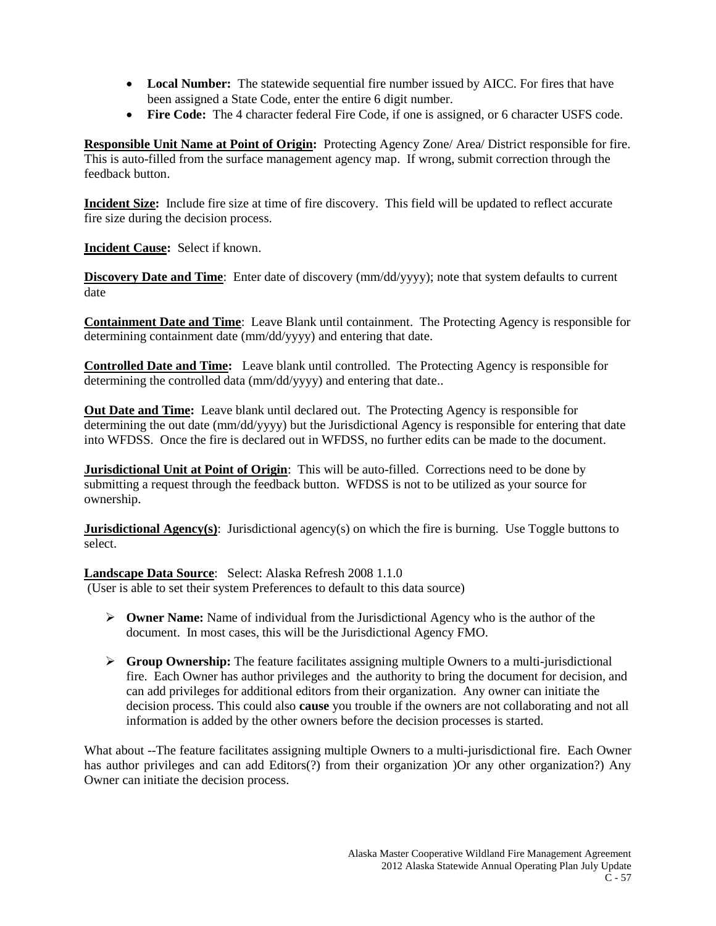- Local Number: The statewide sequential fire number issued by AICC. For fires that have been assigned a State Code, enter the entire 6 digit number.
- **Fire Code:** The 4 character federal Fire Code, if one is assigned, or 6 character USFS code.

**Responsible Unit Name at Point of Origin:** Protecting Agency Zone/ Area/ District responsible for fire. This is auto-filled from the surface management agency map. If wrong, submit correction through the feedback button.

**Incident Size:** Include fire size at time of fire discovery. This field will be updated to reflect accurate fire size during the decision process.

**Incident Cause:** Select if known.

**Discovery Date and Time**: Enter date of discovery (mm/dd/yyyy); note that system defaults to current date

**Containment Date and Time**: Leave Blank until containment. The Protecting Agency is responsible for determining containment date (mm/dd/yyyy) and entering that date.

**Controlled Date and Time:** Leave blank until controlled. The Protecting Agency is responsible for determining the controlled data (mm/dd/yyyy) and entering that date..

**Out Date and Time:** Leave blank until declared out. The Protecting Agency is responsible for determining the out date (mm/dd/yyyy) but the Jurisdictional Agency is responsible for entering that date into WFDSS. Once the fire is declared out in WFDSS, no further edits can be made to the document.

**Jurisdictional Unit at Point of Origin**: This will be auto-filled. Corrections need to be done by submitting a request through the feedback button. WFDSS is not to be utilized as your source for ownership.

**Jurisdictional Agency(s)**: Jurisdictional agency(s) on which the fire is burning. Use Toggle buttons to select.

**Landscape Data Source**: Select: Alaska Refresh 2008 1.1.0 (User is able to set their system Preferences to default to this data source)

- **Owner Name:** Name of individual from the Jurisdictional Agency who is the author of the document. In most cases, this will be the Jurisdictional Agency FMO.
- **Group Ownership:** The feature facilitates assigning multiple Owners to a multi-jurisdictional fire. Each Owner has author privileges and the authority to bring the document for decision, and can add privileges for additional editors from their organization. Any owner can initiate the decision process. This could also **cause** you trouble if the owners are not collaborating and not all information is added by the other owners before the decision processes is started.

What about --The feature facilitates assigning multiple Owners to a multi-jurisdictional fire. Each Owner has author privileges and can add Editors(?) from their organization )Or any other organization?) Any Owner can initiate the decision process.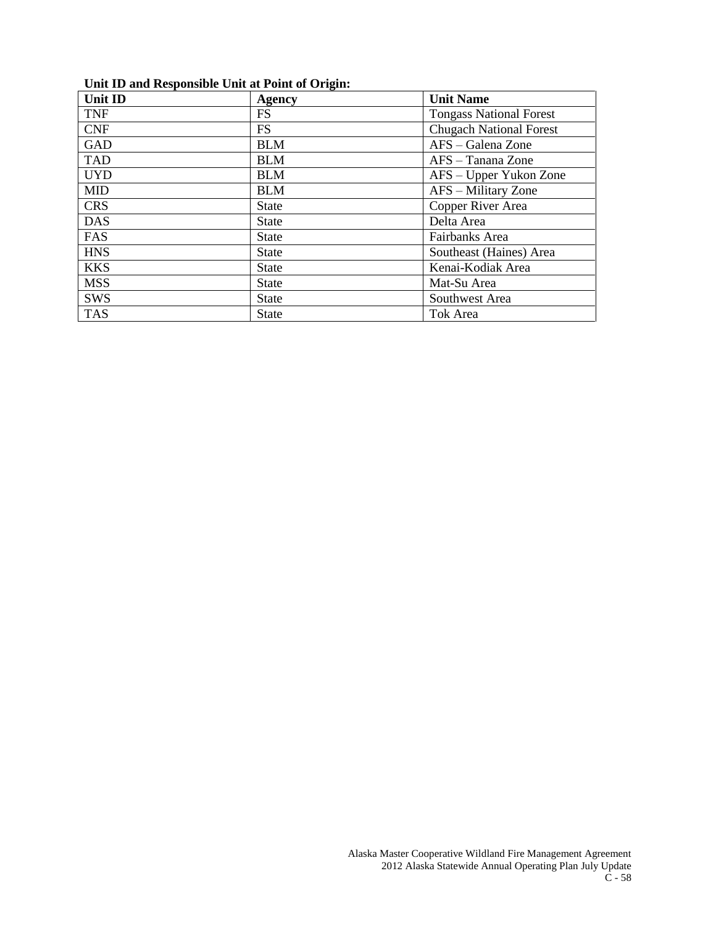# **Unit ID and Responsible Unit at Point of Origin:**

| <b>Unit ID</b> | Agency       | <b>Unit Name</b>               |
|----------------|--------------|--------------------------------|
| <b>TNF</b>     | <b>FS</b>    | <b>Tongass National Forest</b> |
| <b>CNF</b>     | <b>FS</b>    | <b>Chugach National Forest</b> |
| <b>GAD</b>     | <b>BLM</b>   | AFS – Galena Zone              |
| <b>TAD</b>     | <b>BLM</b>   | AFS - Tanana Zone              |
| <b>UYD</b>     | <b>BLM</b>   | AFS – Upper Yukon Zone         |
| <b>MID</b>     | <b>BLM</b>   | AFS – Military Zone            |
| <b>CRS</b>     | <b>State</b> | Copper River Area              |
| <b>DAS</b>     | <b>State</b> | Delta Area                     |
| FAS            | <b>State</b> | Fairbanks Area                 |
| <b>HNS</b>     | <b>State</b> | Southeast (Haines) Area        |
| <b>KKS</b>     | <b>State</b> | Kenai-Kodiak Area              |
| <b>MSS</b>     | <b>State</b> | Mat-Su Area                    |
| <b>SWS</b>     | <b>State</b> | Southwest Area                 |
| <b>TAS</b>     | <b>State</b> | Tok Area                       |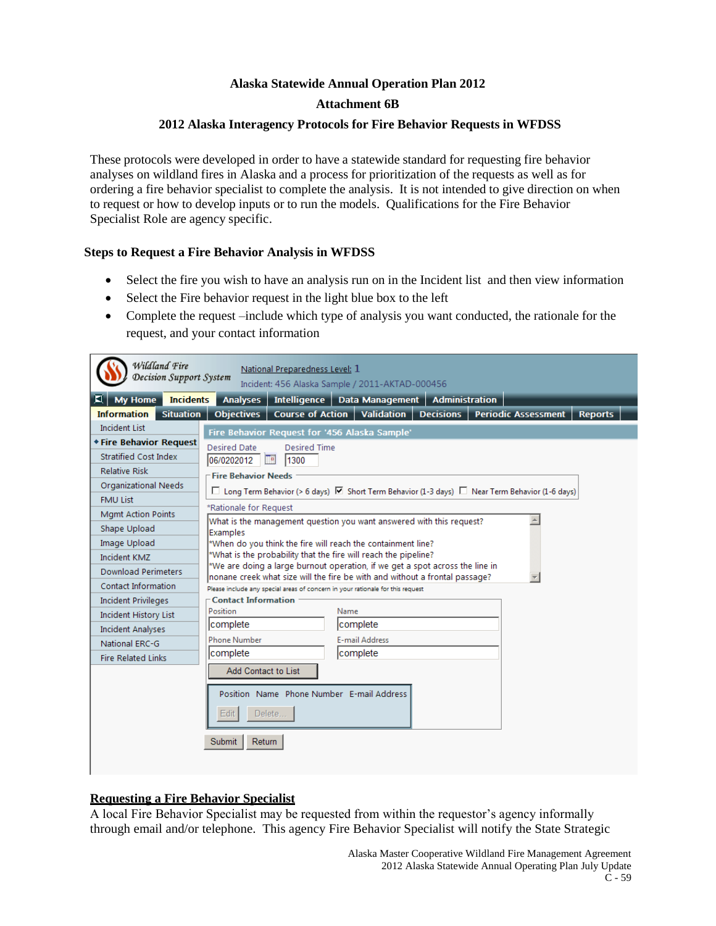# **Alaska Statewide Annual Operation Plan 2012 Attachment 6B**

# **2012 Alaska Interagency Protocols for Fire Behavior Requests in WFDSS**

These protocols were developed in order to have a statewide standard for requesting fire behavior analyses on wildland fires in Alaska and a process for prioritization of the requests as well as for ordering a fire behavior specialist to complete the analysis. It is not intended to give direction on when to request or how to develop inputs or to run the models. Qualifications for the Fire Behavior Specialist Role are agency specific.

# **Steps to Request a Fire Behavior Analysis in WFDSS**

- Select the fire you wish to have an analysis run on in the Incident list and then view information
- Select the Fire behavior request in the light blue box to the left
- Complete the request –include which type of analysis you want conducted, the rationale for the request, and your contact information

| Wildland Fire<br>Decision Support System | National Preparedness Level: 1<br>Incident: 456 Alaska Sample / 2011-AKTAD-000456                                                                           |  |
|------------------------------------------|-------------------------------------------------------------------------------------------------------------------------------------------------------------|--|
| My Home<br><b>Incidents</b>              | <b>Administration</b><br><b>Analyses</b><br>Intelligence   Data Management                                                                                  |  |
| <b>Information</b><br><b>Situation</b>   | <b>Validation</b><br><b>Decisions</b><br><b>Periodic Assessment</b><br><b>Reports</b><br><b>Objectives</b><br><b>Course of Action</b>                       |  |
| Incident List                            | Fire Behavior Request for '456 Alaska Sample'                                                                                                               |  |
| <b>* Fire Behavior Request</b>           | Desired Date<br>Desired Time                                                                                                                                |  |
| <b>Stratified Cost Index</b>             | 06/0202012<br><b>Fa</b><br>1300                                                                                                                             |  |
| <b>Relative Risk</b>                     | Fire Behavior Needs                                                                                                                                         |  |
| <b>Organizational Needs</b>              | $\square$ Long Term Behavior (> 6 days) $\square$ Short Term Behavior (1-3 days) $\square$ Near Term Behavior (1-6 days)                                    |  |
| <b>FMU List</b>                          |                                                                                                                                                             |  |
| <b>Mgmt Action Points</b>                | *Rationale for Request                                                                                                                                      |  |
| Shape Upload                             | What is the management question you want answered with this request?<br>Examples                                                                            |  |
| Image Upload                             | *When do you think the fire will reach the containment line?                                                                                                |  |
| Incident KMZ                             | *What is the probability that the fire will reach the pipeline?                                                                                             |  |
| <b>Download Perimeters</b>               | *We are doing a large burnout operation, if we get a spot across the line in<br>nonane creek what size will the fire be with and without a frontal passage? |  |
| Contact Information                      | Please include any special areas of concern in your rationale for this request                                                                              |  |
| <b>Incident Privileges</b>               | <b>Contact Information</b>                                                                                                                                  |  |
| <b>Incident History List</b>             | Position<br>Name                                                                                                                                            |  |
| <b>Incident Analyses</b>                 | Icomplete<br>complete                                                                                                                                       |  |
| <b>National ERC-G</b>                    | <b>Phone Number</b><br>E-mail Address                                                                                                                       |  |
| <b>Fire Related Links</b>                | complete<br>complete                                                                                                                                        |  |
|                                          | Add Contact to List                                                                                                                                         |  |
|                                          | Position Name Phone Number E-mail Address<br>Edit<br>Delete                                                                                                 |  |
|                                          | <b>Submit</b><br>Return                                                                                                                                     |  |

# **Requesting a Fire Behavior Specialist**

A local Fire Behavior Specialist may be requested from within the requestor's agency informally through email and/or telephone. This agency Fire Behavior Specialist will notify the State Strategic